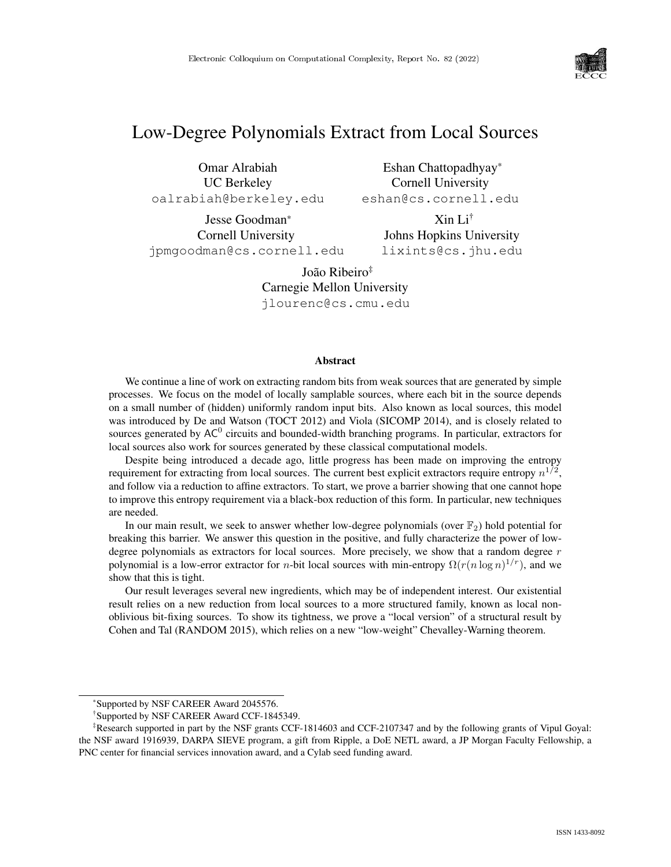

# Low-Degree Polynomials Extract from Local Sources

Omar Alrabiah UC Berkeley oalrabiah@berkeley.edu

Eshan Chattopadhyay\* Cornell University eshan@cs.cornell.edu

Jesse Goodman\* Cornell University jpmgoodman@cs.cornell.edu

Xin Li† Johns Hopkins University lixints@cs.jhu.edu

João Ribeiro‡ Carnegie Mellon University jlourenc@cs.cmu.edu

#### Abstract

We continue a line of work on extracting random bits from weak sources that are generated by simple processes. We focus on the model of locally samplable sources, where each bit in the source depends on a small number of (hidden) uniformly random input bits. Also known as local sources, this model was introduced by De and Watson (TOCT 2012) and Viola (SICOMP 2014), and is closely related to sources generated by  $AC^0$  circuits and bounded-width branching programs. In particular, extractors for local sources also work for sources generated by these classical computational models.

Despite being introduced a decade ago, little progress has been made on improving the entropy requirement for extracting from local sources. The current best explicit extractors require entropy  $n^{1/2}$ , and follow via a reduction to affine extractors. To start, we prove a barrier showing that one cannot hope to improve this entropy requirement via a black-box reduction of this form. In particular, new techniques are needed.

In our main result, we seek to answer whether low-degree polynomials (over  $\mathbb{F}_2$ ) hold potential for breaking this barrier. We answer this question in the positive, and fully characterize the power of lowdegree polynomials as extractors for local sources. More precisely, we show that a random degree  $r$ polynomial is a low-error extractor for *n*-bit local sources with min-entropy  $\Omega(r(n \log n)^{1/r})$ , and we show that this is tight.

Our result leverages several new ingredients, which may be of independent interest. Our existential result relies on a new reduction from local sources to a more structured family, known as local nonoblivious bit-fixing sources. To show its tightness, we prove a "local version" of a structural result by Cohen and Tal (RANDOM 2015), which relies on a new "low-weight" Chevalley-Warning theorem.

<sup>\*</sup>Supported by NSF CAREER Award 2045576.

<sup>†</sup> Supported by NSF CAREER Award CCF-1845349.

<sup>‡</sup>Research supported in part by the NSF grants CCF-1814603 and CCF-2107347 and by the following grants of Vipul Goyal: the NSF award 1916939, DARPA SIEVE program, a gift from Ripple, a DoE NETL award, a JP Morgan Faculty Fellowship, a PNC center for financial services innovation award, and a Cylab seed funding award.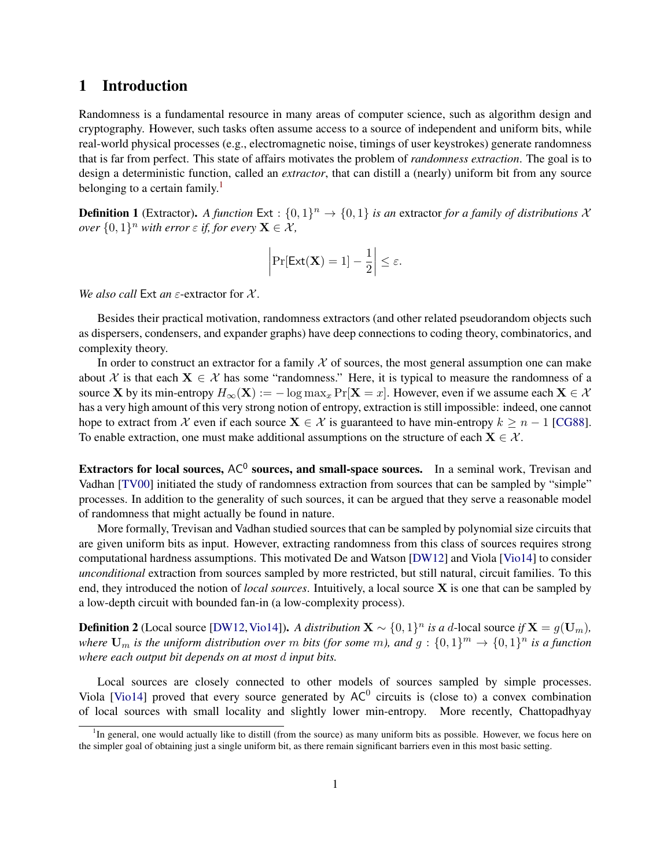# 1 Introduction

Randomness is a fundamental resource in many areas of computer science, such as algorithm design and cryptography. However, such tasks often assume access to a source of independent and uniform bits, while real-world physical processes (e.g., electromagnetic noise, timings of user keystrokes) generate randomness that is far from perfect. This state of affairs motivates the problem of *randomness extraction*. The goal is to design a deterministic function, called an *extractor*, that can distill a (nearly) uniform bit from any source belonging to a certain family.<sup>[1](#page-1-0)</sup>

<span id="page-1-1"></span>**Definition 1** (Extractor). A function  $Ext: \{0,1\}^n \to \{0,1\}$  is an extractor for a family of distributions X *over*  $\{0,1\}^n$  *with error*  $\varepsilon$  *if, for every*  $\mathbf{X} \in \mathcal{X}$ *,* 

$$
\left|\Pr[\mathsf{Ext}(\mathbf{X})=1]-\frac{1}{2}\right|\leq\varepsilon.
$$

*We also call* Ext *an* ε-extractor for X .

Besides their practical motivation, randomness extractors (and other related pseudorandom objects such as dispersers, condensers, and expander graphs) have deep connections to coding theory, combinatorics, and complexity theory.

In order to construct an extractor for a family  $X$  of sources, the most general assumption one can make about X is that each  $X \in \mathcal{X}$  has some "randomness." Here, it is typical to measure the randomness of a source X by its min-entropy  $H_{\infty}(\mathbf{X}) := -\log \max_{x} \Pr[\mathbf{X} = x]$ . However, even if we assume each  $\mathbf{X} \in \mathcal{X}$ has a very high amount of this very strong notion of entropy, extraction is still impossible: indeed, one cannot hope to extract from X even if each source  $X \in \mathcal{X}$  is guaranteed to have min-entropy  $k \geq n - 1$  [\[CG88\]](#page-42-0). To enable extraction, one must make additional assumptions on the structure of each  $X \in \mathcal{X}$ .

Extractors for local sources,  $AC^0$  sources, and small-space sources. In a seminal work, Trevisan and Vadhan [\[TV00\]](#page--1-0) initiated the study of randomness extraction from sources that can be sampled by "simple" processes. In addition to the generality of such sources, it can be argued that they serve a reasonable model of randomness that might actually be found in nature.

More formally, Trevisan and Vadhan studied sources that can be sampled by polynomial size circuits that are given uniform bits as input. However, extracting randomness from this class of sources requires strong computational hardness assumptions. This motivated De and Watson [\[DW12\]](#page-42-1) and Viola [\[Vio14\]](#page--1-1) to consider *unconditional* extraction from sources sampled by more restricted, but still natural, circuit families. To this end, they introduced the notion of *local sources*. Intuitively, a local source X is one that can be sampled by a low-depth circuit with bounded fan-in (a low-complexity process).

**Definition 2** (Local source [\[DW12,](#page-42-1) [Vio14\]](#page--1-1)). *A distribution*  $\mathbf{X} \sim \{0, 1\}^n$  *is a d*-local source *if*  $\mathbf{X} = g(\mathbf{U}_m)$ , where  $\mathbf{U}_m$  is the uniform distribution over  $m$  bits (for some  $m$ ), and  $g: \{0,1\}^m \to \{0,1\}^n$  is a function *where each output bit depends on at most* d *input bits.*

Local sources are closely connected to other models of sources sampled by simple processes. Viola [\[Vio14\]](#page--1-1) proved that every source generated by  $AC^0$  circuits is (close to) a convex combination of local sources with small locality and slightly lower min-entropy. More recently, Chattopadhyay

<span id="page-1-0"></span><sup>&</sup>lt;sup>1</sup>In general, one would actually like to distill (from the source) as many uniform bits as possible. However, we focus here on the simpler goal of obtaining just a single uniform bit, as there remain significant barriers even in this most basic setting.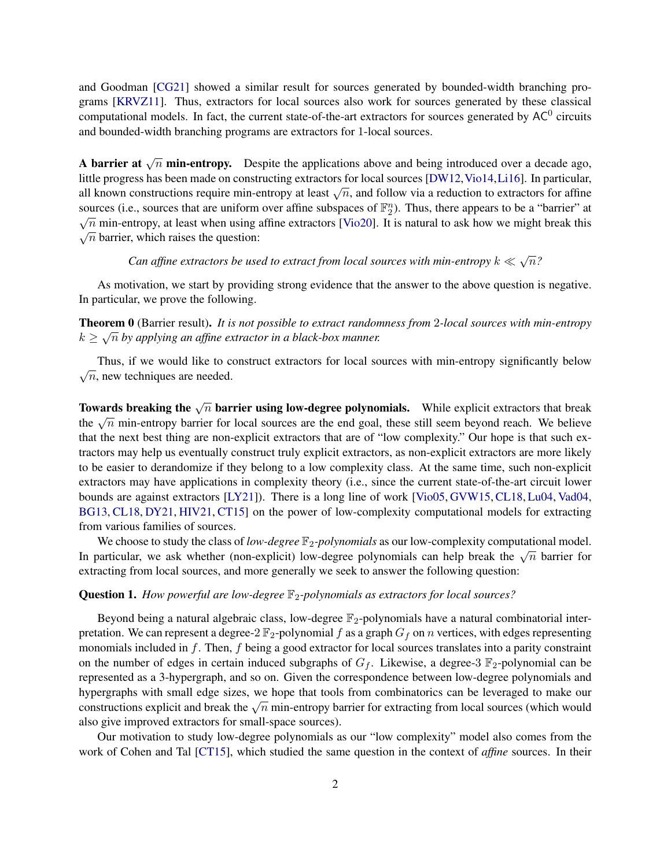and Goodman [\[CG21\]](#page-42-2) showed a similar result for sources generated by bounded-width branching programs [\[KRVZ11\]](#page--1-2). Thus, extractors for local sources also work for sources generated by these classical computational models. In fact, the current state-of-the-art extractors for sources generated by  $AC^0$  circuits and bounded-width branching programs are extractors for 1-local sources.

**A barrier at**  $\sqrt{n}$  min-entropy. Despite the applications above and being introduced over a decade ago, little progress has been made on constructing extractors for local sources [\[DW12,](#page-42-1)[Vio14,](#page--1-1)[Li16\]](#page--1-3). In particular, httle progress has been made on constructing extractors for local sources (DW12, VI014, LT10]. In particular, all known constructions require min-entropy at least  $\sqrt{n}$ , and follow via a reduction to extractors for affin sources (i.e., sources that are uniform over affine subspaces of  $\mathbb{F}_2^n$ ). Thus, there appears to be a "barrier" at  $\sqrt{n}$  min-entropy, at least when using affine extractors [\[Vio20\]](#page--1-4). It is natural to ask how we might break this  $\sqrt{n}$  barrier, which raises the question:

Can affine extractors be used to extract from local sources with min-entropy  $k \ll \sqrt{n}$  ?

As motivation, we start by providing strong evidence that the answer to the above question is negative. In particular, we prove the following.

<span id="page-2-1"></span>Theorem 0 (Barrier result). *It is not possible to extract randomness from* 2*-local sources with min-entropy* √  $k \geq \sqrt{n}$  by applying an affine extractor in a black-box manner.

Thus, if we would like to construct extractors for local sources with min-entropy significantly below Thus, if we would like to be  $\sqrt{n}$ , new techniques are needed.

Towards breaking the  $\sqrt{n}$  barrier using low-degree polynomials. While explicit extractors that break the  $\sqrt{n}$  min-entropy barrier for local sources are the end goal, these still seem beyond reach. We believe that the next best thing are non-explicit extractors that are of "low complexity." Our hope is that such extractors may help us eventually construct truly explicit extractors, as non-explicit extractors are more likely to be easier to derandomize if they belong to a low complexity class. At the same time, such non-explicit extractors may have applications in complexity theory (i.e., since the current state-of-the-art circuit lower bounds are against extractors [\[LY21\]](#page--1-5)). There is a long line of work [\[Vio05,](#page--1-6) [GVW15,](#page--1-7) [CL18,](#page-42-3) [Lu04,](#page--1-8) [Vad04,](#page--1-9) [BG13,](#page-42-4) [CL18,](#page-42-3) [DY21,](#page--1-10) [HIV21,](#page--1-11) [CT15\]](#page-42-5) on the power of low-complexity computational models for extracting from various families of sources.

We choose to study the class of *low-degree*  $\mathbb{F}_2$ -*polynomials* as our low-complexity computational model. We choose to study the class of *tow-degree*  $\mathbb{F}_2$ -*polynomials* as our low-complexity computational model.<br>In particular, we ask whether (non-explicit) low-degree polynomials can help break the  $\sqrt{n}$  barrier for extracting from local sources, and more generally we seek to answer the following question:

## <span id="page-2-0"></span>Question 1. How powerful are low-degree  $\mathbb{F}_2$ -polynomials as extractors for local sources?

Beyond being a natural algebraic class, low-degree  $\mathbb{F}_2$ -polynomials have a natural combinatorial interpretation. We can represent a degree-2  $\mathbb{F}_2$ -polynomial f as a graph  $G_f$  on n vertices, with edges representing monomials included in  $f$ . Then,  $f$  being a good extractor for local sources translates into a parity constraint on the number of edges in certain induced subgraphs of  $G_f$ . Likewise, a degree-3  $\mathbb{F}_2$ -polynomial can be represented as a 3-hypergraph, and so on. Given the correspondence between low-degree polynomials and hypergraphs with small edge sizes, we hope that tools from combinatorics can be leveraged to make our riypergraphs with small edge sizes, we nope that tools from comomatorics can be leveraged to make our constructions explicit and break the  $\sqrt{n}$  min-entropy barrier for extracting from local sources (which would also give improved extractors for small-space sources).

Our motivation to study low-degree polynomials as our "low complexity" model also comes from the work of Cohen and Tal [\[CT15\]](#page-42-5), which studied the same question in the context of *affine* sources. In their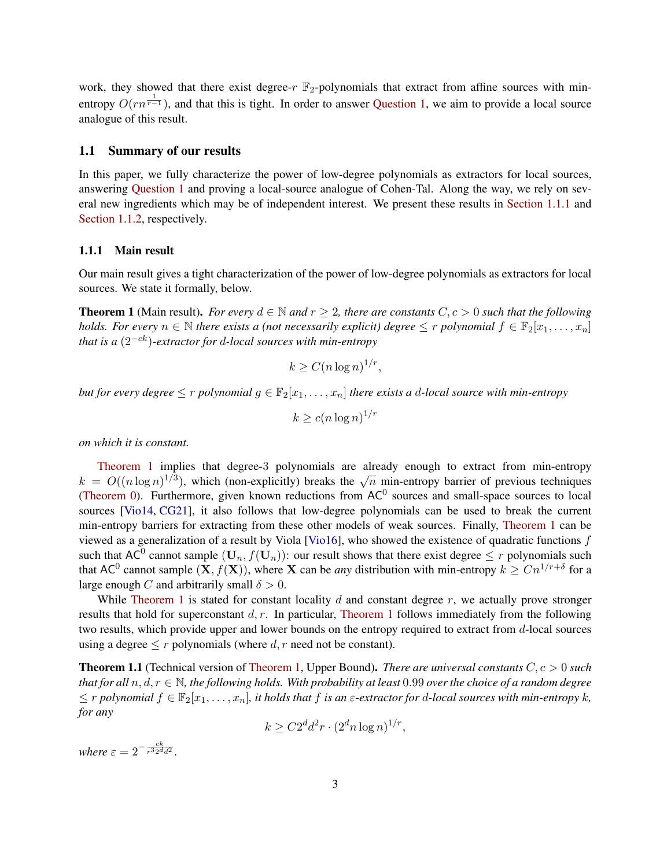work, they showed that there exist degree-r  $\mathbb{F}_2$ -polynomials that extract from affine sources with minentropy  $O(rn^{\frac{1}{r-1}})$ , and that this is tight. In order to answer [Question 1,](#page-2-0) we aim to provide a local source analogue of this result.

## 1.1 Summary of our results

In this paper, we fully characterize the power of low-degree polynomials as extractors for local sources, answering [Question 1](#page-2-0) and proving a local-source analogue of Cohen-Tal. Along the way, we rely on several new ingredients which may be of independent interest. We present these results in [Section 1.1.1](#page-3-0) and [Section 1.1.2,](#page-4-0) respectively.

#### <span id="page-3-0"></span>1.1.1 Main result

Our main result gives a tight characterization of the power of low-degree polynomials as extractors for local sources. We state it formally, below.

<span id="page-3-1"></span>**Theorem 1** (Main result). *For every*  $d \in \mathbb{N}$  and  $r \geq 2$ , there are constants  $C, c > 0$  such that the following *holds. For every*  $n \in \mathbb{N}$  *there exists a (not necessarily explicit) degree*  $\leq r$  *polynomial*  $f \in \mathbb{F}_2[x_1, \ldots, x_n]$ *that is a* (2−ck)*-extractor for* d*-local sources with min-entropy*

$$
k \ge C(n \log n)^{1/r},
$$

*but for every degree*  $\leq r$  *polynomial*  $g \in \mathbb{F}_2[x_1, \ldots, x_n]$  *there exists a d-local source with min-entropy* 

$$
k \ge c(n \log n)^{1/r}
$$

*on which it is constant.*

[Theorem 1](#page-3-1) implies that degree-3 polynomials are already enough to extract from min-entropy  $k = O((n \log n)^{1/3})$ , which (non-explicitly) breaks the  $\sqrt{n}$  min-entropy barrier of previous techniques [\(Theorem 0\)](#page-2-1). Furthermore, given known reductions from  $AC^0$  sources and small-space sources to local sources [\[Vio14,](#page--1-1) [CG21\]](#page-42-2), it also follows that low-degree polynomials can be used to break the current min-entropy barriers for extracting from these other models of weak sources. Finally, [Theorem 1](#page-3-1) can be viewed as a generalization of a result by Viola [\[Vio16\]](#page--1-12), who showed the existence of quadratic functions f such that AC<sup>0</sup> cannot sample  $(U_n, f(U_n))$ : our result shows that there exist degree  $\leq r$  polynomials such that AC<sup>0</sup> cannot sample  $(X, f(X))$ , where X can be *any* distribution with min-entropy  $k \geq Cn^{1/r+\delta}$  for a large enough C and arbitrarily small  $\delta > 0$ .

While [Theorem 1](#page-3-1) is stated for constant locality d and constant degree  $r$ , we actually prove stronger results that hold for superconstant  $d, r$ . In particular, [Theorem 1](#page-3-1) follows immediately from the following two results, which provide upper and lower bounds on the entropy required to extract from d-local sources using a degree  $\leq r$  polynomials (where d, r need not be constant).

<span id="page-3-2"></span>Theorem 1.1 (Technical version of [Theorem 1,](#page-3-1) Upper Bound). *There are universal constants* C, c > 0 *such that for all*  $n, d, r \in \mathbb{N}$ *, the following holds. With probability at least* 0.99 *over the choice of a random degree*  $\leq r$  polynomial  $f \in \mathbb{F}_2[x_1,\ldots,x_n]$ , it holds that f is an  $\varepsilon$ -extractor for d-local sources with min-entropy k, *for any*

$$
k \ge C 2^d d^2 r \cdot (2^d n \log n)^{1/r},
$$

<span id="page-3-3"></span>*where*  $\varepsilon = 2^{-\frac{ck}{r^3 2^d d^2}}$ .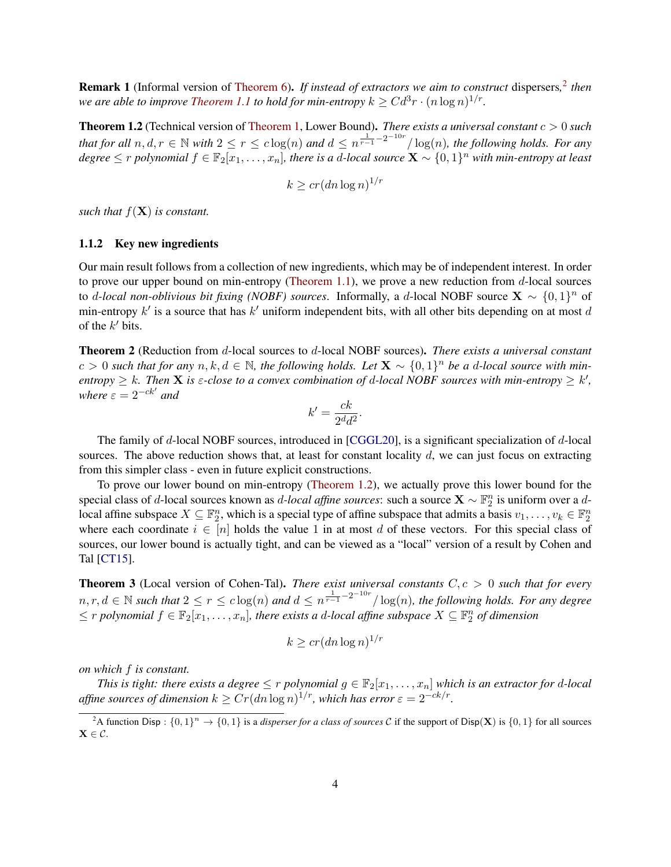Remark 1 (Informal version of [Theorem 6\)](#page-23-0). *If instead of extractors we aim to construct* dispersers*,* [2](#page-4-1) *then we are able to improve [Theorem 1.1](#page-3-2) to hold for min-entropy*  $k \geq Cd^3r \cdot (n \log n)^{1/r}$ .

<span id="page-4-2"></span>Theorem 1.2 (Technical version of [Theorem 1,](#page-3-1) Lower Bound). *There exists a universal constant* c > 0 *such* that for all  $n, d, r \in \mathbb{N}$  with  $2 \leq r \leq c \log(n)$  and  $d \leq n^{\frac{1}{r-1}-2^{-10r}}/\log(n)$ , the following holds. For any  $degree \leq r$  *polynomial*  $f \in \mathbb{F}_2[x_1,\ldots,x_n]$ , there is a d-local source  $\mathbf{X} \sim \{0,1\}^n$  with min-entropy at least

$$
k \ge cr(dn \log n)^{1/r}
$$

*such that*  $f(\mathbf{X})$  *is constant.* 

#### <span id="page-4-0"></span>1.1.2 Key new ingredients

Our main result follows from a collection of new ingredients, which may be of independent interest. In order to prove our upper bound on min-entropy [\(Theorem 1.1\)](#page-3-2), we prove a new reduction from  $d$ -local sources to *d-local non-oblivious bit fixing (NOBF) sources*. Informally, a *d*-local NOBF source  $\mathbf{X} \sim \{0, 1\}^n$  of min-entropy  $k'$  is a source that has  $k'$  uniform independent bits, with all other bits depending on at most d of the  $k'$  bits.

<span id="page-4-4"></span>Theorem 2 (Reduction from d-local sources to d-local NOBF sources). *There exists a universal constant*  $c > 0$  such that for any  $n, k, d \in \mathbb{N}$ , the following holds. Let  $\mathbf{X} \sim \{0, 1\}^n$  be a d-local source with min*entropy*  $\geq k$ . Then **X** is  $\varepsilon$ -close to a convex combination of d-local NOBF sources with min-entropy  $\geq k'$ , *where*  $\varepsilon = 2^{-ck'}$  *and* 

$$
k' = \frac{ck}{2^d d^2}.
$$

The family of d-local NOBF sources, introduced in [\[CGGL20\]](#page-42-6), is a significant specialization of d-local sources. The above reduction shows that, at least for constant locality  $d$ , we can just focus on extracting from this simpler class - even in future explicit constructions.

To prove our lower bound on min-entropy [\(Theorem 1.2\)](#page-4-2), we actually prove this lower bound for the special class of d-local sources known as *d-local affine sources*: such a source  $X \sim \mathbb{F}_2^n$  is uniform over a dlocal affine subspace  $X \subseteq \mathbb{F}_2^n$ , which is a special type of affine subspace that admits a basis  $v_1, \ldots, v_k \in \mathbb{F}_2^n$ where each coordinate  $i \in [n]$  holds the value 1 in at most d of these vectors. For this special class of sources, our lower bound is actually tight, and can be viewed as a "local" version of a result by Cohen and Tal [\[CT15\]](#page-42-5).

<span id="page-4-3"></span>Theorem 3 (Local version of Cohen-Tal). *There exist universal constants* C, c > 0 *such that for every*  $n, r, d \in \mathbb{N}$  such that  $2 \le r \le c \log(n)$  and  $d \le n^{\frac{1}{r-1}-2^{-10r}}/\log(n)$ , the following holds. For any degree  $\leq r$  polynomial  $f \in \mathbb{F}_2[x_1,\ldots,x_n]$ , there exists a d-local affine subspace  $X \subseteq \mathbb{F}_2^n$  of dimension

$$
k \ge cr(dn \log n)^{1/r}
$$

*on which* f *is constant.*

*This is tight: there exists a degree*  $\leq r$  *polynomial*  $g \in \mathbb{F}_2[x_1, \ldots, x_n]$  which is an extractor for d-local *affine sources of dimension*  $k \geq Cr(dn\log n)^{1/r}$ *, which has error*  $\varepsilon = 2^{-ck/r}$ *.* 

<span id="page-4-1"></span><sup>&</sup>lt;sup>2</sup>A function Disp :  $\{0,1\}^n \to \{0,1\}$  is a *disperser for a class of sources* C if the support of Disp(**X**) is  $\{0,1\}$  for all sources  $\mathbf{X} \in \mathcal{C}.$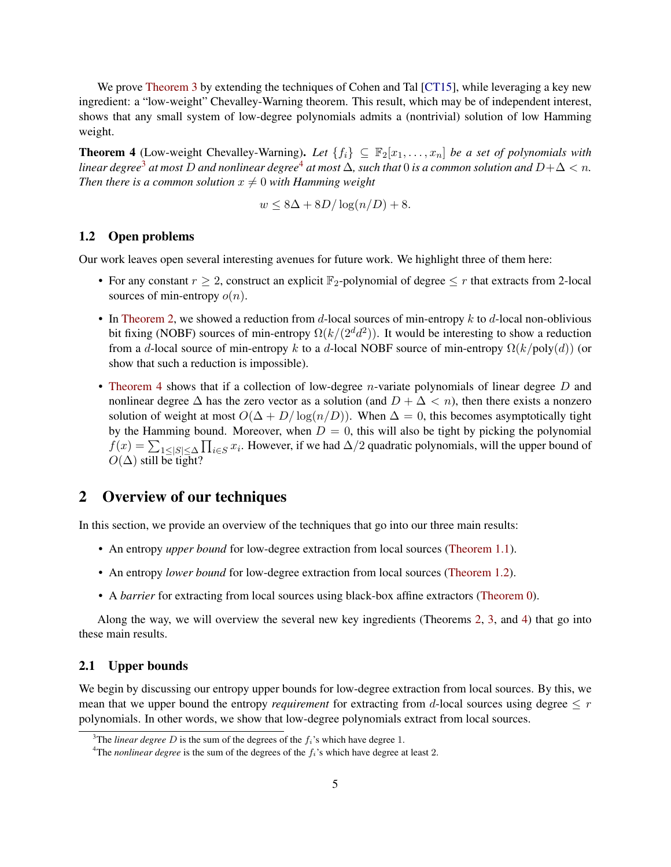We prove [Theorem 3](#page-4-3) by extending the techniques of Cohen and Tal [\[CT15\]](#page-42-5), while leveraging a key new ingredient: a "low-weight" Chevalley-Warning theorem. This result, which may be of independent interest, shows that any small system of low-degree polynomials admits a (nontrivial) solution of low Hamming weight.

<span id="page-5-2"></span>**Theorem 4** (Low-weight Chevalley-Warning). Let  $\{f_i\} \subseteq \mathbb{F}_2[x_1, \ldots, x_n]$  *be a set of polynomials with linear degree*<sup>[3](#page-5-0)</sup> at most D and nonlinear degree<sup>[4](#page-5-1)</sup> at most  $\Delta$ , such that 0 is a common solution and  $D + \Delta < n$ . *Then there is a common solution*  $x \neq 0$  *with Hamming weight* 

$$
w \le 8\Delta + 8D/\log(n/D) + 8.
$$

## 1.2 Open problems

Our work leaves open several interesting avenues for future work. We highlight three of them here:

- For any constant  $r \geq 2$ , construct an explicit  $\mathbb{F}_2$ -polynomial of degree  $\leq r$  that extracts from 2-local sources of min-entropy  $o(n)$ .
- In [Theorem 2,](#page-4-4) we showed a reduction from  $d$ -local sources of min-entropy  $k$  to  $d$ -local non-oblivious bit fixing (NOBF) sources of min-entropy  $\Omega(k/(2^d d^2))$ . It would be interesting to show a reduction from a d-local source of min-entropy k to a d-local NOBF source of min-entropy  $\Omega(k/\text{poly}(d))$  (or show that such a reduction is impossible).
- [Theorem 4](#page-5-2) shows that if a collection of low-degree *n*-variate polynomials of linear degree  $D$  and nonlinear degree  $\Delta$  has the zero vector as a solution (and  $D + \Delta < n$ ), then there exists a nonzero solution of weight at most  $O(\Delta + D/\log(n/D))$ . When  $\Delta = 0$ , this becomes asymptotically tight by the Hamming bound. Moreover, when  $D = 0$ , this will also be tight by picking the polynomial  $f(x) = \sum_{1 \leq |S| \leq \Delta} \prod_{i \in S} x_i$ . However, if we had  $\Delta/2$  quadratic polynomials, will the upper bound of  $O(\Delta)$  still be tight?

# 2 Overview of our techniques

In this section, we provide an overview of the techniques that go into our three main results:

- An entropy *upper bound* for low-degree extraction from local sources [\(Theorem 1.1\)](#page-3-2).
- An entropy *lower bound* for low-degree extraction from local sources [\(Theorem 1.2\)](#page-4-2).
- A *barrier* for extracting from local sources using black-box affine extractors [\(Theorem 0\)](#page-2-1).

Along the way, we will overview the several new key ingredients (Theorems [2,](#page-4-4) [3,](#page-4-3) and [4\)](#page-5-2) that go into these main results.

## 2.1 Upper bounds

We begin by discussing our entropy upper bounds for low-degree extraction from local sources. By this, we mean that we upper bound the entropy *requirement* for extracting from d-local sources using degree  $\leq r$ polynomials. In other words, we show that low-degree polynomials extract from local sources.

<span id="page-5-0"></span><sup>&</sup>lt;sup>3</sup>The *linear degree* D is the sum of the degrees of the  $f_i$ 's which have degree 1.

<span id="page-5-1"></span><sup>&</sup>lt;sup>4</sup>The *nonlinear degree* is the sum of the degrees of the  $f_i$ 's which have degree at least 2.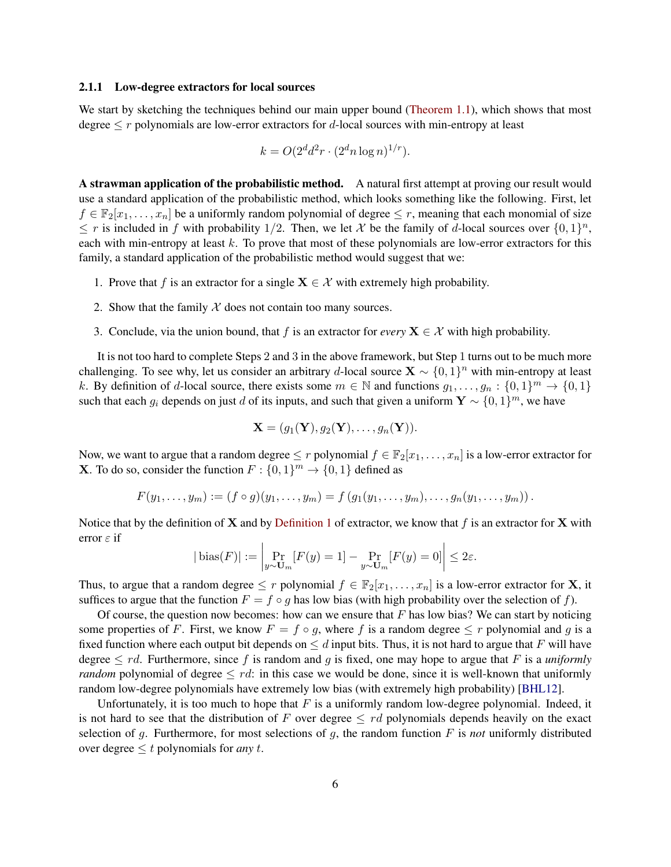#### 2.1.1 Low-degree extractors for local sources

We start by sketching the techniques behind our main upper bound [\(Theorem 1.1\)](#page-3-2), which shows that most degree  $\leq r$  polynomials are low-error extractors for d-local sources with min-entropy at least

$$
k = O(2^d d^2 r \cdot (2^d n \log n)^{1/r}).
$$

A strawman application of the probabilistic method. A natural first attempt at proving our result would use a standard application of the probabilistic method, which looks something like the following. First, let  $f \in \mathbb{F}_2[x_1,\ldots,x_n]$  be a uniformly random polynomial of degree  $\leq r$ , meaning that each monomial of size  $\leq r$  is included in f with probability 1/2. Then, we let X be the family of d-local sources over  $\{0,1\}^n$ , each with min-entropy at least  $k$ . To prove that most of these polynomials are low-error extractors for this family, a standard application of the probabilistic method would suggest that we:

- 1. Prove that f is an extractor for a single  $X \in \mathcal{X}$  with extremely high probability.
- 2. Show that the family  $X$  does not contain too many sources.
- 3. Conclude, via the union bound, that f is an extractor for *every*  $X \in \mathcal{X}$  with high probability.

It is not too hard to complete Steps 2 and 3 in the above framework, but Step 1 turns out to be much more challenging. To see why, let us consider an arbitrary d-local source  $X \sim \{0, 1\}^n$  with min-entropy at least k. By definition of d-local source, there exists some  $m \in \mathbb{N}$  and functions  $g_1, \ldots, g_n : \{0,1\}^m \to \{0,1\}$ such that each  $g_i$  depends on just d of its inputs, and such that given a uniform  $\mathbf{Y} \sim \{0, 1\}^m$ , we have

$$
\mathbf{X} = (g_1(\mathbf{Y}), g_2(\mathbf{Y}), \dots, g_n(\mathbf{Y})).
$$

Now, we want to argue that a random degree  $\leq r$  polynomial  $f \in \mathbb{F}_2[x_1, \ldots, x_n]$  is a low-error extractor for **X**. To do so, consider the function  $F: \{0, 1\}^m \to \{0, 1\}$  defined as

$$
F(y_1,\ldots,y_m) := (f \circ g)(y_1,\ldots,y_m) = f(g_1(y_1,\ldots,y_m),\ldots,g_n(y_1,\ldots,y_m)).
$$

Notice that by the definition of **X** and by [Definition 1](#page-1-1) of extractor, we know that f is an extractor for **X** with error  $\varepsilon$  if

$$
|\text{bias}(F)| := \left| \Pr_{y \sim \mathbf{U}_m} [F(y) = 1] - \Pr_{y \sim \mathbf{U}_m} [F(y) = 0] \right| \le 2\varepsilon.
$$

Thus, to argue that a random degree  $\leq r$  polynomial  $f \in \mathbb{F}_2[x_1, \ldots, x_n]$  is a low-error extractor for **X**, it suffices to argue that the function  $F = f \circ q$  has low bias (with high probability over the selection of f).

Of course, the question now becomes: how can we ensure that  $F$  has low bias? We can start by noticing some properties of F. First, we know  $F = f \circ q$ , where f is a random degree  $\leq r$  polynomial and q is a fixed function where each output bit depends on  $\leq d$  input bits. Thus, it is not hard to argue that F will have degree  $\leq$  rd. Furthermore, since f is random and g is fixed, one may hope to argue that F is a *uniformly random* polynomial of degree  $\leq rd$ : in this case we would be done, since it is well-known that uniformly random low-degree polynomials have extremely low bias (with extremely high probability) [\[BHL12\]](#page-42-7).

Unfortunately, it is too much to hope that  $F$  is a uniformly random low-degree polynomial. Indeed, it is not hard to see that the distribution of F over degree  $\leq$  rd polynomials depends heavily on the exact selection of g. Furthermore, for most selections of g, the random function  $F$  is *not* uniformly distributed over degree  $\leq t$  polynomials for *any* t.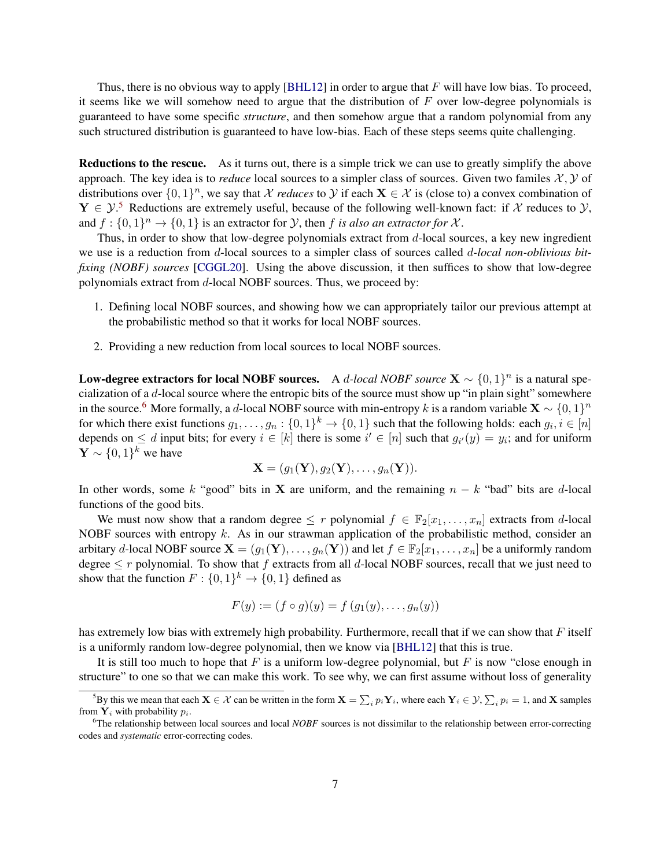Thus, there is no obvious way to apply [\[BHL12\]](#page-42-7) in order to argue that  $F$  will have low bias. To proceed, it seems like we will somehow need to argue that the distribution of  $F$  over low-degree polynomials is guaranteed to have some specific *structure*, and then somehow argue that a random polynomial from any such structured distribution is guaranteed to have low-bias. Each of these steps seems quite challenging.

Reductions to the rescue. As it turns out, there is a simple trick we can use to greatly simplify the above approach. The key idea is to *reduce* local sources to a simpler class of sources. Given two familes  $\mathcal{X}, \mathcal{Y}$  of distributions over  $\{0,1\}^n$ , we say that X *reduces* to Y if each  $X \in \mathcal{X}$  is (close to) a convex combination of  $Y \in \mathcal{Y}^5$  $Y \in \mathcal{Y}^5$  Reductions are extremely useful, because of the following well-known fact: if X reduces to  $\mathcal{Y}$ , and  $f: \{0,1\}^n \to \{0,1\}$  is an extractor for Y, then f *is also an extractor for* X.

Thus, in order to show that low-degree polynomials extract from d-local sources, a key new ingredient we use is a reduction from d-local sources to a simpler class of sources called d*-local non-oblivious bitfixing (NOBF) sources* [\[CGGL20\]](#page-42-6). Using the above discussion, it then suffices to show that low-degree polynomials extract from d-local NOBF sources. Thus, we proceed by:

- 1. Defining local NOBF sources, and showing how we can appropriately tailor our previous attempt at the probabilistic method so that it works for local NOBF sources.
- 2. Providing a new reduction from local sources to local NOBF sources.

Low-degree extractors for local NOBF sources. A d-local NOBF source  $X \sim \{0,1\}^n$  is a natural specialization of a d-local source where the entropic bits of the source must show up "in plain sight" somewhere in the source.<sup>[6](#page-7-1)</sup> More formally, a *d*-local NOBF source with min-entropy *k* is a random variable  $\mathbf{X} \sim \{0, 1\}^n$ for which there exist functions  $g_1, \ldots, g_n : \{0,1\}^k \to \{0,1\}$  such that the following holds: each  $g_i, i \in [n]$ depends on  $\leq d$  input bits; for every  $i \in [k]$  there is some  $i' \in [n]$  such that  $g_{i'}(y) = y_i$ ; and for uniform  $\mathbf{Y} \sim \{0,1\}^k$  we have

$$
\mathbf{X} = (g_1(\mathbf{Y}), g_2(\mathbf{Y}), \ldots, g_n(\mathbf{Y})).
$$

In other words, some k "good" bits in X are uniform, and the remaining  $n - k$  "bad" bits are d-local functions of the good bits.

We must now show that a random degree  $\leq r$  polynomial  $f \in \mathbb{F}_2[x_1, \ldots, x_n]$  extracts from d-local NOBF sources with entropy  $k$ . As in our strawman application of the probabilistic method, consider an arbitary d-local NOBF source  $X = (g_1(Y), \ldots, g_n(Y))$  and let  $f \in \mathbb{F}_2[x_1, \ldots, x_n]$  be a uniformly random degree  $\leq r$  polynomial. To show that f extracts from all d-local NOBF sources, recall that we just need to show that the function  $F: \{0,1\}^k \to \{0,1\}$  defined as

$$
F(y) := (f \circ g)(y) = f(g_1(y), \dots, g_n(y))
$$

has extremely low bias with extremely high probability. Furthermore, recall that if we can show that F itself is a uniformly random low-degree polynomial, then we know via [\[BHL12\]](#page-42-7) that this is true.

It is still too much to hope that F is a uniform low-degree polynomial, but F is now "close enough in structure" to one so that we can make this work. To see why, we can first assume without loss of generality

<span id="page-7-0"></span><sup>&</sup>lt;sup>5</sup>By this we mean that each  $X \in \mathcal{X}$  can be written in the form  $X = \sum_i p_i Y_i$ , where each  $Y_i \in \mathcal{Y}, \sum_i p_i = 1$ , and X samples from  $Y_i$  with probability  $p_i$ .

<span id="page-7-1"></span><sup>&</sup>lt;sup>6</sup>The relationship between local sources and local *NOBF* sources is not dissimilar to the relationship between error-correcting codes and *systematic* error-correcting codes.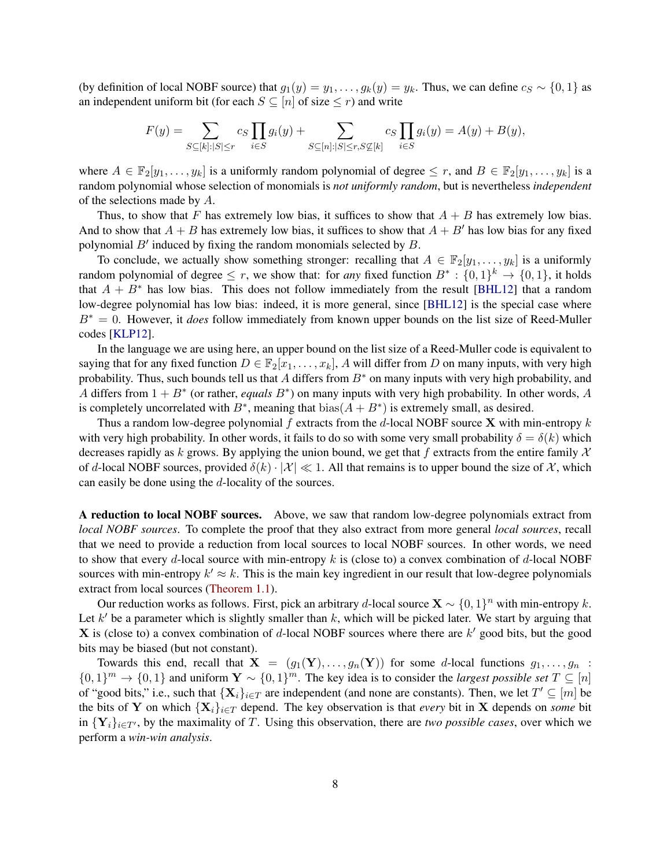(by definition of local NOBF source) that  $g_1(y) = y_1, \ldots, g_k(y) = y_k$ . Thus, we can define  $c_S \sim \{0, 1\}$  as an independent uniform bit (for each  $S \subseteq [n]$  of size  $\leq r$ ) and write

$$
F(y) = \sum_{S \subseteq [k]:|S| \le r} c_S \prod_{i \in S} g_i(y) + \sum_{S \subseteq [n]:|S| \le r, S \subseteq [k]} c_S \prod_{i \in S} g_i(y) = A(y) + B(y),
$$

where  $A \in \mathbb{F}_2[y_1,\ldots,y_k]$  is a uniformly random polynomial of degree  $\leq r$ , and  $B \in \mathbb{F}_2[y_1,\ldots,y_k]$  is a random polynomial whose selection of monomials is *not uniformly random*, but is nevertheless *independent* of the selections made by A.

Thus, to show that F has extremely low bias, it suffices to show that  $A + B$  has extremely low bias. And to show that  $A + B$  has extremely low bias, it suffices to show that  $A + B'$  has low bias for any fixed polynomial  $B'$  induced by fixing the random monomials selected by  $B$ .

To conclude, we actually show something stronger: recalling that  $A \in \mathbb{F}_2[y_1, \ldots, y_k]$  is a uniformly random polynomial of degree  $\leq r$ , we show that: for *any* fixed function  $B^* : \{0,1\}^k \to \{0,1\}$ , it holds that  $A + B^*$  has low bias. This does not follow immediately from the result [\[BHL12\]](#page-42-7) that a random low-degree polynomial has low bias: indeed, it is more general, since [\[BHL12\]](#page-42-7) is the special case where B<sup>∗</sup> = 0. However, it *does* follow immediately from known upper bounds on the list size of Reed-Muller codes [\[KLP12\]](#page--1-13).

In the language we are using here, an upper bound on the list size of a Reed-Muller code is equivalent to saying that for any fixed function  $D \in \mathbb{F}_2[x_1,\ldots,x_k]$ , A will differ from D on many inputs, with very high probability. Thus, such bounds tell us that A differs from  $B^*$  on many inputs with very high probability, and A differs from  $1 + B^*$  (or rather, *equals*  $B^*$ ) on many inputs with very high probability. In other words, A is completely uncorrelated with  $B^*$ , meaning that  $bias(A + B^*)$  is extremely small, as desired.

Thus a random low-degree polynomial f extracts from the d-local NOBF source **X** with min-entropy  $k$ with very high probability. In other words, it fails to do so with some very small probability  $\delta = \delta(k)$  which decreases rapidly as k grows. By applying the union bound, we get that f extracts from the entire family  $\mathcal X$ of d-local NOBF sources, provided  $\delta(k) \cdot |\mathcal{X}| \ll 1$ . All that remains is to upper bound the size of X, which can easily be done using the d-locality of the sources.

A reduction to local NOBF sources. Above, we saw that random low-degree polynomials extract from *local NOBF sources*. To complete the proof that they also extract from more general *local sources*, recall that we need to provide a reduction from local sources to local NOBF sources. In other words, we need to show that every d-local source with min-entropy  $k$  is (close to) a convex combination of d-local NOBF sources with min-entropy  $k' \approx k$ . This is the main key ingredient in our result that low-degree polynomials extract from local sources [\(Theorem 1.1\)](#page-3-2).

Our reduction works as follows. First, pick an arbitrary d-local source  $\mathbf{X} \sim \{0, 1\}^n$  with min-entropy k. Let  $k'$  be a parameter which is slightly smaller than  $k$ , which will be picked later. We start by arguing that X is (close to) a convex combination of d-local NOBF sources where there are  $k'$  good bits, but the good bits may be biased (but not constant).

Towards this end, recall that  $X = (g_1(Y), \ldots, g_n(Y))$  for some d-local functions  $g_1, \ldots, g_n$ : {0, 1}<sup>m</sup> → {0, 1} and uniform  $Y \sim \{0, 1\}^m$ . The key idea is to consider the *largest possible set*  $T \subseteq [n]$ of "good bits," i.e., such that  $\{X_i\}_{i\in\mathcal{I}}$  are independent (and none are constants). Then, we let  $T' \subseteq [m]$  be the bits of Y on which  $\{X_i\}_{i\in\mathcal{T}}$  depend. The key observation is that *every* bit in X depends on *some* bit in  ${Y_i}_{i \in T'}$ , by the maximality of T. Using this observation, there are *two possible cases*, over which we perform a *win-win analysis*.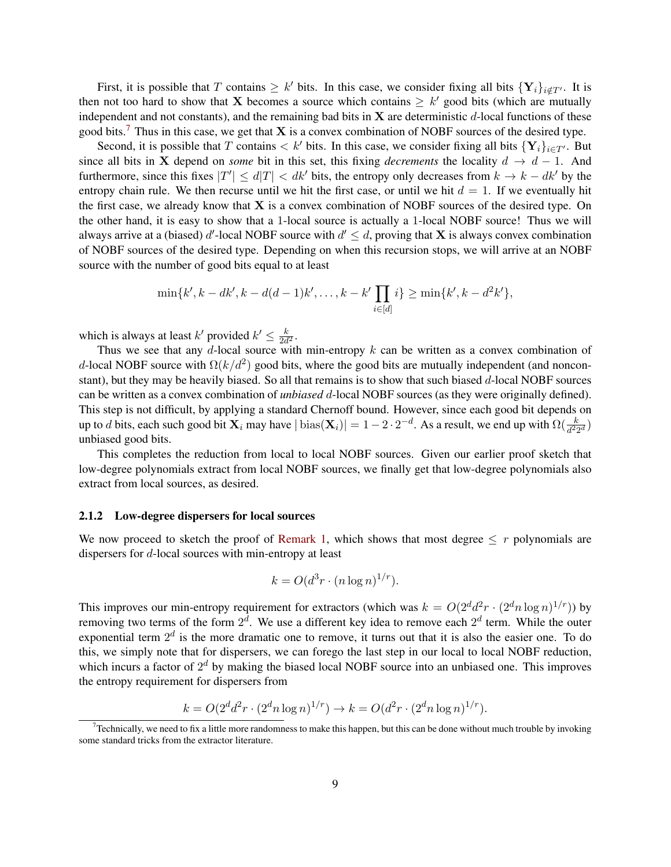First, it is possible that T contains  $\geq k'$  bits. In this case, we consider fixing all bits  $\{Y_i\}_{i \notin T'}$ . It is then not too hard to show that **X** becomes a source which contains  $\geq k'$  good bits (which are mutually independent and not constants), and the remaining bad bits in  $X$  are deterministic  $d$ -local functions of these good bits.<sup>[7](#page-9-0)</sup> Thus in this case, we get that  $X$  is a convex combination of NOBF sources of the desired type.

Second, it is possible that T contains  $\lt k'$  bits. In this case, we consider fixing all bits  $\{Y_i\}_{i\in T'}$ . But since all bits in X depend on *some* bit in this set, this fixing *decrements* the locality  $d \rightarrow d - 1$ . And furthermore, since this fixes  $|T'| \le d|T| < dk'$  bits, the entropy only decreases from  $k \to k - dk'$  by the entropy chain rule. We then recurse until we hit the first case, or until we hit  $d = 1$ . If we eventually hit the first case, we already know that  $X$  is a convex combination of NOBF sources of the desired type. On the other hand, it is easy to show that a 1-local source is actually a 1-local NOBF source! Thus we will always arrive at a (biased) d'-local NOBF source with  $d' \leq d$ , proving that X is always convex combination of NOBF sources of the desired type. Depending on when this recursion stops, we will arrive at an NOBF source with the number of good bits equal to at least

$$
\min\{k', k - dk', k - d(d-1)k', \dots, k - k'\prod_{i \in [d]} i\} \ge \min\{k', k - d^2k'\},\
$$

which is always at least k' provided  $k' \leq \frac{k}{2d}$  $rac{k}{2d^2}$ .

Thus we see that any d-local source with min-entropy  $k$  can be written as a convex combination of d-local NOBF source with  $\Omega(k/d^2)$  good bits, where the good bits are mutually independent (and nonconstant), but they may be heavily biased. So all that remains is to show that such biased d-local NOBF sources can be written as a convex combination of *unbiased* d-local NOBF sources (as they were originally defined). This step is not difficult, by applying a standard Chernoff bound. However, since each good bit depends on up to  $d$  bits, each such good bit  $\mathbf{X}_i$  may have  $|\operatorname{bias}(\mathbf{X}_i)|=1-2\cdot2^{-d}.$  As a result, we end up with  $\Omega(\frac{k}{d^22^d})$ unbiased good bits.

This completes the reduction from local to local NOBF sources. Given our earlier proof sketch that low-degree polynomials extract from local NOBF sources, we finally get that low-degree polynomials also extract from local sources, as desired.

#### 2.1.2 Low-degree dispersers for local sources

We now proceed to sketch the proof of [Remark 1,](#page-3-3) which shows that most degree  $\leq r$  polynomials are dispersers for d-local sources with min-entropy at least

$$
k = O(d^3r \cdot (n \log n)^{1/r}).
$$

This improves our min-entropy requirement for extractors (which was  $k = O(2^d d^2 r \cdot (2^d n \log n)^{1/r})$ ) by removing two terms of the form  $2^d$ . We use a different key idea to remove each  $2^d$  term. While the outer exponential term  $2<sup>d</sup>$  is the more dramatic one to remove, it turns out that it is also the easier one. To do this, we simply note that for dispersers, we can forego the last step in our local to local NOBF reduction, which incurs a factor of  $2<sup>d</sup>$  by making the biased local NOBF source into an unbiased one. This improves the entropy requirement for dispersers from

$$
k = O(2dd2r \cdot (2dn \log n)1/r) \to k = O(d2r \cdot (2dn \log n)1/r).
$$

<span id="page-9-0"></span> $7$ Technically, we need to fix a little more randomness to make this happen, but this can be done without much trouble by invoking some standard tricks from the extractor literature.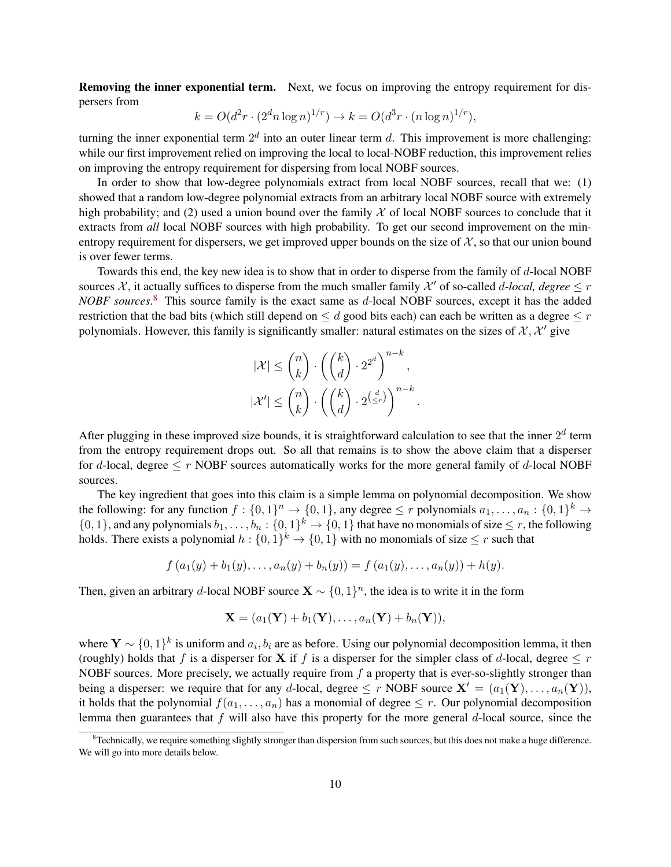Removing the inner exponential term. Next, we focus on improving the entropy requirement for dispersers from

$$
k = O(d^{2}r \cdot (2^{d}n \log n)^{1/r}) \to k = O(d^{3}r \cdot (n \log n)^{1/r}),
$$

turning the inner exponential term  $2^d$  into an outer linear term d. This improvement is more challenging: while our first improvement relied on improving the local to local-NOBF reduction, this improvement relies on improving the entropy requirement for dispersing from local NOBF sources.

In order to show that low-degree polynomials extract from local NOBF sources, recall that we: (1) showed that a random low-degree polynomial extracts from an arbitrary local NOBF source with extremely high probability; and (2) used a union bound over the family  $\mathcal X$  of local NOBF sources to conclude that it extracts from *all* local NOBF sources with high probability. To get our second improvement on the minentropy requirement for dispersers, we get improved upper bounds on the size of  $X$ , so that our union bound is over fewer terms.

Towards this end, the key new idea is to show that in order to disperse from the family of d-local NOBF sources X, it actually suffices to disperse from the much smaller family  $X'$  of so-called d-local, degree  $\leq r$ *NOBF sources*. [8](#page-10-0) This source family is the exact same as d-local NOBF sources, except it has the added restriction that the bad bits (which still depend on  $\leq d$  good bits each) can each be written as a degree  $\leq r$ polynomials. However, this family is significantly smaller: natural estimates on the sizes of  $\mathcal{X}, \mathcal{X}'$  give

$$
|\mathcal{X}| \leq {n \choose k} \cdot \left({k \choose d} \cdot 2^{2^d}\right)^{n-k},
$$
  

$$
|\mathcal{X}'| \leq {n \choose k} \cdot \left({k \choose d} \cdot 2^{\left(\frac{d}{\leq r}\right)}\right)^{n-k}.
$$

After plugging in these improved size bounds, it is straightforward calculation to see that the inner  $2^d$  term from the entropy requirement drops out. So all that remains is to show the above claim that a disperser for d-local, degree  $\leq r$  NOBF sources automatically works for the more general family of d-local NOBF sources.

The key ingredient that goes into this claim is a simple lemma on polynomial decomposition. We show the following: for any function  $f: \{0,1\}^n \to \{0,1\}$ , any degree  $\leq r$  polynomials  $a_1, \ldots, a_n: \{0,1\}^k \to$  $\{0,1\}$ , and any polynomials  $b_1, \ldots, b_n : \{0,1\}^k \to \{0,1\}$  that have no monomials of size  $\leq r$ , the following holds. There exists a polynomial  $h: \{0,1\}^k \to \{0,1\}$  with no monomials of size  $\leq r$  such that

$$
f(a_1(y) + b_1(y), \ldots, a_n(y) + b_n(y)) = f(a_1(y), \ldots, a_n(y)) + h(y).
$$

Then, given an arbitrary d-local NOBF source  $X \sim \{0, 1\}^n$ , the idea is to write it in the form

$$
\mathbf{X} = (a_1(\mathbf{Y}) + b_1(\mathbf{Y}), \dots, a_n(\mathbf{Y}) + b_n(\mathbf{Y})),
$$

where  $Y \sim \{0,1\}^k$  is uniform and  $a_i, b_i$  are as before. Using our polynomial decomposition lemma, it then (roughly) holds that f is a disperser for **X** if f is a disperser for the simpler class of d-local, degree  $\leq r$ NOBF sources. More precisely, we actually require from  $f$  a property that is ever-so-slightly stronger than being a disperser: we require that for any d-local, degree  $\leq r$  NOBF source  $X' = (a_1(Y), \ldots, a_n(Y)),$ it holds that the polynomial  $f(a_1, \ldots, a_n)$  has a monomial of degree  $\leq r$ . Our polynomial decomposition lemma then guarantees that  $f$  will also have this property for the more general  $d$ -local source, since the

<span id="page-10-0"></span> $8$ Technically, we require something slightly stronger than dispersion from such sources, but this does not make a huge difference. We will go into more details below.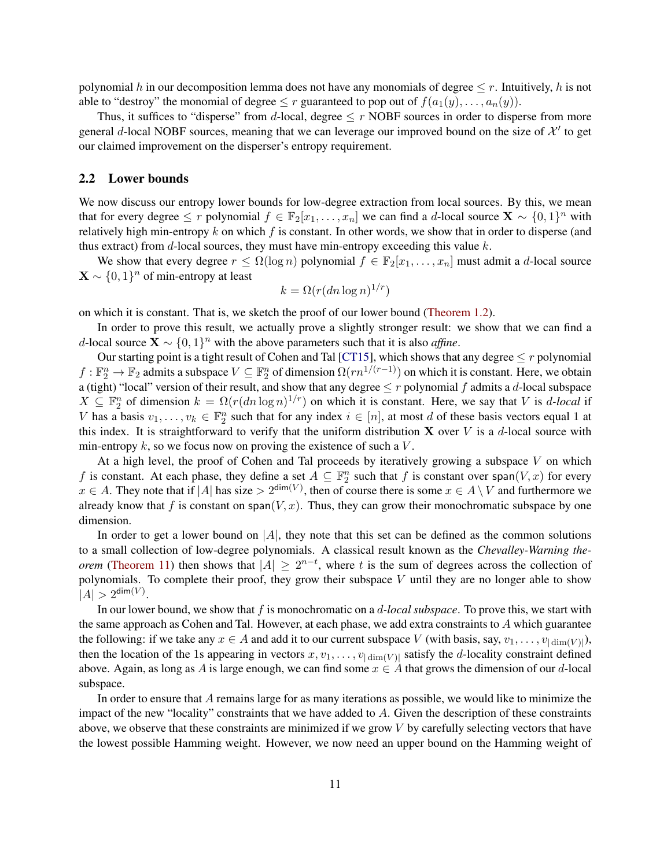polynomial h in our decomposition lemma does not have any monomials of degree  $\leq r$ . Intuitively, h is not able to "destroy" the monomial of degree  $\leq r$  guaranteed to pop out of  $f(a_1(y), \ldots, a_n(y))$ .

Thus, it suffices to "disperse" from d-local, degree  $\leq r$  NOBF sources in order to disperse from more general d-local NOBF sources, meaning that we can leverage our improved bound on the size of  $\mathcal{X}'$  to get our claimed improvement on the disperser's entropy requirement.

#### 2.2 Lower bounds

We now discuss our entropy lower bounds for low-degree extraction from local sources. By this, we mean that for every degree  $\leq r$  polynomial  $f \in \mathbb{F}_2[x_1,\ldots,x_n]$  we can find a d-local source  $\mathbf{X} \sim \{0,1\}^n$  with relatively high min-entropy  $k$  on which  $f$  is constant. In other words, we show that in order to disperse (and thus extract) from  $d$ -local sources, they must have min-entropy exceeding this value  $k$ .

We show that every degree  $r \leq \Omega(\log n)$  polynomial  $f \in \mathbb{F}_2[x_1, \ldots, x_n]$  must admit a d-local source  $\mathbf{X} \sim \{0, 1\}^n$  of min-entropy at least

$$
k = \Omega(r(dn \log n)^{1/r})
$$

on which it is constant. That is, we sketch the proof of our lower bound [\(Theorem 1.2\)](#page-4-2).

In order to prove this result, we actually prove a slightly stronger result: we show that we can find a d-local source  $\mathbf{X} \sim \{0, 1\}^n$  with the above parameters such that it is also *affine*.

Our starting point is a tight result of Cohen and Tal [\[CT15\]](#page-42-5), which shows that any degree  $\leq r$  polynomial  $f:\mathbb{F}_2^n\to\mathbb{F}_2$  admits a subspace  $V\subseteq\mathbb{F}_2^n$  of dimension  $\Omega(rn^{1/(r-1)})$  on which it is constant. Here, we obtain a (tight) "local" version of their result, and show that any degree  $\leq r$  polynomial f admits a d-local subspace  $X \subseteq \mathbb{F}_2^n$  of dimension  $k = \Omega(r(dn \log n)^{1/r})$  on which it is constant. Here, we say that V is *d*-local if V has a basis  $v_1, \ldots, v_k \in \mathbb{F}_2^n$  such that for any index  $i \in [n]$ , at most d of these basis vectors equal 1 at this index. It is straightforward to verify that the uniform distribution  $X$  over  $V$  is a d-local source with min-entropy  $k$ , so we focus now on proving the existence of such a  $V$ .

At a high level, the proof of Cohen and Tal proceeds by iteratively growing a subspace  $V$  on which f is constant. At each phase, they define a set  $A \subseteq \mathbb{F}_2^n$  such that f is constant over span $(V, x)$  for every  $x \in A$ . They note that if |A| has size  $> 2^{\dim(V)}$ , then of course there is some  $x \in A \setminus V$  and furthermore we already know that f is constant on span( $V, x$ ). Thus, they can grow their monochromatic subspace by one dimension.

In order to get a lower bound on  $|A|$ , they note that this set can be defined as the common solutions to a small collection of low-degree polynomials. A classical result known as the *Chevalley-Warning theorem* [\(Theorem 11\)](#page-28-0) then shows that  $|A| \geq 2^{n-t}$ , where t is the sum of degrees across the collection of polynomials. To complete their proof, they grow their subspace  $V$  until they are no longer able to show  $|A| > 2^{\dim(V)}$ .

In our lower bound, we show that f is monochromatic on a d*-local subspace*. To prove this, we start with the same approach as Cohen and Tal. However, at each phase, we add extra constraints to  $A$  which guarantee the following: if we take any  $x \in A$  and add it to our current subspace V (with basis, say,  $v_1, \ldots, v_{|\dim(V)|}$ ), then the location of the 1s appearing in vectors  $x, v_1, \dots, v_{|\dim(V)|}$  satisfy the d-locality constraint defined above. Again, as long as A is large enough, we can find some  $x \in A$  that grows the dimension of our d-local subspace.

In order to ensure that A remains large for as many iterations as possible, we would like to minimize the impact of the new "locality" constraints that we have added to A. Given the description of these constraints above, we observe that these constraints are minimized if we grow V by carefully selecting vectors that have the lowest possible Hamming weight. However, we now need an upper bound on the Hamming weight of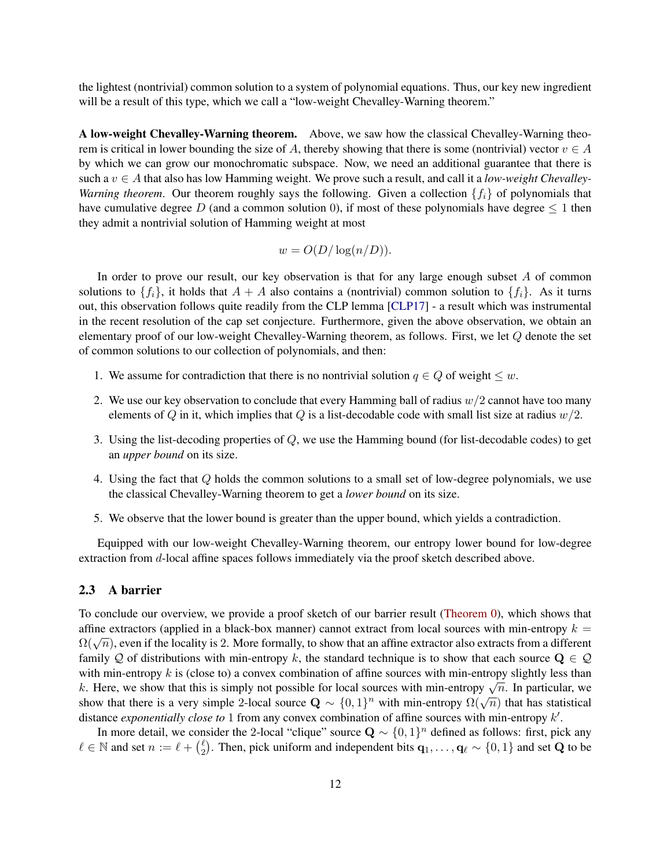the lightest (nontrivial) common solution to a system of polynomial equations. Thus, our key new ingredient will be a result of this type, which we call a "low-weight Chevalley-Warning theorem."

A low-weight Chevalley-Warning theorem. Above, we saw how the classical Chevalley-Warning theorem is critical in lower bounding the size of A, thereby showing that there is some (nontrivial) vector  $v \in A$ by which we can grow our monochromatic subspace. Now, we need an additional guarantee that there is such a v ∈ A that also has low Hamming weight. We prove such a result, and call it a *low-weight Chevalley-Warning theorem.* Our theorem roughly says the following. Given a collection  $\{f_i\}$  of polynomials that have cumulative degree D (and a common solution 0), if most of these polynomials have degree  $\leq 1$  then they admit a nontrivial solution of Hamming weight at most

$$
w = O(D/\log(n/D)).
$$

In order to prove our result, our key observation is that for any large enough subset A of common solutions to  $\{f_i\}$ , it holds that  $A + A$  also contains a (nontrivial) common solution to  $\{f_i\}$ . As it turns out, this observation follows quite readily from the CLP lemma [\[CLP17\]](#page-42-8) - a result which was instrumental in the recent resolution of the cap set conjecture. Furthermore, given the above observation, we obtain an elementary proof of our low-weight Chevalley-Warning theorem, as follows. First, we let Q denote the set of common solutions to our collection of polynomials, and then:

- 1. We assume for contradiction that there is no nontrivial solution  $q \in Q$  of weight  $\leq w$ .
- 2. We use our key observation to conclude that every Hamming ball of radius  $w/2$  cannot have too many elements of Q in it, which implies that Q is a list-decodable code with small list size at radius  $w/2$ .
- 3. Using the list-decoding properties of Q, we use the Hamming bound (for list-decodable codes) to get an *upper bound* on its size.
- 4. Using the fact that Q holds the common solutions to a small set of low-degree polynomials, we use the classical Chevalley-Warning theorem to get a *lower bound* on its size.
- 5. We observe that the lower bound is greater than the upper bound, which yields a contradiction.

Equipped with our low-weight Chevalley-Warning theorem, our entropy lower bound for low-degree extraction from d-local affine spaces follows immediately via the proof sketch described above.

## 2.3 A barrier

To conclude our overview, we provide a proof sketch of our barrier result [\(Theorem 0\)](#page-2-1), which shows that affine extractors (applied in a black-box manner) cannot extract from local sources with min-entropy  $k =$ affine extractors (applied in a black-box manner) cannot extract from local sources with fini-entropy  $\kappa = \Omega(\sqrt{n})$ , even if the locality is 2. More formally, to show that an affine extractor also extracts from a different family Q of distributions with min-entropy k, the standard technique is to show that each source  $Q \in \mathcal{Q}$ with min-entropy  $k$  is (close to) a convex combination of affine sources with min-entropy slightly less than with finn-entropy  $\kappa$  is (close to) a convex combination of armic sources with min-entropy singitity less than  $k$ . Here, we show that this is simply not possible for local sources with min-entropy  $\sqrt{n}$ . In particular show that there is a very simple 2-local source  $\mathbf{Q} \sim \{0, 1\}^n$  with min-entropy  $\Omega(\sqrt{n})$  that has statistical distance *exponentially close to* 1 from any convex combination of affine sources with min-entropy k'.

In more detail, we consider the 2-local "clique" source  $\mathbf{Q} \sim \{0, 1\}^n$  defined as follows: first, pick any  $\ell \in \mathbb{N}$  and set  $n := \ell + \binom{\ell}{2}$  $\binom{\ell}{2}$ . Then, pick uniform and independent bits  $\mathbf{q}_1, \ldots, \mathbf{q}_{\ell} \sim \{0, 1\}$  and set **Q** to be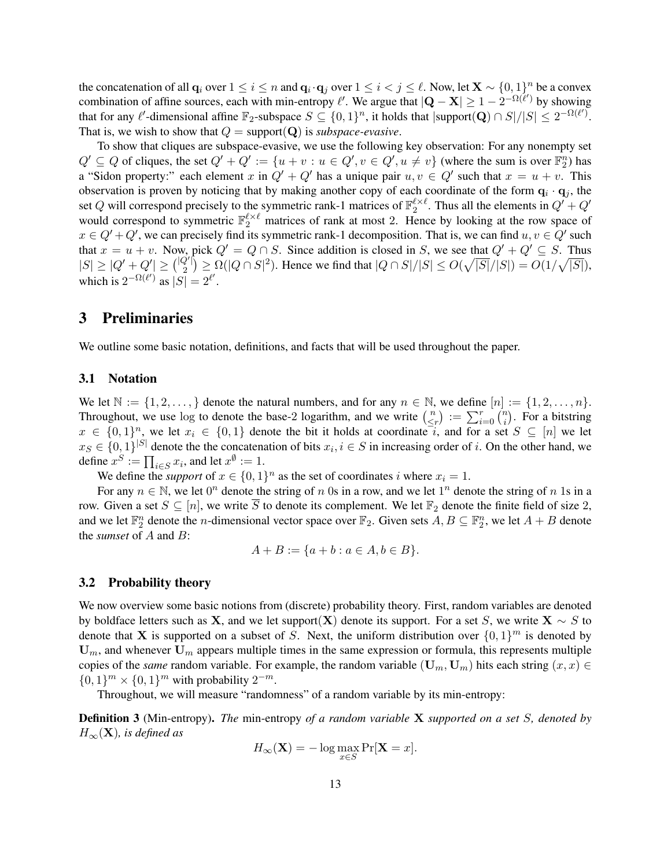the concatenation of all  $\mathbf{q}_i$  over  $1 \leq i \leq n$  and  $\mathbf{q}_i \cdot \mathbf{q}_j$  over  $1 \leq i < j \leq \ell$ . Now, let  $\mathbf{X} \sim \{0,1\}^n$  be a convex combination of affine sources, each with min-entropy  $\ell'$ . We argue that  $|\mathbf{Q} - \mathbf{X}| \geq 1 - 2^{-\Omega(\ell')}$  by showing that for any  $\ell'$ -dimensional affine  $\mathbb{F}_2$ -subspace  $S \subseteq \{0,1\}^n$ , it holds that  $|\text{support}(Q) \cap S|/|S| \leq 2^{-\Omega(\ell')}$ . That is, we wish to show that  $Q = support(Q)$  is *subspace-evasive*.

To show that cliques are subspace-evasive, we use the following key observation: For any nonempty set  $Q' \subseteq Q$  of cliques, the set  $Q' + Q' := \{u + v : u \in Q', v \in Q', u \neq v\}$  (where the sum is over  $\mathbb{F}_2^n$ ) has a "Sidon property:" each element x in  $Q' + Q'$  has a unique pair  $u, v \in Q'$  such that  $x = u + v$ . This observation is proven by noticing that by making another copy of each coordinate of the form  $\mathbf{q}_i \cdot \mathbf{q}_j$ , the set Q will correspond precisely to the symmetric rank-1 matrices of  $\mathbb{F}_2^{\ell \times \ell}$ . Thus all the elements in  $Q' + Q'$ would correspond to symmetric  $\mathbb{F}_2^{\ell \times \ell}$  matrices of rank at most 2. Hence by looking at the row space of  $x \in Q' + Q'$ , we can precisely find its symmetric rank-1 decomposition. That is, we can find  $u, v \in Q'$  such that  $x = u + v$ . Now, pick  $Q' = Q \cap S$ . Since addition is closed in S, we see that  $Q' + Q' \subseteq S$ . Thus  $|S| \ge |Q' + Q'| \ge \binom{|Q'|}{2}$  $\mathcal{Q}^2$   $\geq \Omega(|Q \cap S|^2)$ . Hence we find that  $|Q \cap S|/|S| \leq O(\sqrt{|S|}/|S|) = O(1/\sqrt{|S|}),$ which is  $2^{-\Omega(\ell')}$  as  $|S| = 2^{\ell'}.$ 

# 3 Preliminaries

We outline some basic notation, definitions, and facts that will be used throughout the paper.

## 3.1 Notation

We let  $\mathbb{N} := \{1, 2, \ldots\}$  denote the natural numbers, and for any  $n \in \mathbb{N}$ , we define  $[n] := \{1, 2, \ldots, n\}$ . Throughout, we use log to denote the base-2 logarithm, and we write  $\binom{n}{\leq n}$  $\binom{n}{\leq r} := \sum_{i=0}^{r} \binom{n}{i}$  $\binom{n}{i}$ . For a bitstring  $x \in \{0,1\}^n$ , we let  $x_i \in \{0,1\}$  denote the bit it holds at coordinate i, and for a set  $S \subseteq [n]$  we let  $x_S \in \{0,1\}^{|S|}$  denote the the concatenation of bits  $x_i, i \in S$  in increasing order of i. On the other hand, we define  $x^S := \prod_{i \in S} x_i$ , and let  $x^{\emptyset} := 1$ .

We define the *support* of  $x \in \{0,1\}^n$  as the set of coordinates i where  $x_i = 1$ .

For any  $n \in \mathbb{N}$ , we let  $0^n$  denote the string of n 0s in a row, and we let  $1^n$  denote the string of n 1s in a row. Given a set  $S \subseteq [n]$ , we write  $\overline{S}$  to denote its complement. We let  $\mathbb{F}_2$  denote the finite field of size 2, and we let  $\mathbb{F}_2^n$  denote the *n*-dimensional vector space over  $\mathbb{F}_2$ . Given sets  $A, B \subseteq \mathbb{F}_2^n$ , we let  $A + B$  denote the *sumset* of A and B:

$$
A + B := \{a + b : a \in A, b \in B\}.
$$

## 3.2 Probability theory

We now overview some basic notions from (discrete) probability theory. First, random variables are denoted by boldface letters such as X, and we let support(X) denote its support. For a set S, we write  $X \sim S$  to denote that **X** is supported on a subset of S. Next, the uniform distribution over  $\{0,1\}^m$  is denoted by **, and whenever**  $**U**<sub>m</sub>$  **appears multiple times in the same expression or formula, this represents multiple** copies of the *same* random variable. For example, the random variable  $(\mathbf{U}_m, \mathbf{U}_m)$  hits each string  $(x, x) \in$  $\{0,1\}^m \times \{0,1\}^m$  with probability  $2^{-m}$ .

Throughout, we will measure "randomness" of a random variable by its min-entropy:

Definition 3 (Min-entropy). *The* min-entropy *of a random variable* X *supported on a set* S*, denoted by*  $H_{\infty}(\mathbf{X})$ *, is defined as* 

$$
H_{\infty}(\mathbf{X}) = -\log \max_{x \in S} \Pr[\mathbf{X} = x].
$$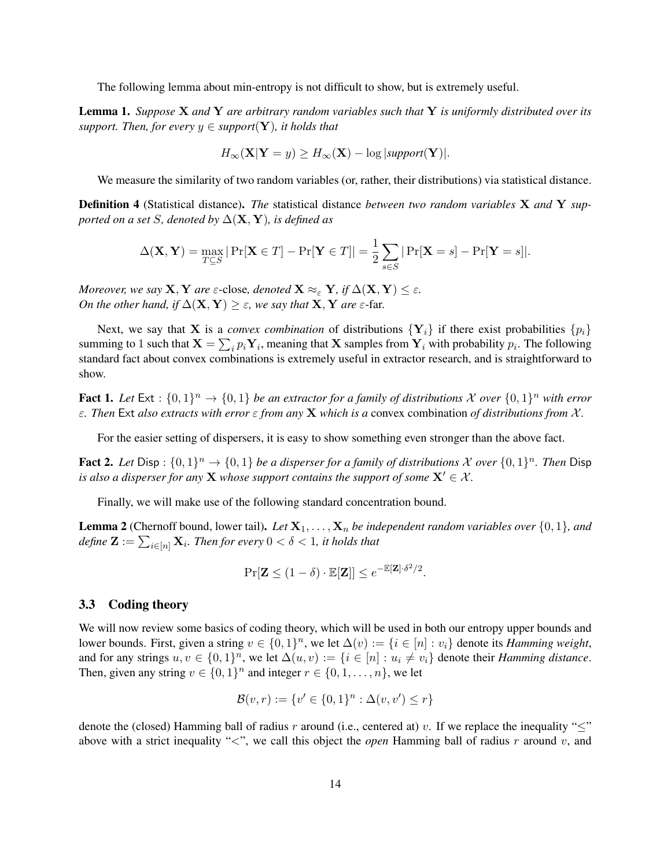The following lemma about min-entropy is not difficult to show, but is extremely useful.

<span id="page-14-1"></span>Lemma 1. *Suppose* X *and* Y *are arbitrary random variables such that* Y *is uniformly distributed over its support. Then, for every*  $y \in support(Y)$ *, it holds that* 

$$
H_{\infty}(\mathbf{X}|\mathbf{Y}=y) \ge H_{\infty}(\mathbf{X}) - \log |\text{support}(\mathbf{Y})|.
$$

We measure the similarity of two random variables (or, rather, their distributions) via statistical distance.

Definition 4 (Statistical distance). *The* statistical distance *between two random variables* X *and* Y *supported on a set* S, denoted by  $\Delta$ (**X**, **Y**), is defined as

$$
\Delta(\mathbf{X}, \mathbf{Y}) = \max_{T \subseteq S} |\Pr[\mathbf{X} \in T] - \Pr[\mathbf{Y} \in T]| = \frac{1}{2} \sum_{s \in S} |\Pr[\mathbf{X} = s] - \Pr[\mathbf{Y} = s]|.
$$

*Moreover, we say*  $X, Y$  *are*  $\varepsilon$ -close, *denoted*  $X \approx_{\varepsilon} Y$ , *if*  $\Delta(X, Y) \leq \varepsilon$ . *On the other hand, if*  $\Delta$ ( $X, Y$ )  $\geq \varepsilon$ *, we say that*  $X, Y$  *are*  $\varepsilon$ -far.

Next, we say that **X** is a *convex combination* of distributions  $\{Y_i\}$  if there exist probabilities  $\{p_i\}$ summing to 1 such that  $X = \sum_i p_i Y_i$ , meaning that X samples from  $Y_i$  with probability  $p_i$ . The following standard fact about convex combinations is extremely useful in extractor research, and is straightforward to show.

<span id="page-14-0"></span>**Fact 1.** Let  $Ext : \{0,1\}^n \to \{0,1\}$  be an extractor for a family of distributions X over  $\{0,1\}^n$  with error ε*. Then* Ext *also extracts with error* ε *from any* X *which is a* convex combination *of distributions from* X *.*

For the easier setting of dispersers, it is easy to show something even stronger than the above fact.

<span id="page-14-3"></span>Fact 2. Let Disp :  $\{0,1\}^n \to \{0,1\}$  be a disperser for a family of distributions X over  $\{0,1\}^n$ . Then Disp *is also a disperser for any* **X** *whose support contains the support of some*  $X' \in \mathcal{X}$ *.* 

Finally, we will make use of the following standard concentration bound.

<span id="page-14-2"></span>**Lemma 2** (Chernoff bound, lower tail). Let  $X_1, \ldots, X_n$  be independent random variables over  $\{0, 1\}$ , and define  $\mathbf{Z} := \sum_{i \in [n]} \mathbf{X}_i$ *. Then for every*  $0 < \delta < 1$ *, it holds that* 

$$
\Pr[\mathbf{Z} \le (1 - \delta) \cdot \mathbb{E}[\mathbf{Z}]] \le e^{-\mathbb{E}[\mathbf{Z}]\cdot \delta^2/2}.
$$

#### 3.3 Coding theory

We will now review some basics of coding theory, which will be used in both our entropy upper bounds and lower bounds. First, given a string  $v \in \{0,1\}^n$ , we let  $\Delta(v) := \{i \in [n] : v_i\}$  denote its *Hamming weight*, and for any strings  $u, v \in \{0, 1\}^n$ , we let  $\Delta(u, v) := \{i \in [n] : u_i \neq v_i\}$  denote their *Hamming distance*. Then, given any string  $v \in \{0, 1\}^n$  and integer  $r \in \{0, 1, \dots, n\}$ , we let

$$
\mathcal{B}(v,r) := \{v' \in \{0,1\}^n : \Delta(v,v') \le r\}
$$

denote the (closed) Hamming ball of radius r around (i.e., centered at) v. If we replace the inequality " $\leq$ " above with a strict inequality " $\lt$ ", we call this object the *open* Hamming ball of radius r around v, and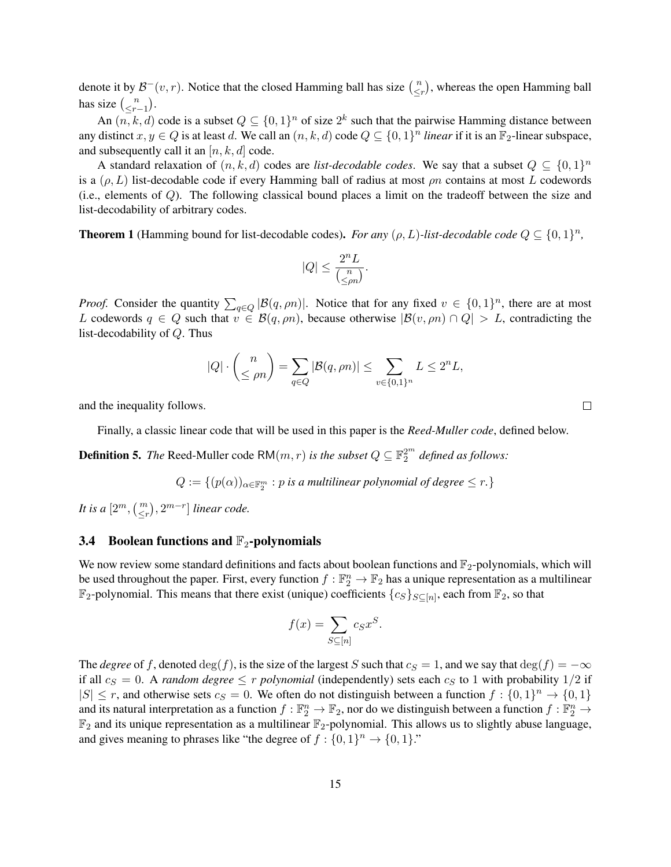denote it by  $\mathcal{B}^-(v,r)$ . Notice that the closed Hamming ball has size  $\binom{n}{\leq r}$  $\binom{n}{\leq r}$ , whereas the open Hamming ball has size  $\binom{n}{\leq r}$  $\binom{n}{r-1}$ .

An  $(n, k, d)$  code is a subset  $Q \subseteq \{0, 1\}^n$  of size  $2^k$  such that the pairwise Hamming distance between any distinct  $x, y \in Q$  is at least d. We call an  $(n, k, d)$  code  $Q \subseteq \{0, 1\}^n$  linear if it is an  $\mathbb{F}_2$ -linear subspace, and subsequently call it an  $[n, k, d]$  code.

A standard relaxation of  $(n, k, d)$  codes are *list-decodable codes*. We say that a subset  $Q \subseteq \{0, 1\}^n$ is a  $(\rho, L)$  list-decodable code if every Hamming ball of radius at most  $\rho n$  contains at most L codewords (i.e., elements of Q). The following classical bound places a limit on the tradeoff between the size and list-decodability of arbitrary codes.

<span id="page-15-0"></span>**Theorem 1** (Hamming bound for list-decodable codes). *For any*  $(\rho, L)$ -list-decodable code  $Q \subseteq \{0, 1\}^n$ ,

$$
|Q| \le \frac{2^n L}{\binom{n}{\le \rho n}}.
$$

*Proof.* Consider the quantity  $\sum_{q \in Q} |\mathcal{B}(q, \rho n)|$ . Notice that for any fixed  $v \in \{0, 1\}^n$ , there are at most L codewords  $q \in Q$  such that  $v \in B(q, \rho n)$ , because otherwise  $|B(v, \rho n) \cap Q| > L$ , contradicting the list-decodability of Q. Thus

$$
|Q| \cdot \binom{n}{\le \rho n} = \sum_{q \in Q} |\mathcal{B}(q, \rho n)| \le \sum_{v \in \{0, 1\}^n} L \le 2^n L,
$$

and the inequality follows.

Finally, a classic linear code that will be used in this paper is the *Reed-Muller code*, defined below.

**Definition 5.** The Reed-Muller code  $\textsf{RM}(m, r)$  is the subset  $Q \subseteq \mathbb{F}_2^{2^m}$  defined as follows:

$$
Q := \{ (p(\alpha))_{\alpha \in \mathbb{F}_2^m} : p \text{ is a multilinear polynomial of degree } \leq r. \}
$$

*It is a*  $[2^m, \binom{m}{\leq r}, 2^{m-r}]$  *linear code.* 

## 3.4 Boolean functions and  $\mathbb{F}_2$ -polynomials

We now review some standard definitions and facts about boolean functions and  $\mathbb{F}_2$ -polynomials, which will be used throughout the paper. First, every function  $f : \mathbb{F}_2^n \to \mathbb{F}_2$  has a unique representation as a multilinear  $\mathbb{F}_2$ -polynomial. This means that there exist (unique) coefficients  $\{c_S\}_{S\subseteq[n]}$ , each from  $\mathbb{F}_2$ , so that

$$
f(x) = \sum_{S \subseteq [n]} c_S x^S.
$$

The *degree* of f, denoted deg(f), is the size of the largest S such that  $c_S = 1$ , and we say that  $\deg(f) = -\infty$ if all  $c_S = 0$ . A *random degree*  $\leq r$  *polynomial* (independently) sets each  $c_S$  to 1 with probability 1/2 if  $|S| \leq r$ , and otherwise sets  $c_S = 0$ . We often do not distinguish between a function  $f: \{0,1\}^n \to \{0,1\}$ and its natural interpretation as a function  $f:\mathbb{F}_2^n\to\mathbb{F}_2$ , nor do we distinguish between a function  $f:\mathbb{F}_2^n\to\mathbb{F}_2$  $\mathbb{F}_2$  and its unique representation as a multilinear  $\mathbb{F}_2$ -polynomial. This allows us to slightly abuse language, and gives meaning to phrases like "the degree of  $f: \{0,1\}^n \to \{0,1\}$ ."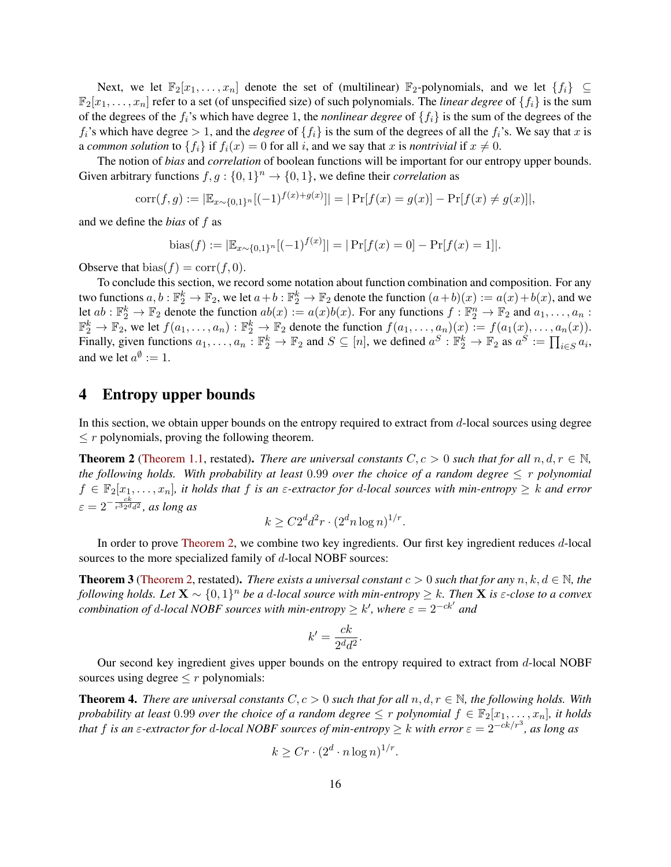Next, we let  $\mathbb{F}_2[x_1,\ldots,x_n]$  denote the set of (multilinear)  $\mathbb{F}_2$ -polynomials, and we let  $\{f_i\} \subseteq$  $\mathbb{F}_2[x_1,\ldots,x_n]$  refer to a set (of unspecified size) of such polynomials. The *linear degree* of  $\{f_i\}$  is the sum of the degrees of the  $f_i$ 's which have degree 1, the *nonlinear degree* of  $\{f_i\}$  is the sum of the degrees of the  $f_i$ 's which have degree  $> 1$ , and the *degree* of  $\{f_i\}$  is the sum of the degrees of all the  $f_i$ 's. We say that x is a *common solution* to  $\{f_i\}$  if  $f_i(x) = 0$  for all i, and we say that x is *nontrivial* if  $x \neq 0$ .

The notion of *bias* and *correlation* of boolean functions will be important for our entropy upper bounds. Given arbitrary functions  $f, g: \{0, 1\}^n \to \{0, 1\}$ , we define their *correlation* as

$$
corr(f,g) := |\mathbb{E}_{x \sim \{0,1\}^n} [(-1)^{f(x)+g(x)}]| = |\Pr[f(x) = g(x)] - \Pr[f(x) \neq g(x)]|,
$$

and we define the *bias* of f as

bias
$$
(f) := |\mathbb{E}_{x \sim \{0,1\}^n}[(-1)^{f(x)}]| = |\Pr[f(x) = 0] - \Pr[f(x) = 1]|.
$$

Observe that  $bias(f) = corr(f, 0)$ .

To conclude this section, we record some notation about function combination and composition. For any two functions  $a, b: \mathbb{F}_2^k \to \mathbb{F}_2$ , we let  $a+b: \mathbb{F}_2^k \to \mathbb{F}_2$  denote the function  $(a+b)(x) := a(x)+b(x)$ , and we let  $ab : \mathbb{F}_2^k \to \mathbb{F}_2$  denote the function  $ab(x) := a(x)b(x)$ . For any functions  $f : \mathbb{F}_2^n \to \mathbb{F}_2$  and  $a_1, \ldots, a_n$ :  $\mathbb{F}_2^k \to \mathbb{F}_2$ , we let  $f(a_1, \ldots, a_n) : \mathbb{F}_2^k \to \mathbb{F}_2$  denote the function  $f(a_1, \ldots, a_n)(x) := f(a_1(x), \ldots, a_n(x))$ . Finally, given functions  $a_1, \ldots, a_n : \mathbb{F}_2^k \to \mathbb{F}_2$  and  $S \subseteq [n]$ , we defined  $a^S : \mathbb{F}_2^k \to \mathbb{F}_2$  as  $a^S := \prod_{i \in S} a_i$ , and we let  $a^{\emptyset} := 1$ .

## <span id="page-16-3"></span>4 Entropy upper bounds

In this section, we obtain upper bounds on the entropy required to extract from d-local sources using degree  $\leq r$  polynomials, proving the following theorem.

<span id="page-16-0"></span>**Theorem 2** [\(Theorem 1.1,](#page-3-2) restated). *There are universal constants*  $C, c > 0$  *such that for all*  $n, d, r \in \mathbb{N}$ , *the following holds. With probability at least* 0.99 *over the choice of a random degree* ≤ r *polynomial*  $f \in \mathbb{F}_2[x_1,\ldots,x_n]$ , it holds that f is an  $\varepsilon$ -extractor for d-local sources with min-entropy  $\geq k$  and error  $\varepsilon = 2^{-\frac{ck}{r^32^dd^2}}$ , as long as

$$
k \ge C 2^d d^2 r \cdot (2^d n \log n)^{1/r}
$$

.

In order to prove [Theorem 2,](#page-16-0) we combine two key ingredients. Our first key ingredient reduces d-local sources to the more specialized family of d-local NOBF sources:

<span id="page-16-1"></span>**Theorem 3** [\(Theorem 2,](#page-4-4) restated). *There exists a universal constant*  $c > 0$  *such that for any*  $n, k, d \in \mathbb{N}$ *, the following holds. Let* X ∼ {0, 1} <sup>n</sup> *be a* d*-local source with min-entropy* ≥ k*. Then* X *is* ε*-close to a convex combination of d-local NOBF sources with min-entropy*  $\geq k'$ , where  $\varepsilon = 2^{-ck'}$  and

$$
k' = \frac{ck}{2^d d^2}.
$$

Our second key ingredient gives upper bounds on the entropy required to extract from d-local NOBF sources using degree  $\leq r$  polynomials:

<span id="page-16-2"></span>**Theorem 4.** *There are universal constants*  $C, c > 0$  *such that for all*  $n, d, r \in \mathbb{N}$ *, the following holds. With probability at least* 0.99 *over the choice of a random degree*  $\leq r$  *polynomial*  $f \in \mathbb{F}_2[x_1, \ldots, x_n]$ *, it holds that f is an ε-extractor for d-local NOBF sources of min-entropy*  $\geq$  k with error  $\varepsilon = 2^{-ck/r^3}$ , as long as

$$
k \ge Cr \cdot (2^d \cdot n \log n)^{1/r}.
$$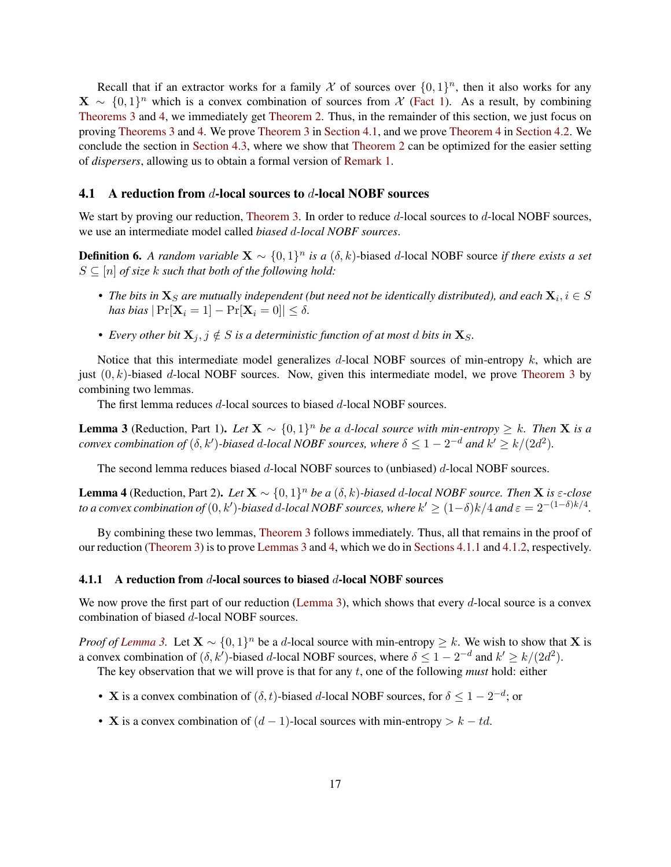Recall that if an extractor works for a family X of sources over  $\{0,1\}^n$ , then it also works for any  $\mathbf{X} \sim \{0, 1\}^n$  which is a convex combination of sources from X [\(Fact 1\)](#page-14-0). As a result, by combining [Theorems 3](#page-16-1) and [4,](#page-16-2) we immediately get [Theorem 2.](#page-16-0) Thus, in the remainder of this section, we just focus on proving [Theorems 3](#page-16-1) and [4.](#page-16-2) We prove [Theorem 3](#page-16-1) in [Section 4.1,](#page-17-0) and we prove [Theorem 4](#page-16-2) in [Section 4.2.](#page-20-0) We conclude the section in [Section 4.3,](#page-23-1) where we show that [Theorem 2](#page-16-0) can be optimized for the easier setting of *dispersers*, allowing us to obtain a formal version of [Remark 1.](#page-3-3)

#### <span id="page-17-0"></span>4.1 A reduction from d-local sources to d-local NOBF sources

We start by proving our reduction, [Theorem 3.](#page-16-1) In order to reduce  $d$ -local sources to  $d$ -local NOBF sources, we use an intermediate model called *biased* d*-local NOBF sources*.

Definition 6. *A random variable* X ∼ {0, 1} n *is a* (δ, k)-biased d-local NOBF source *if there exists a set*  $S \subseteq [n]$  *of size* k *such that both of the following hold:* 

- The bits in  $\mathbf{X}_S$  are mutually independent (but need not be identically distributed), and each  $\mathbf{X}_i, i \in S$  $has bias \, |Pr[\mathbf{X}_i = 1] - Pr[\mathbf{X}_i = 0]| \leq \delta.$
- *Every other bit*  $X_j$ ,  $j \notin S$  *is a deterministic function of at most d bits in*  $X_S$ .

Notice that this intermediate model generalizes  $d$ -local NOBF sources of min-entropy  $k$ , which are just  $(0, k)$ -biased d-local NOBF sources. Now, given this intermediate model, we prove [Theorem 3](#page-16-1) by combining two lemmas.

The first lemma reduces d-local sources to biased d-local NOBF sources.

<span id="page-17-1"></span>**Lemma 3** (Reduction, Part 1). Let  $X \sim \{0, 1\}^n$  be a d-local source with min-entropy  $\geq k$ . Then X is a *convex combination of*  $(\delta, k')$ -biased d-local NOBF sources, where  $\delta \leq 1 - 2^{-d}$  and  $k' \geq k/(2d^2)$ .

The second lemma reduces biased  $d$ -local NOBF sources to (unbiased)  $d$ -local NOBF sources.

<span id="page-17-2"></span>**Lemma 4** (Reduction, Part 2). *Let*  $\mathbf{X} \sim \{0, 1\}^n$  *be a* (δ, k)-biased d-local NOBF source. Then  $\mathbf{X}$  is ε-close to a convex combination of  $(0,k')$ -biased d-local NOBF sources, where  $k'\geq (1-\delta)k/4$  and  $\varepsilon=2^{-(1-\delta)k/4}.$ 

By combining these two lemmas, [Theorem 3](#page-16-1) follows immediately. Thus, all that remains in the proof of our reduction [\(Theorem 3\)](#page-16-1) is to prove [Lemmas 3](#page-17-1) and [4,](#page-17-2) which we do in [Sections 4.1.1](#page-17-3) and [4.1.2,](#page-19-0) respectively.

#### <span id="page-17-3"></span>4.1.1 A reduction from d-local sources to biased d-local NOBF sources

We now prove the first part of our reduction [\(Lemma 3\)](#page-17-1), which shows that every  $d$ -local source is a convex combination of biased d-local NOBF sources.

*Proof of [Lemma 3.](#page-17-1)* Let  $X \sim \{0, 1\}^n$  be a *d*-local source with min-entropy  $\geq k$ . We wish to show that X is a convex combination of  $(\delta, k')$ -biased d-local NOBF sources, where  $\delta \leq 1 - 2^{-d}$  and  $k' \geq k/(2d^2)$ .

The key observation that we will prove is that for any t, one of the following *must* hold: either

- **X** is a convex combination of  $(\delta, t)$ -biased d-local NOBF sources, for  $\delta \leq 1 2^{-d}$ ; or
- X is a convex combination of  $(d-1)$ -local sources with min-entropy  $> k td$ .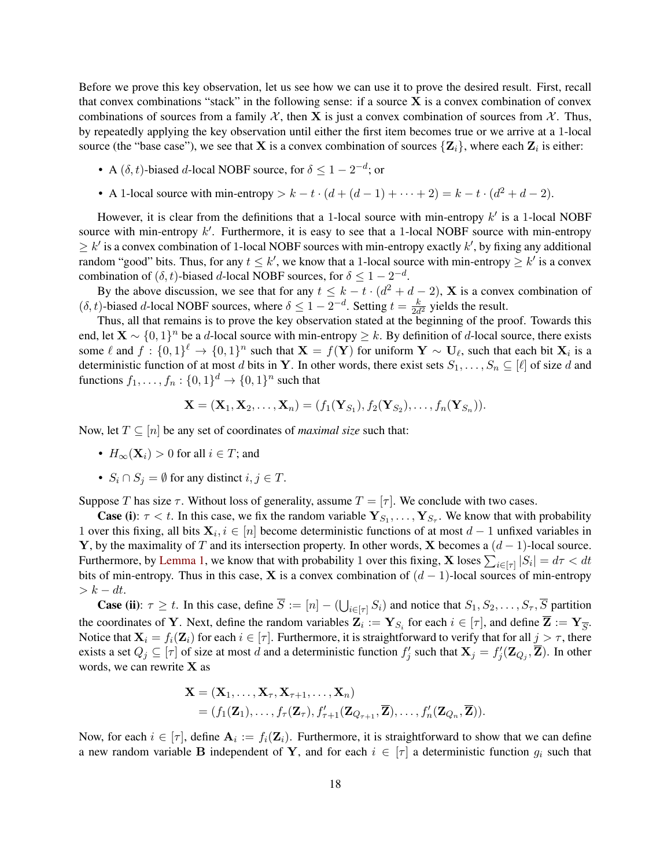Before we prove this key observation, let us see how we can use it to prove the desired result. First, recall that convex combinations "stack" in the following sense: if a source  $X$  is a convex combination of convex combinations of sources from a family  $\mathcal{X}$ , then **X** is just a convex combination of sources from  $\mathcal{X}$ . Thus, by repeatedly applying the key observation until either the first item becomes true or we arrive at a 1-local source (the "base case"), we see that **X** is a convex combination of sources  $\{Z_i\}$ , where each  $Z_i$  is either:

- A  $(\delta, t)$ -biased d-local NOBF source, for  $\delta \leq 1 2^{-d}$ ; or
- A 1-local source with min-entropy  $> k t \cdot (d + (d 1) + \cdots + 2) = k t \cdot (d^2 + d 2)$ .

However, it is clear from the definitions that a 1-local source with min-entropy  $k'$  is a 1-local NOBF source with min-entropy  $k'$ . Furthermore, it is easy to see that a 1-local NOBF source with min-entropy  $\geq k'$  is a convex combination of 1-local NOBF sources with min-entropy exactly k', by fixing any additional random "good" bits. Thus, for any  $t \leq k'$ , we know that a 1-local source with min-entropy  $\geq k'$  is a convex combination of  $(\delta, t)$ -biased d-local NOBF sources, for  $\delta \leq 1 - 2^{-d}$ .

By the above discussion, we see that for any  $t \leq k - t \cdot (d^2 + d - 2)$ , **X** is a convex combination of  $(\delta, t)$ -biased d-local NOBF sources, where  $\delta \leq 1 - 2^{-d}$ . Setting  $t = \frac{k}{2d}$  $\frac{k}{2d^2}$  yields the result.

Thus, all that remains is to prove the key observation stated at the beginning of the proof. Towards this end, let  $\mathbf{X} \sim \{0, 1\}^n$  be a d-local source with min-entropy  $\geq k$ . By definition of d-local source, there exists some  $\ell$  and  $f: \{0,1\}^{\ell} \to \{0,1\}^n$  such that  $\mathbf{X} = f(\mathbf{Y})$  for uniform  $\mathbf{Y} \sim \mathbf{U}_{\ell}$ , such that each bit  $\mathbf{X}_i$  is a deterministic function of at most d bits in Y. In other words, there exist sets  $S_1, \ldots, S_n \subseteq [\ell]$  of size d and functions  $f_1, \ldots, f_n : \{0,1\}^d \to \{0,1\}^n$  such that

$$
\mathbf{X}=(\mathbf{X}_1,\mathbf{X}_2,\ldots,\mathbf{X}_n)=(f_1(\mathbf{Y}_{S_1}),f_2(\mathbf{Y}_{S_2}),\ldots,f_n(\mathbf{Y}_{S_n})).
$$

Now, let  $T \subseteq [n]$  be any set of coordinates of *maximal size* such that:

- $H_{\infty}(\mathbf{X}_i) > 0$  for all  $i \in T$ ; and
- $S_i \cap S_j = \emptyset$  for any distinct  $i, j \in T$ .

Suppose T has size  $\tau$ . Without loss of generality, assume  $T = [\tau]$ . We conclude with two cases.

**Case (i):**  $\tau < t$ . In this case, we fix the random variable  $Y_{S_1}, \ldots, Y_{S_{\tau}}$ . We know that with probability 1 over this fixing, all bits  $X_i, i \in [n]$  become deterministic functions of at most  $d-1$  unfixed variables in Y, by the maximality of T and its intersection property. In other words, X becomes a  $(d-1)$ -local source. Furthermore, by [Lemma 1,](#page-14-1) we know that with probability 1 over this fixing, **X** loses  $\sum_{i\in[\tau]}|S_i| = d\tau < dt$ bits of min-entropy. Thus in this case, **X** is a convex combination of  $(d-1)$ -local sources of min-entropy  $> k - dt$ .

**Case (ii)**:  $\tau \geq t$ . In this case, define  $\overline{S} := [n] - (\bigcup_{i \in [\tau]} S_i)$  and notice that  $S_1, S_2, \ldots, S_{\tau}, \overline{S}$  partition the coordinates of Y. Next, define the random variables  $\mathbf{Z}_i := \mathbf{Y}_{S_i}$  for each  $i \in [\tau]$ , and define  $\overline{\mathbf{Z}} := \mathbf{Y}_{\overline{S}}$ . Notice that  $X_i = f_i(Z_i)$  for each  $i \in [\tau]$ . Furthermore, it is straightforward to verify that for all  $j > \tau$ , there exists a set  $Q_j \subseteq [\tau]$  of size at most d and a deterministic function  $f'_j$  such that  $X_j = f'_j(\mathbf{Z}_{Q_j}, \overline{\mathbf{Z}})$ . In other words, we can rewrite  $X$  as

$$
\mathbf{X} = (\mathbf{X}_1, \dots, \mathbf{X}_{\tau}, \mathbf{X}_{\tau+1}, \dots, \mathbf{X}_n)
$$
  
=  $(f_1(\mathbf{Z}_1), \dots, f_{\tau}(\mathbf{Z}_{\tau}), f'_{\tau+1}(\mathbf{Z}_{Q_{\tau+1}}, \overline{\mathbf{Z}}), \dots, f'_n(\mathbf{Z}_{Q_n}, \overline{\mathbf{Z}})).$ 

Now, for each  $i \in [\tau]$ , define  $A_i := f_i(\mathbf{Z}_i)$ . Furthermore, it is straightforward to show that we can define a new random variable B independent of Y, and for each  $i \in [\tau]$  a deterministic function  $g_i$  such that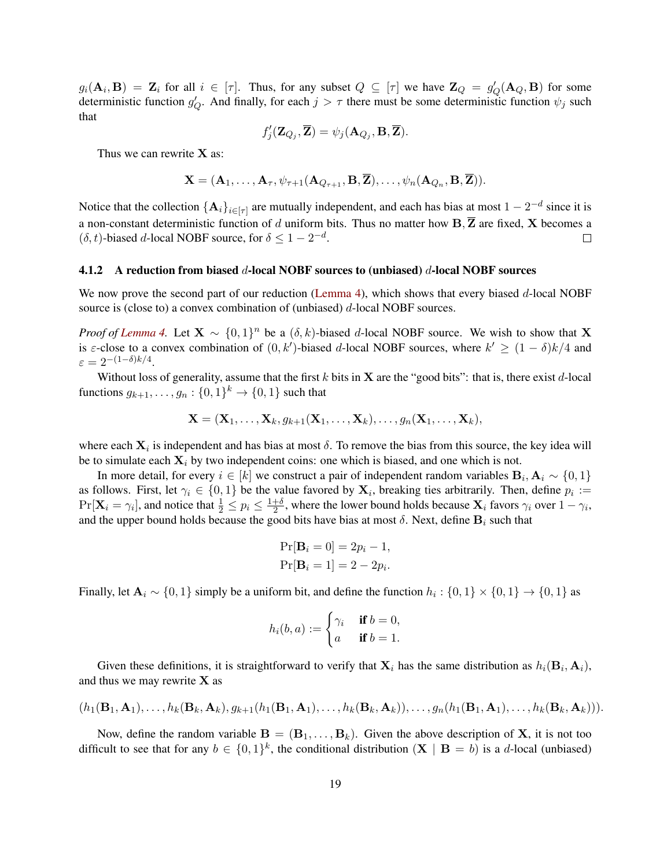$g_i(\mathbf{A}_i, \mathbf{B}) = \mathbf{Z}_i$  for all  $i \in [\tau]$ . Thus, for any subset  $Q \subseteq [\tau]$  we have  $\mathbf{Z}_Q = g'_Q(\mathbf{A}_Q, \mathbf{B})$  for some deterministic function  $g'_{Q}$ . And finally, for each  $j > \tau$  there must be some deterministic function  $\psi_j$  such that

$$
f'_{j}(\mathbf{Z}_{Q_{j}},\overline{\mathbf{Z}})=\psi_{j}(\mathbf{A}_{Q_{j}},\mathbf{B},\overline{\mathbf{Z}}).
$$

Thus we can rewrite  $X$  as:

$$
\mathbf{X} = (\mathbf{A}_1, \dots, \mathbf{A}_{\tau}, \psi_{\tau+1}(\mathbf{A}_{Q_{\tau+1}}, \mathbf{B}, \overline{\mathbf{Z}}), \dots, \psi_n(\mathbf{A}_{Q_n}, \mathbf{B}, \overline{\mathbf{Z}})).
$$

Notice that the collection  $\{{\bf A}_i\}_{i \in [\tau]}$  are mutually independent, and each has bias at most  $1-2^{-d}$  since it is a non-constant deterministic function of d uniform bits. Thus no matter how  $B$ ,  $\overline{Z}$  are fixed,  $X$  becomes a  $(\delta, t)$ -biased d-local NOBF source, for  $\delta \leq 1 - 2^{-d}$ .  $\Box$ 

#### <span id="page-19-0"></span>4.1.2 A reduction from biased  $d$ -local NOBF sources to (unbiased)  $d$ -local NOBF sources

We now prove the second part of our reduction [\(Lemma 4\)](#page-17-2), which shows that every biased d-local NOBF source is (close to) a convex combination of (unbiased) d-local NOBF sources.

*Proof of [Lemma 4.](#page-17-2)* Let  $X \sim \{0, 1\}^n$  be a  $(\delta, k)$ -biased d-local NOBF source. We wish to show that X is  $\varepsilon$ -close to a convex combination of  $(0, k')$ -biased d-local NOBF sources, where  $k' \geq (1 - \delta)k/4$  and  $\varepsilon = 2^{-(1-\delta)k/4}.$ 

Without loss of generality, assume that the first  $k$  bits in  $X$  are the "good bits": that is, there exist  $d$ -local functions  $g_{k+1}, \ldots, g_n : \{0,1\}^k \to \{0,1\}$  such that

$$
\mathbf{X} = (\mathbf{X}_1, \dots, \mathbf{X}_k, g_{k+1}(\mathbf{X}_1, \dots, \mathbf{X}_k), \dots, g_n(\mathbf{X}_1, \dots, \mathbf{X}_k),
$$

where each  $\mathbf{X}_i$  is independent and has bias at most  $\delta$ . To remove the bias from this source, the key idea will be to simulate each  $X_i$  by two independent coins: one which is biased, and one which is not.

In more detail, for every  $i \in [k]$  we construct a pair of independent random variables  $\mathbf{B}_i, \mathbf{A}_i \sim \{0, 1\}$ as follows. First, let  $\gamma_i \in \{0,1\}$  be the value favored by  $\mathbf{X}_i$ , breaking ties arbitrarily. Then, define  $p_i :=$  $Pr[\mathbf{X}_i = \gamma_i]$ , and notice that  $\frac{1}{2} \le p_i \le \frac{1+\delta}{2}$  $\frac{1}{2}$ <sup> $\frac{\partial}{\partial x}$ </sup>, where the lower bound holds because  $\mathbf{X}_i$  favors  $\gamma_i$  over  $1 - \gamma_i$ , and the upper bound holds because the good bits have bias at most  $\delta$ . Next, define  $B_i$  such that

$$
Pr[\mathbf{B}_{i} = 0] = 2p_{i} - 1,
$$
  

$$
Pr[\mathbf{B}_{i} = 1] = 2 - 2p_{i}.
$$

Finally, let  $A_i \sim \{0, 1\}$  simply be a uniform bit, and define the function  $h_i : \{0, 1\} \times \{0, 1\} \to \{0, 1\}$  as

$$
h_i(b, a) := \begin{cases} \gamma_i & \text{if } b = 0, \\ a & \text{if } b = 1. \end{cases}
$$

Given these definitions, it is straightforward to verify that  $X_i$  has the same distribution as  $h_i(\mathbf{B}_i, \mathbf{A}_i)$ , and thus we may rewrite  $X$  as

$$
(h_1(B1, A1),...,h_k(Bk, Ak), gk+1(h_1(B1, A1),...,h_k(Bk, Ak)),...,gn(h_1(B1, A1),...,h_k(Bk, Ak))).
$$

Now, define the random variable  $B = (B_1, \ldots, B_k)$ . Given the above description of X, it is not too difficult to see that for any  $b \in \{0,1\}^k$ , the conditional distribution  $(X \mid B = b)$  is a d-local (unbiased)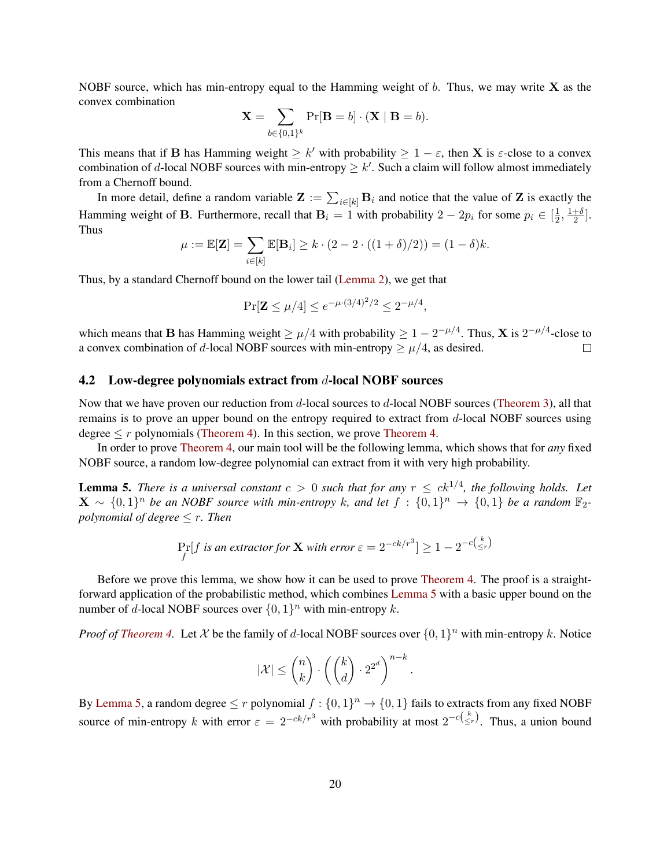NOBF source, which has min-entropy equal to the Hamming weight of  $b$ . Thus, we may write  $X$  as the convex combination

$$
\mathbf{X} = \sum_{b \in \{0,1\}^k} \Pr[\mathbf{B} = b] \cdot (\mathbf{X} \mid \mathbf{B} = b).
$$

This means that if **B** has Hamming weight  $\geq k'$  with probability  $\geq 1 - \varepsilon$ , then **X** is  $\varepsilon$ -close to a convex combination of d-local NOBF sources with min-entropy  $\geq k'$ . Such a claim will follow almost immediately from a Chernoff bound.

In more detail, define a random variable  $\mathbf{Z} := \sum_{i \in [k]} \mathbf{B}_i$  and notice that the value of  $\mathbf{Z}$  is exactly the Hamming weight of B. Furthermore, recall that  $B_i = 1$  with probability  $2 - 2p_i$  for some  $p_i \in \left[\frac{1}{2}\right]$  $\frac{1}{2}, \frac{1+\delta}{2}$  $\frac{+\delta}{2}$ . Thus

$$
\mu := \mathbb{E}[\mathbf{Z}] = \sum_{i \in [k]} \mathbb{E}[\mathbf{B}_i] \ge k \cdot (2 - 2 \cdot ((1 + \delta)/2)) = (1 - \delta)k.
$$

Thus, by a standard Chernoff bound on the lower tail [\(Lemma 2\)](#page-14-2), we get that

$$
\Pr[\mathbf{Z} \le \mu/4] \le e^{-\mu \cdot (3/4)^2/2} \le 2^{-\mu/4},
$$

which means that **B** has Hamming weight  $\geq \mu/4$  with probability  $\geq 1 - 2^{-\mu/4}$ . Thus, **X** is  $2^{-\mu/4}$ -close to a convex combination of d-local NOBF sources with min-entropy  $\geq \frac{\mu}{4}$ , as desired.  $\Box$ 

#### <span id="page-20-0"></span>4.2 Low-degree polynomials extract from d-local NOBF sources

Now that we have proven our reduction from d-local sources to d-local NOBF sources [\(Theorem 3\)](#page-16-1), all that remains is to prove an upper bound on the entropy required to extract from d-local NOBF sources using degree  $\leq r$  polynomials [\(Theorem 4\)](#page-16-2). In this section, we prove [Theorem 4.](#page-16-2)

In order to prove [Theorem 4,](#page-16-2) our main tool will be the following lemma, which shows that for *any* fixed NOBF source, a random low-degree polynomial can extract from it with very high probability.

<span id="page-20-1"></span>**Lemma 5.** There is a universal constant  $c > 0$  such that for any  $r \leq ck^{1/4}$ , the following holds. Let  $\mathbf{X} \sim \{0,1\}^n$  be an NOBF source with min-entropy k, and let  $f: \{0,1\}^n \to \{0,1\}$  be a random  $\mathbb{F}_2$ *polynomial of degree*  $\leq r$ *. Then* 

$$
\Pr_f[f \text{ is an extractor for } \mathbf{X} \text{ with error } \varepsilon = 2^{-ck/r^3}] \ge 1 - 2^{-c\left(\frac{k}{\le r}\right)}
$$

Before we prove this lemma, we show how it can be used to prove [Theorem 4.](#page-16-2) The proof is a straightforward application of the probabilistic method, which combines [Lemma 5](#page-20-1) with a basic upper bound on the number of d-local NOBF sources over  $\{0, 1\}^n$  with min-entropy k.

*Proof of [Theorem 4.](#page-16-2)* Let X be the family of d-local NOBF sources over  $\{0,1\}^n$  with min-entropy k. Notice

$$
|\mathcal{X}| \leq {n \choose k} \cdot \left({k \choose d} \cdot 2^{2^d}\right)^{n-k}.
$$

By [Lemma 5,](#page-20-1) a random degree  $\leq r$  polynomial  $f: \{0,1\}^n \to \{0,1\}$  fails to extracts from any fixed NOBF source of min-entropy k with error  $\varepsilon = 2^{-ck/r^3}$  with probability at most  $2^{-c(\frac{k}{\leq r})}$ . Thus, a union bound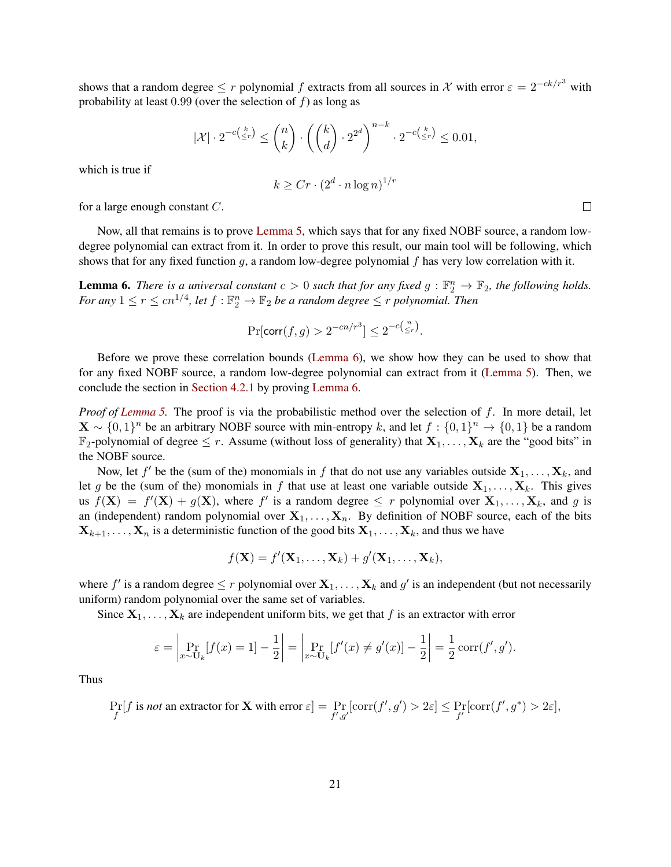shows that a random degree  $\leq r$  polynomial f extracts from all sources in X with error  $\varepsilon = 2^{-ck/r^3}$  with probability at least  $0.99$  (over the selection of  $f$ ) as long as

$$
|\mathcal{X}|\cdot 2^{-c\left(\frac{k}{\leq r}\right)}\leq \binom{n}{k}\cdot \left(\binom{k}{d}\cdot 2^{2^d}\right)^{n-k}\cdot 2^{-c\left(\frac{k}{\leq r}\right)}\leq 0.01,
$$

which is true if

$$
k \ge Cr \cdot (2^d \cdot n \log n)^{1/r}
$$

for a large enough constant C.

Now, all that remains is to prove [Lemma 5,](#page-20-1) which says that for any fixed NOBF source, a random lowdegree polynomial can extract from it. In order to prove this result, our main tool will be following, which shows that for any fixed function g, a random low-degree polynomial  $f$  has very low correlation with it.

<span id="page-21-0"></span>**Lemma 6.** There is a universal constant  $c > 0$  such that for any fixed  $g : \mathbb{F}_2^n \to \mathbb{F}_2$ , the following holds. *For any*  $1 \le r \le cn^{1/4}$ , let  $f : \mathbb{F}_2^n \to \mathbb{F}_2$  be a random degree  $\le r$  polynomial. Then

$$
\Pr[\text{corr}(f,g) > 2^{-cn/r^3}] \le 2^{-c\left(\frac{n}{\le r}\right)}.
$$

Before we prove these correlation bounds [\(Lemma 6\)](#page-21-0), we show how they can be used to show that for any fixed NOBF source, a random low-degree polynomial can extract from it [\(Lemma 5\)](#page-20-1). Then, we conclude the section in [Section 4.2.1](#page-22-0) by proving [Lemma 6.](#page-21-0)

*Proof of [Lemma 5.](#page-20-1)* The proof is via the probabilistic method over the selection of f. In more detail, let  $\mathbf{X} \sim \{0,1\}^n$  be an arbitrary NOBF source with min-entropy k, and let  $f : \{0,1\}^n \to \{0,1\}$  be a random  $\mathbb{F}_2$ -polynomial of degree  $\leq r$ . Assume (without loss of generality) that  $\mathbf{X}_1, \ldots, \mathbf{X}_k$  are the "good bits" in the NOBF source.

Now, let  $f'$  be the (sum of the) monomials in f that do not use any variables outside  $X_1, \ldots, X_k$ , and let g be the (sum of the) monomials in f that use at least one variable outside  $X_1, \ldots, X_k$ . This gives us  $f(\mathbf{X}) = f'(\mathbf{X}) + g(\mathbf{X})$ , where f' is a random degree  $\leq r$  polynomial over  $\mathbf{X}_1, \ldots, \mathbf{X}_k$ , and g is an (independent) random polynomial over  $X_1, \ldots, X_n$ . By definition of NOBF source, each of the bits  $X_{k+1}, \ldots, X_n$  is a deterministic function of the good bits  $X_1, \ldots, X_k$ , and thus we have

$$
f(\mathbf{X}) = f'(\mathbf{X}_1, \ldots, \mathbf{X}_k) + g'(\mathbf{X}_1, \ldots, \mathbf{X}_k),
$$

where f' is a random degree  $\leq r$  polynomial over  $X_1, \ldots, X_k$  and  $g'$  is an independent (but not necessarily uniform) random polynomial over the same set of variables.

Since  $X_1, \ldots, X_k$  are independent uniform bits, we get that f is an extractor with error

$$
\varepsilon = \left| \Pr_{x \sim \mathbf{U}_k} [f(x) = 1] - \frac{1}{2} \right| = \left| \Pr_{x \sim \mathbf{U}_k} [f'(x) \neq g'(x)] - \frac{1}{2} \right| = \frac{1}{2} \operatorname{corr}(f', g').
$$

Thus

$$
\Pr_f[f \text{ is not an extractor for } \mathbf{X} \text{ with error } \varepsilon] = \Pr_{f',g'}[\text{corr}(f',g') > 2\varepsilon] \le \Pr_{f'}[\text{corr}(f',g^*) > 2\varepsilon],
$$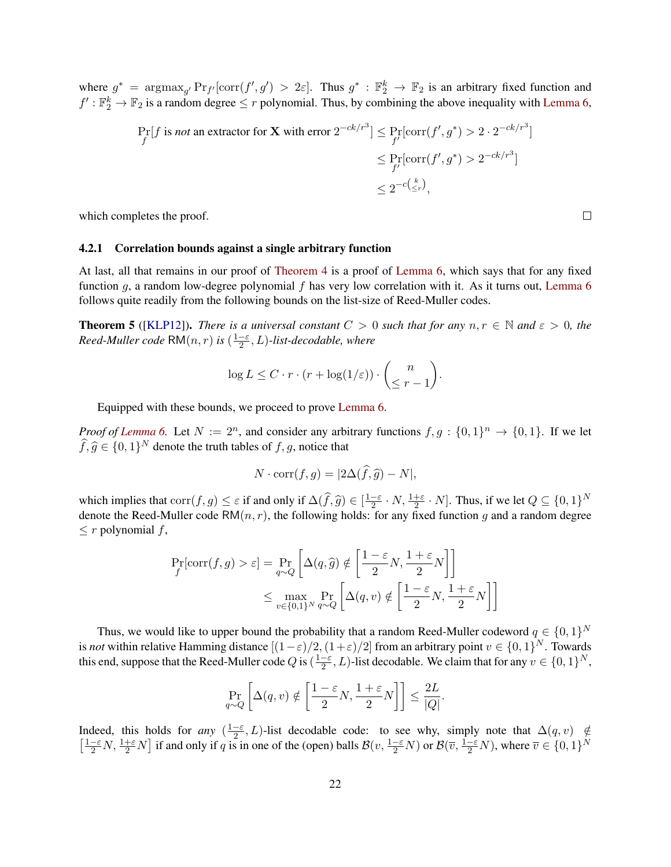where  $g^* = \argmax_{g'} Pr_{f'}[corr(f', g') > 2\varepsilon]$ . Thus  $g^* : \mathbb{F}_2^k \to \mathbb{F}_2$  is an arbitrary fixed function and  $f': \mathbb{F}_2^k \to \mathbb{F}_2$  is a random degree  $\leq r$  polynomial. Thus, by combining the above inequality with [Lemma 6,](#page-21-0)

$$
\Pr_f[f \text{ is not an extractor for } \mathbf{X} \text{ with error } 2^{-ck/r^3}] \le \Pr_{f'}[\text{corr}(f', g^*) > 2 \cdot 2^{-ck/r^3}]
$$
  

$$
\le \Pr_{f'}[\text{corr}(f', g^*) > 2^{-ck/r^3}]
$$
  

$$
\le 2^{-c(\frac{k}{\leq r})},
$$

which completes the proof.

#### <span id="page-22-0"></span>4.2.1 Correlation bounds against a single arbitrary function

At last, all that remains in our proof of [Theorem 4](#page-16-2) is a proof of [Lemma 6,](#page-21-0) which says that for any fixed function g, a random low-degree polynomial f has very low correlation with it. As it turns out, [Lemma 6](#page-21-0) follows quite readily from the following bounds on the list-size of Reed-Muller codes.

<span id="page-22-1"></span>**Theorem 5** ([\[KLP12\]](#page--1-13)). *There is a universal constant*  $C > 0$  *such that for any*  $n, r \in \mathbb{N}$  *and*  $\varepsilon > 0$ *, the Reed-Muller code*  $RM(n,r)$  *is*  $\left(\frac{1-\varepsilon}{2}\right)$  $\frac{-\varepsilon}{2}$ , L)-list-decodable, where

$$
\log L \leq C \cdot r \cdot (r + \log(1/\varepsilon)) \cdot \binom{n}{\leq r - 1}.
$$

Equipped with these bounds, we proceed to prove [Lemma 6.](#page-21-0)

*Proof of [Lemma 6.](#page-21-0)* Let  $N := 2^n$ , and consider any arbitrary functions  $f, g : \{0, 1\}^n \to \{0, 1\}$ . If we let  $\widehat{f}, \widehat{g} \in \{0, 1\}^N$  denote the truth tables of  $f, g$ , notice that

$$
N \cdot \text{corr}(f, g) = |2\Delta(\widehat{f}, \widehat{g}) - N|,
$$

which implies that  $\text{corr}(f, g) \leq \varepsilon$  if and only if  $\Delta(\widehat{f}, \widehat{g}) \in [\frac{1-\varepsilon}{2}]$ <br>denote the Bood Muller gode BM( $\alpha, \pi$ ), the following holds: for  $\frac{-\varepsilon}{2} \cdot N, \frac{1+\varepsilon}{2} \cdot N$ . Thus, if we let  $Q \subseteq \{0,1\}^N$ denote the Reed-Muller code  $RM(n, r)$ , the following holds: for any fixed function g and a random degree  $\leq r$  polynomial f,

$$
\Pr_f[\text{corr}(f,g) > \varepsilon] = \Pr_{q \sim Q} \left[ \Delta(q, \hat{g}) \notin \left[ \frac{1 - \varepsilon}{2} N, \frac{1 + \varepsilon}{2} N \right] \right]
$$

$$
\leq \max_{v \in \{0, 1\}^N} \Pr_{q \sim Q} \left[ \Delta(q, v) \notin \left[ \frac{1 - \varepsilon}{2} N, \frac{1 + \varepsilon}{2} N \right] \right]
$$

Thus, we would like to upper bound the probability that a random Reed-Muller codeword  $q \in \{0,1\}^N$ is *not* within relative Hamming distance  $[(1-\varepsilon)/2, (1+\varepsilon)/2]$  from an arbitrary point  $v \in \{0,1\}^N$ . Towards this end, suppose that the Reed-Muller code Q is  $(\frac{1-\varepsilon}{2})$  $\frac{-\varepsilon}{2}$ , L)-list decodable. We claim that for any  $v \in \{0,1\}^N$ ,

$$
\Pr_{q \sim Q} \left[ \Delta(q, v) \notin \left[ \frac{1 - \varepsilon}{2} N, \frac{1 + \varepsilon}{2} N \right] \right] \le \frac{2L}{|Q|}.
$$

Indeed, this holds for *any*  $\left(\frac{1-\epsilon}{2}\right)$  $\frac{-\varepsilon}{2}$ , L)-list decodable code: to see why, simply note that  $\Delta(q, v) \notin$  $\left[\frac{1-\varepsilon}{2}N, \frac{1+\varepsilon}{2}N\right]$  if and only if q is in one of the (open) balls  $\mathcal{B}(v, \frac{1-\varepsilon}{2}N)$  or  $\mathcal{B}(\overline{v}, \frac{1-\varepsilon}{2}N)$ , where  $\overline{v} \in \{0,1\}^N$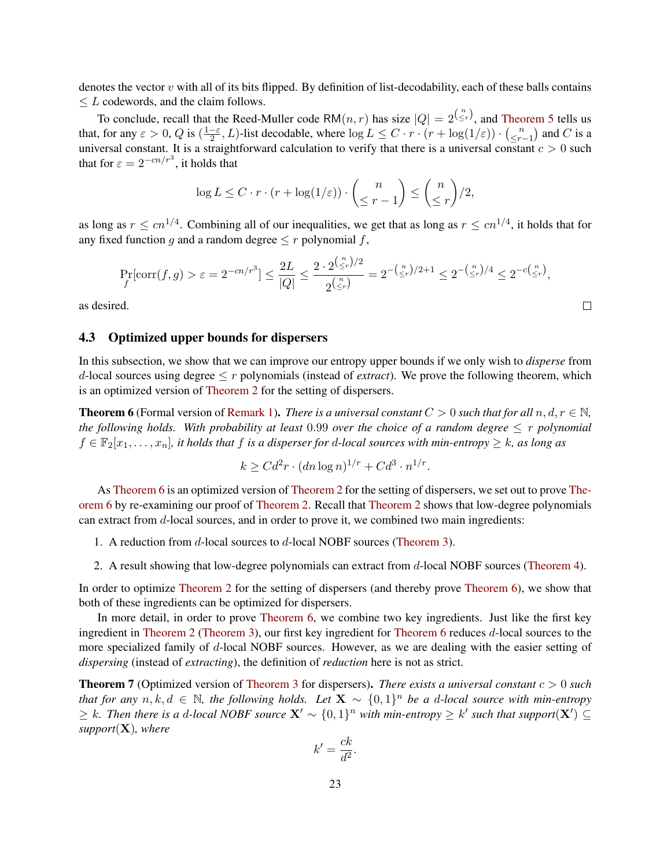denotes the vector  $v$  with all of its bits flipped. By definition of list-decodability, each of these balls contains  $\leq L$  codewords, and the claim follows.

To conclude, recall that the Reed-Muller code RM $(n, r)$  has size  $|Q| = 2^{\binom{n}{\leq r}}$ , and [Theorem 5](#page-22-1) tells us that, for any  $\varepsilon > 0$ , Q is  $\left(\frac{1-\varepsilon}{2}\right)$  $\frac{-\varepsilon}{2}$ , *L*)-list decodable, where  $\log L \leq C \cdot r \cdot (r + \log(1/\varepsilon)) \cdot \binom{n}{\leq r}$  $\binom{n}{r-1}$  and C is a universal constant. It is a straightforward calculation to verify that there is a universal constant  $c > 0$  such that for  $\varepsilon = 2^{-cn/r^3}$ , it holds that

$$
\log L \le C \cdot r \cdot (r + \log(1/\varepsilon)) \cdot \binom{n}{\le r - 1} \le \binom{n}{\le r} / 2,
$$

as long as  $r \leq cn^{1/4}$ . Combining all of our inequalities, we get that as long as  $r \leq cn^{1/4}$ , it holds that for any fixed function g and a random degree  $\leq r$  polynomial f,

$$
\Pr_f[\text{corr}(f,g) > \varepsilon = 2^{-cn/r^3}] \le \frac{2L}{|Q|} \le \frac{2 \cdot 2^{\binom{n}{\le r}/2}}{2^{\binom{n}{\le r}}} = 2^{-\binom{n}{\le r}/2 + 1} \le 2^{-\binom{n}{\le r}/4} \le 2^{-c\binom{n}{\le r}},
$$

 $\Box$ 

as desired.

## <span id="page-23-1"></span>4.3 Optimized upper bounds for dispersers

In this subsection, we show that we can improve our entropy upper bounds if we only wish to *disperse* from d-local sources using degree  $\leq r$  polynomials (instead of *extract*). We prove the following theorem, which is an optimized version of [Theorem 2](#page-16-0) for the setting of dispersers.

<span id="page-23-0"></span>**Theorem 6** (Formal version of [Remark 1\)](#page-3-3). *There is a universal constant*  $C > 0$  *such that for all*  $n, d, r \in \mathbb{N}$ , *the following holds. With probability at least* 0.99 *over the choice of a random degree* ≤ r *polynomial*  $f \in \mathbb{F}_2[x_1,\ldots,x_n]$ , it holds that f is a disperser for d-local sources with min-entropy  $\geq k$ , as long as

$$
k \geq C d^2 r \cdot (dn \log n)^{1/r} + C d^3 \cdot n^{1/r}.
$$

As [Theorem 6](#page-23-0) is an optimized version of [Theorem 2](#page-16-0) for the setting of dispersers, we set out to prove [The](#page-23-0)[orem 6](#page-23-0) by re-examining our proof of [Theorem 2.](#page-16-0) Recall that [Theorem 2](#page-16-0) shows that low-degree polynomials can extract from d-local sources, and in order to prove it, we combined two main ingredients:

- 1. A reduction from d-local sources to d-local NOBF sources [\(Theorem 3\)](#page-16-1).
- 2. A result showing that low-degree polynomials can extract from d-local NOBF sources [\(Theorem 4\)](#page-16-2).

In order to optimize [Theorem 2](#page-16-0) for the setting of dispersers (and thereby prove [Theorem 6\)](#page-23-0), we show that both of these ingredients can be optimized for dispersers.

In more detail, in order to prove [Theorem 6,](#page-23-0) we combine two key ingredients. Just like the first key ingredient in [Theorem 2](#page-16-0) [\(Theorem 3\)](#page-16-1), our first key ingredient for [Theorem 6](#page-23-0) reduces d-local sources to the more specialized family of d-local NOBF sources. However, as we are dealing with the easier setting of *dispersing* (instead of *extracting*), the definition of *reduction* here is not as strict.

<span id="page-23-2"></span>Theorem 7 (Optimized version of [Theorem 3](#page-16-1) for dispersers). *There exists a universal constant* c > 0 *such that for any* n, k, d ∈ N*, the following holds. Let* X ∼ {0, 1} <sup>n</sup> *be a* d*-local source with min-entropy*  $\geq k$ . Then there is a d-local NOBF source  $X' \sim \{0,1\}^n$  with min-entropy  $\geq k'$  such that support( $X'$ ) ⊆ *support*(X)*, where*

$$
k' = \frac{ck}{d^2}.
$$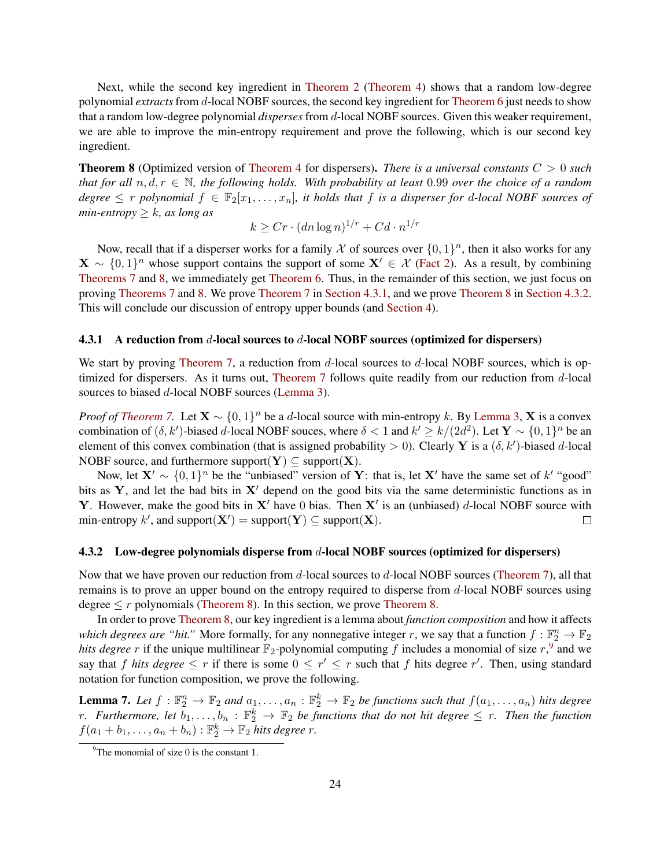Next, while the second key ingredient in [Theorem 2](#page-16-0) [\(Theorem 4\)](#page-16-2) shows that a random low-degree polynomial *extracts* from d-local NOBF sources, the second key ingredient for [Theorem 6](#page-23-0) just needs to show that a random low-degree polynomial *disperses* from d-local NOBF sources. Given this weaker requirement, we are able to improve the min-entropy requirement and prove the following, which is our second key ingredient.

<span id="page-24-0"></span>Theorem 8 (Optimized version of [Theorem 4](#page-16-2) for dispersers). *There is a universal constants* C > 0 *such that for all*  $n, d, r \in \mathbb{N}$ *, the following holds. With probability at least* 0.99 *over the choice of a random degree* ≤ *r polynomial*  $f$  ∈  $\mathbb{F}_2[x_1, \ldots, x_n]$ , *it holds that*  $f$  *is a disperser for d-local NOBF sources of min-entropy*  $\geq k$ *, as long as* 

$$
k \ge Cr \cdot (dn \log n)^{1/r} + Cd \cdot n^{1/r}
$$

Now, recall that if a disperser works for a family X of sources over  $\{0,1\}^n$ , then it also works for any  $\mathbf{X} \sim \{0, 1\}^n$  whose support contains the support of some  $\mathbf{X}' \in \mathcal{X}$  [\(Fact 2\)](#page-14-3). As a result, by combining [Theorems 7](#page-23-2) and [8,](#page-24-0) we immediately get [Theorem 6.](#page-23-0) Thus, in the remainder of this section, we just focus on proving [Theorems 7](#page-23-2) and [8.](#page-24-0) We prove [Theorem 7](#page-23-2) in [Section 4.3.1,](#page-24-1) and we prove [Theorem 8](#page-24-0) in [Section 4.3.2.](#page-24-2) This will conclude our discussion of entropy upper bounds (and [Section 4\)](#page-16-3).

#### <span id="page-24-1"></span>4.3.1 A reduction from  $d$ -local sources to  $d$ -local NOBF sources (optimized for dispersers)

We start by proving [Theorem 7,](#page-23-2) a reduction from  $d$ -local sources to  $d$ -local NOBF sources, which is optimized for dispersers. As it turns out, [Theorem 7](#page-23-2) follows quite readily from our reduction from d-local sources to biased d-local NOBF sources [\(Lemma 3\)](#page-17-1).

*Proof of [Theorem 7.](#page-23-2)* Let  $X \sim \{0, 1\}^n$  be a d-local source with min-entropy k. By [Lemma 3,](#page-17-1) X is a convex combination of  $(\delta, k')$ -biased d-local NOBF souces, where  $\delta < 1$  and  $k' \ge k/(2d^2)$ . Let  $\mathbf{Y} \sim \{0, 1\}^n$  be an element of this convex combination (that is assigned probability  $> 0$ ). Clearly Y is a  $(\delta, k')$ -biased d-local NOBF source, and furthermore support( $Y$ )  $\subseteq$  support( $X$ ).

Now, let  $X' \sim \{0,1\}^n$  be the "unbiased" version of Y: that is, let X' have the same set of k' "good" bits as Y, and let the bad bits in  $X'$  depend on the good bits via the same deterministic functions as in Y. However, make the good bits in  $X'$  have 0 bias. Then  $X'$  is an (unbiased) d-local NOBF source with min-entropy k', and support $({\bf X}')$  = support $({\bf Y}) \subseteq$  support $({\bf X})$ .  $\Box$ 

#### <span id="page-24-2"></span>4.3.2 Low-degree polynomials disperse from d-local NOBF sources (optimized for dispersers)

Now that we have proven our reduction from d-local sources to d-local NOBF sources [\(Theorem 7\)](#page-23-2), all that remains is to prove an upper bound on the entropy required to disperse from d-local NOBF sources using degree  $\leq r$  polynomials [\(Theorem 8\)](#page-24-0). In this section, we prove [Theorem 8.](#page-24-0)

In order to prove [Theorem 8,](#page-24-0) our key ingredient is a lemma about *function composition* and how it affects which degrees are "hit." More formally, for any nonnegative integer r, we say that a function  $f : \mathbb{F}_2^n \to \mathbb{F}_2$ *hits degree* r if the unique multilinear  $\mathbb{F}_2$ -polynomial computing f includes a monomial of size  $r$ , and we say that f hits degree  $\leq r$  if there is some  $0 \leq r' \leq r$  such that f hits degree r'. Then, using standard notation for function composition, we prove the following.

<span id="page-24-4"></span>**Lemma 7.** Let  $f : \mathbb{F}_2^n \to \mathbb{F}_2$  and  $a_1, \ldots, a_n : \mathbb{F}_2^k \to \mathbb{F}_2$  be functions such that  $f(a_1, \ldots, a_n)$  hits degree r. Furthermore, let  $b_1,\ldots,b_n$  :  $\mathbb{F}_2^k \to \mathbb{F}_2$  be functions that do not hit degree  $\leq$  r. Then the function  $f(a_1 + b_1, \ldots, a_n + b_n) : \mathbb{F}_2^k \to \mathbb{F}_2$  *hits degree r*.

<span id="page-24-3"></span><sup>&</sup>lt;sup>9</sup>The monomial of size 0 is the constant 1.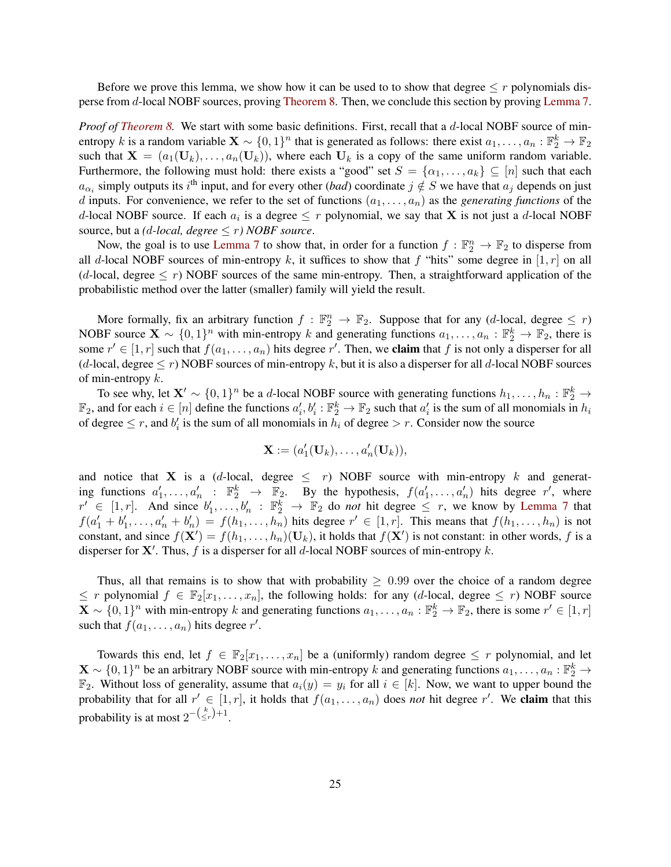Before we prove this lemma, we show how it can be used to to show that degree  $\leq r$  polynomials disperse from d-local NOBF sources, proving [Theorem 8.](#page-24-0) Then, we conclude this section by proving [Lemma 7.](#page-24-4)

*Proof of [Theorem 8.](#page-24-0)* We start with some basic definitions. First, recall that a d-local NOBF source of minentropy k is a random variable  $\mathbf{X} \sim \{0,1\}^n$  that is generated as follows: there exist  $a_1, \ldots, a_n : \mathbb{F}_2^k \to \mathbb{F}_2$ such that  $X = (a_1(U_k), \ldots, a_n(U_k))$ , where each  $U_k$  is a copy of the same uniform random variable. Furthermore, the following must hold: there exists a "good" set  $S = \{ \alpha_1, \dots, \alpha_k \} \subseteq [n]$  such that each  $a_{\alpha_i}$  simply outputs its i<sup>th</sup> input, and for every other (*bad*) coordinate  $j \notin S$  we have that  $a_j$  depends on just d inputs. For convenience, we refer to the set of functions  $(a_1, \ldots, a_n)$  as the *generating functions* of the d-local NOBF source. If each  $a_i$  is a degree  $\leq r$  polynomial, we say that **X** is not just a d-local NOBF source, but a *(d-local, degree*  $\leq r$ *) NOBF source.* 

Now, the goal is to use [Lemma 7](#page-24-4) to show that, in order for a function  $f : \mathbb{F}_2^n \to \mathbb{F}_2$  to disperse from all d-local NOBF sources of min-entropy k, it suffices to show that f "hits" some degree in [1, r] on all (d-local, degree  $\leq r$ ) NOBF sources of the same min-entropy. Then, a straightforward application of the probabilistic method over the latter (smaller) family will yield the result.

More formally, fix an arbitrary function  $f : \mathbb{F}_2^n \to \mathbb{F}_2$ . Suppose that for any (d-local, degree  $\leq r$ ) NOBF source  $\mathbf{X} \sim \{0, 1\}^n$  with min-entropy k and generating functions  $a_1, \ldots, a_n : \mathbb{F}_2^k \to \mathbb{F}_2$ , there is some  $r' \in [1, r]$  such that  $f(a_1, \ldots, a_n)$  hits degree r'. Then, we **claim** that f is not only a disperser for all (d-local, degree  $\leq r$ ) NOBF sources of min-entropy k, but it is also a disperser for all d-local NOBF sources of min-entropy  $k$ .

To see why, let  $X' \sim \{0,1\}^n$  be a d-local NOBF source with generating functions  $h_1, \ldots, h_n : \mathbb{F}_2^k \to$  $\mathbb{F}_2$ , and for each  $i \in [n]$  define the functions  $a'_i, b'_i : \mathbb{F}_2^k \to \mathbb{F}_2$  such that  $a'_i$  is the sum of all monomials in  $h_i$ of degree  $\leq r$ , and  $b'_i$  is the sum of all monomials in  $h_i$  of degree  $> r$ . Consider now the source

$$
\mathbf{X} := (a'_1(\mathbf{U}_k), \dots, a'_n(\mathbf{U}_k)),
$$

and notice that X is a (d-local, degree  $\leq r$ ) NOBF source with min-entropy k and generating functions  $a'_1, \ldots, a'_n : \mathbb{F}_2^k \to \mathbb{F}_2$ . By the hypothesis,  $f(a'_1, \ldots, a'_n)$  hits degree r', where  $r' \in [1, r]$ . And since  $b'_1, \ldots, b'_n : \mathbb{F}_2^k \to \mathbb{F}_2$  do *not* hit degree  $\leq r$ , we know by [Lemma 7](#page-24-4) that  $f(a'_1 + b'_1, \ldots, a'_n + b'_n) = f(h_1, \ldots, h_n)$  hits degree  $r' \in [1, r]$ . This means that  $f(h_1, \ldots, h_n)$  is not constant, and since  $f(\mathbf{X}') = f(h_1, \dots, h_n)(\mathbf{U}_k)$ , it holds that  $f(\mathbf{X}')$  is not constant: in other words, f is a disperser for  $X'$ . Thus, f is a disperser for all d-local NOBF sources of min-entropy k.

Thus, all that remains is to show that with probability  $\geq 0.99$  over the choice of a random degree  $\leq r$  polynomial  $f \in \mathbb{F}_2[x_1,\ldots,x_n]$ , the following holds: for any (d-local, degree  $\leq r$ ) NOBF source  $\mathbf{X} \sim \{0,1\}^n$  with min-entropy k and generating functions  $a_1, \ldots, a_n : \mathbb{F}_2^k \to \mathbb{F}_2$ , there is some  $r' \in [1, r]$ such that  $f(a_1, \ldots, a_n)$  hits degree r'.

Towards this end, let  $f \in \mathbb{F}_2[x_1,\ldots,x_n]$  be a (uniformly) random degree  $\leq r$  polynomial, and let  $\mathbf{X} \sim \{0, 1\}^n$  be an arbitrary NOBF source with min-entropy k and generating functions  $a_1, \ldots, a_n : \mathbb{F}_2^k \to$  $\mathbb{F}_2$ . Without loss of generality, assume that  $a_i(y) = y_i$  for all  $i \in [k]$ . Now, we want to upper bound the probability that for all  $r' \in [1, r]$ , it holds that  $f(a_1, \ldots, a_n)$  does *not* hit degree r'. We **claim** that this probability is at most  $2^{-\left(\frac{k}{\leq r}\right)+1}$ .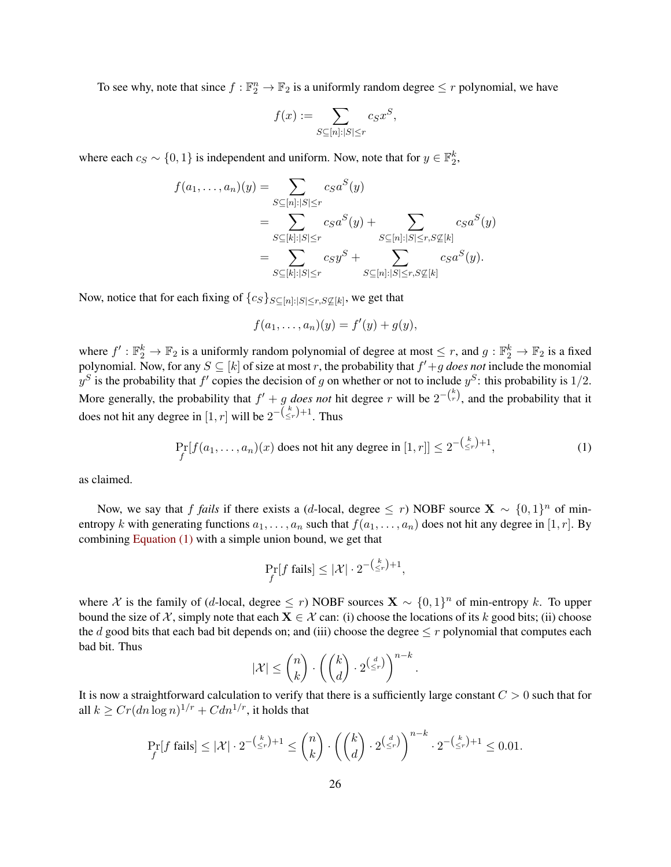To see why, note that since  $f : \mathbb{F}_2^n \to \mathbb{F}_2$  is a uniformly random degree  $\leq r$  polynomial, we have

$$
f(x) := \sum_{S \subseteq [n]: |S| \le r} c_S x^S,
$$

where each  $c_S \sim \{0, 1\}$  is independent and uniform. Now, note that for  $y \in \mathbb{F}_2^k$ ,

$$
f(a_1,..., a_n)(y) = \sum_{S \subseteq [n]:|S| \le r} c_S a^S(y)
$$
  
= 
$$
\sum_{S \subseteq [k]:|S| \le r} c_S a^S(y) + \sum_{S \subseteq [n]:|S| \le r, S \subseteq [k]} c_S a^S(y)
$$
  
= 
$$
\sum_{S \subseteq [k]:|S| \le r} c_S y^S + \sum_{S \subseteq [n]:|S| \le r, S \subseteq [k]} c_S a^S(y).
$$

Now, notice that for each fixing of  $\{c_S\}_{S \subseteq [n]:|S| \le r, S \not\subseteq [k]}$ , we get that

$$
f(a_1,\ldots,a_n)(y) = f'(y) + g(y),
$$

where  $f': \mathbb{F}_2^k \to \mathbb{F}_2$  is a uniformly random polynomial of degree at most  $\leq r$ , and  $g: \mathbb{F}_2^k \to \mathbb{F}_2$  is a fixed polynomial. Now, for any  $S \subseteq [k]$  of size at most r, the probability that  $f' + g$  *does not* include the monomial  $y^S$  is the probability that  $f'$  copies the decision of g on whether or not to include  $y^S$ : this probability is 1/2. More generally, the probability that  $f' + g$  *does not* hit degree r will be  $2^{-{k \choose r}}$ , and the probability that it does not hit any degree in  $[1, r]$  will be  $2^{-\binom{k}{\leq r}+1}$ . Thus

$$
\Pr_f[f(a_1,\ldots,a_n)(x)\text{ does not hit any degree in }[1,r]] \le 2^{-\binom{k}{\leq r}+1},\tag{1}
$$

<span id="page-26-0"></span>.

as claimed.

Now, we say that *f fails* if there exists a (d-local, degree  $\leq r$ ) NOBF source  $X \sim \{0, 1\}^n$  of minentropy k with generating functions  $a_1, \ldots, a_n$  such that  $f(a_1, \ldots, a_n)$  does not hit any degree in [1, r]. By combining [Equation \(1\)](#page-26-0) with a simple union bound, we get that

$$
\Pr_f[f \text{ fails}] \le |\mathcal{X}| \cdot 2^{-\binom{k}{\le r}+1},
$$

where X is the family of (d-local, degree  $\leq r$ ) NOBF sources  $\mathbf{X} \sim \{0, 1\}^n$  of min-entropy k. To upper bound the size of X, simply note that each  $X \in \mathcal{X}$  can: (i) choose the locations of its k good bits; (ii) choose the d good bits that each bad bit depends on; and (iii) choose the degree  $\leq r$  polynomial that computes each bad bit. Thus

$$
|\mathcal{X}| \le \binom{n}{k} \cdot \left( \binom{k}{d} \cdot 2^{\binom{d}{\le r}} \right)^{n-k}
$$

It is now a straightforward calculation to verify that there is a sufficiently large constant  $C > 0$  such that for all  $k \ge Cr(dn\log n)^{1/r} + Cdn^{1/r},$  it holds that

$$
\Pr_f[f \text{ fails}] \le |\mathcal{X}| \cdot 2^{-\binom{k}{\le r}+1} \le \binom{n}{k} \cdot \left(\binom{k}{d} \cdot 2^{\binom{d}{\le r}}\right)^{n-k} \cdot 2^{-\binom{k}{\le r}+1} \le 0.01.
$$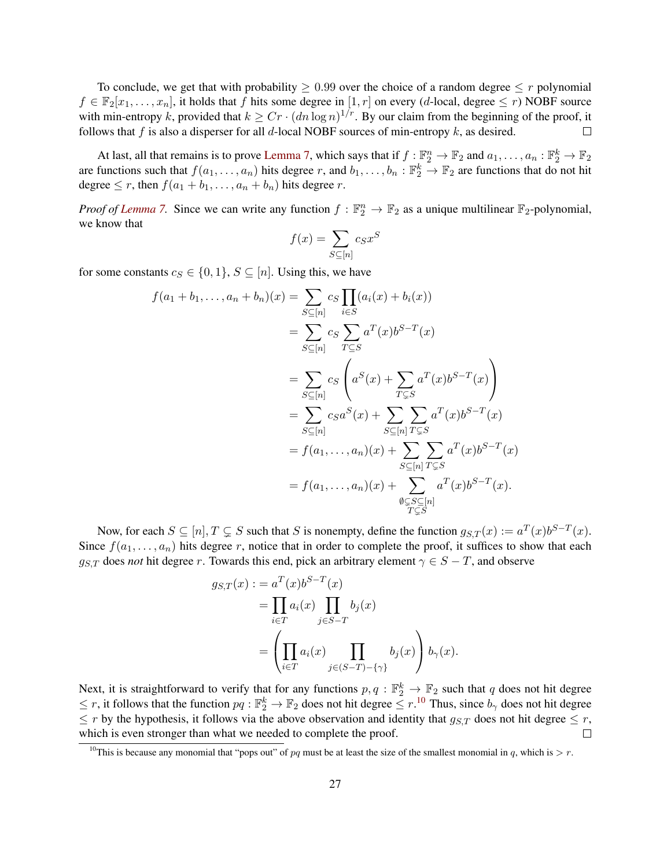To conclude, we get that with probability  $\geq 0.99$  over the choice of a random degree  $\leq r$  polynomial  $f \in \mathbb{F}_2[x_1,\ldots,x_n]$ , it holds that f hits some degree in  $[1,r]$  on every (d-local, degree  $\leq r$ ) NOBF source with min-entropy k, provided that  $k \geq Cr \cdot (dn \log n)^{1/r}$ . By our claim from the beginning of the proof, it follows that  $f$  is also a disperser for all  $d$ -local NOBF sources of min-entropy  $k$ , as desired. П

At last, all that remains is to prove [Lemma 7,](#page-24-4) which says that if  $f:\mathbb{F}_2^n\to\mathbb{F}_2$  and  $a_1,\ldots,a_n:\mathbb{F}_2^k\to\mathbb{F}_2$ are functions such that  $f(a_1, \ldots, a_n)$  hits degree r, and  $b_1, \ldots, b_n : \mathbb{F}_2^k \to \mathbb{F}_2$  are functions that do not hit degree  $\leq r$ , then  $f(a_1 + b_1, \ldots, a_n + b_n)$  hits degree r.

*Proof of [Lemma 7.](#page-24-4)* Since we can write any function  $f : \mathbb{F}_2^n \to \mathbb{F}_2$  as a unique multilinear  $\mathbb{F}_2$ -polynomial, we know that

$$
f(x) = \sum_{S \subseteq [n]} c_S x^S
$$

for some constants  $c_S \in \{0, 1\}$ ,  $S \subseteq [n]$ . Using this, we have

$$
f(a_1 + b_1, ..., a_n + b_n)(x) = \sum_{S \subseteq [n]} c_S \prod_{i \in S} (a_i(x) + b_i(x))
$$
  
\n
$$
= \sum_{S \subseteq [n]} c_S \sum_{T \subseteq S} a^T(x) b^{S-T}(x)
$$
  
\n
$$
= \sum_{S \subseteq [n]} c_S \left( a^S(x) + \sum_{T \subseteq S} a^T(x) b^{S-T}(x) \right)
$$
  
\n
$$
= \sum_{S \subseteq [n]} c_S a^S(x) + \sum_{S \subseteq [n]} \sum_{T \subseteq S} a^T(x) b^{S-T}(x)
$$
  
\n
$$
= f(a_1, ..., a_n)(x) + \sum_{S \subseteq [n]} \sum_{T \subseteq S} a^T(x) b^{S-T}(x)
$$
  
\n
$$
= f(a_1, ..., a_n)(x) + \sum_{\substack{\emptyset \subseteq S \subseteq [n] \\ T \subseteq S}} a^T(x) b^{S-T}(x).
$$

Now, for each  $S \subseteq [n], T \subsetneq S$  such that S is nonempty, define the function  $g_{S,T}(x) := a^T(x)b^{S-T}(x)$ . Since  $f(a_1, \ldots, a_n)$  hits degree r, notice that in order to complete the proof, it suffices to show that each  $g_{S,T}$  does *not* hit degree r. Towards this end, pick an arbitrary element  $\gamma \in S - T$ , and observe

$$
g_{S,T}(x) := a^T(x)b^{S-T}(x)
$$
  
= 
$$
\prod_{i \in T} a_i(x) \prod_{j \in S-T} b_j(x)
$$
  
= 
$$
\left(\prod_{i \in T} a_i(x) \prod_{j \in (S-T)-\{\gamma\}} b_j(x)\right) b_{\gamma}(x).
$$

Next, it is straightforward to verify that for any functions  $p, q : \mathbb{F}_2^k \to \mathbb{F}_2$  such that q does not hit degree  $\leq r$ , it follows that the function  $pq : \mathbb{F}_2^k \to \mathbb{F}_2$  does not hit degree  $\leq r$ .<sup>[10](#page-27-0)</sup> Thus, since  $b_\gamma$  does not hit degree  $\leq r$  by the hypothesis, it follows via the above observation and identity that  $g_{S,T}$  does not hit degree  $\leq r$ , which is even stronger than what we needed to complete the proof.  $\Box$ 

<span id="page-27-0"></span><sup>&</sup>lt;sup>10</sup>This is because any monomial that "pops out" of pq must be at least the size of the smallest monomial in q, which is  $>r$ .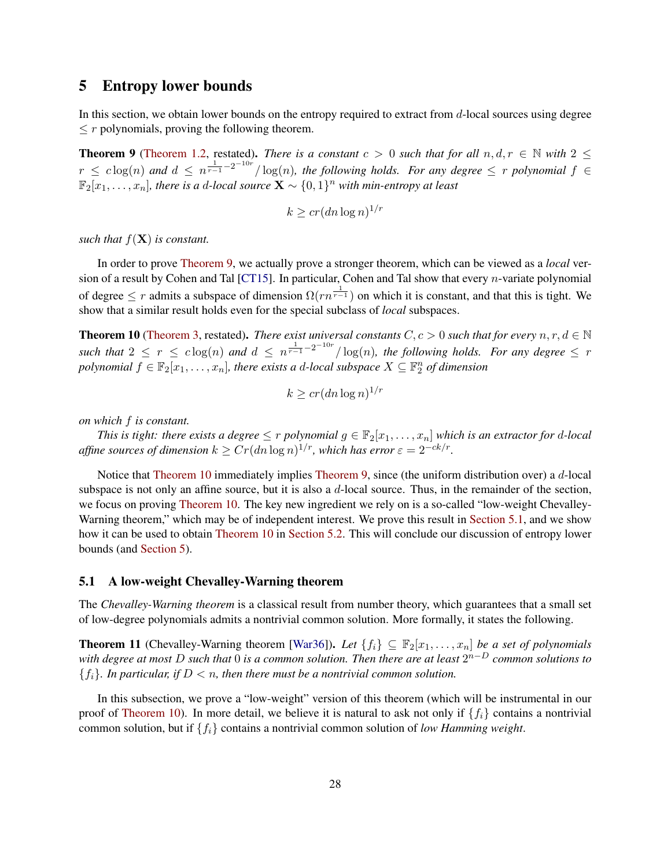# <span id="page-28-4"></span>5 Entropy lower bounds

In this section, we obtain lower bounds on the entropy required to extract from d-local sources using degree  $\leq r$  polynomials, proving the following theorem.

<span id="page-28-1"></span>**Theorem 9** [\(Theorem 1.2,](#page-4-2) restated). *There is a constant*  $c > 0$  *such that for all*  $n, d, r \in \mathbb{N}$  *with*  $2 \leq$  $r \leq c \log(n)$  and  $d \leq n^{\frac{1}{r-1}-2^{-10r}}/\log(n)$ , the following holds. For any degree  $\leq r$  polynomial  $f \in$  $\mathbb{F}_2[x_1,\ldots,x_n]$ , there is a d-local source  $\mathbf{X} \sim \{0,1\}^n$  with min-entropy at least

$$
k \ge cr(dn \log n)^{1/r}
$$

*such that* f(X) *is constant.*

In order to prove [Theorem 9,](#page-28-1) we actually prove a stronger theorem, which can be viewed as a *local* ver-sion of a result by Cohen and Tal [\[CT15\]](#page-42-5). In particular, Cohen and Tal show that every  $n$ -variate polynomial of degree  $\leq r$  admits a subspace of dimension  $\Omega(rn^{\frac{1}{r-1}})$  on which it is constant, and that this is tight. We show that a similar result holds even for the special subclass of *local* subspaces.

<span id="page-28-2"></span>**Theorem 10** [\(Theorem 3,](#page-4-3) restated). *There exist universal constants*  $C, c > 0$  *such that for every*  $n, r, d \in \mathbb{N}$ such that  $2 \leq r \leq c \log(n)$  and  $d \leq n^{\frac{1}{r-1}-2^{-10r}}/\log(n)$ , the following holds. For any degree  $\leq r$  $polynomial f \in \mathbb{F}_2[x_1, \ldots, x_n]$ , there exists a d-local subspace  $X \subseteq \mathbb{F}_2^n$  of dimension

$$
k \ge cr(dn \log n)^{1/r}
$$

*on which* f *is constant.*

*This is tight: there exists a degree*  $\leq r$  *polynomial*  $g \in \mathbb{F}_2[x_1, \ldots, x_n]$  *which is an extractor for d-local affine sources of dimension*  $k \geq Cr(dn\log n)^{1/r}$ *, which has error*  $\varepsilon = 2^{-ck/r}$ *.* 

Notice that [Theorem 10](#page-28-2) immediately implies [Theorem 9,](#page-28-1) since (the uniform distribution over) a d-local subspace is not only an affine source, but it is also a  $d$ -local source. Thus, in the remainder of the section, we focus on proving [Theorem 10.](#page-28-2) The key new ingredient we rely on is a so-called "low-weight Chevalley-Warning theorem," which may be of independent interest. We prove this result in [Section 5.1,](#page-28-3) and we show how it can be used to obtain [Theorem 10](#page-28-2) in [Section 5.2.](#page-33-0) This will conclude our discussion of entropy lower bounds (and [Section 5\)](#page-28-4).

## <span id="page-28-3"></span>5.1 A low-weight Chevalley-Warning theorem

The *Chevalley-Warning theorem* is a classical result from number theory, which guarantees that a small set of low-degree polynomials admits a nontrivial common solution. More formally, it states the following.

<span id="page-28-0"></span>**Theorem 11** (Chevalley-Warning theorem [\[War36\]](#page--1-14)). Let  $\{f_i\} \subseteq \mathbb{F}_2[x_1, \ldots, x_n]$  be a set of polynomials *with degree at most* D *such that* 0 *is a common solution. Then there are at least* 2 <sup>n</sup>−<sup>D</sup> *common solutions to*  ${f_i}$ *. In particular, if*  $D < n$ *, then there must be a nontrivial common solution.* 

In this subsection, we prove a "low-weight" version of this theorem (which will be instrumental in our proof of [Theorem 10\)](#page-28-2). In more detail, we believe it is natural to ask not only if  $\{f_i\}$  contains a nontrivial common solution, but if {fi} contains a nontrivial common solution of *low Hamming weight*.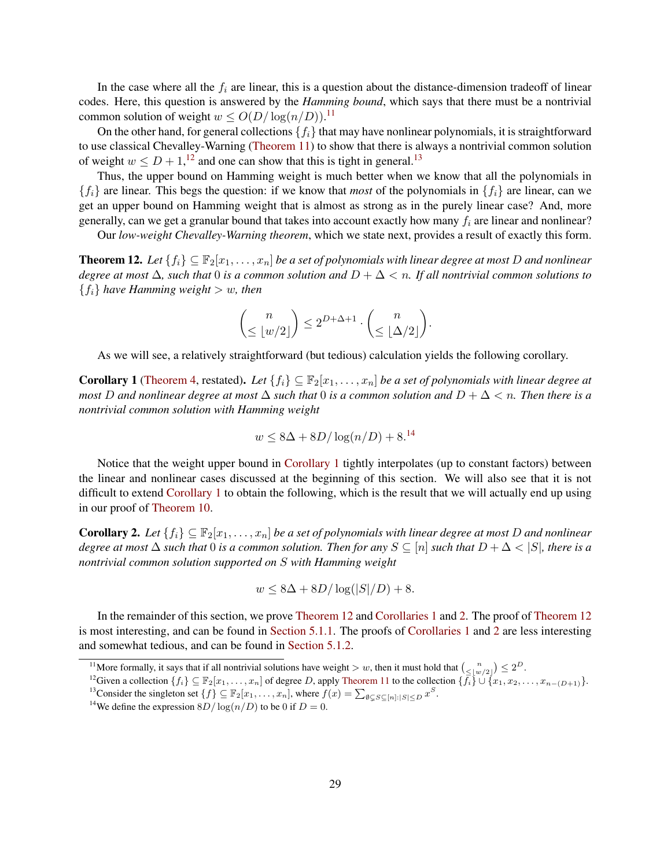In the case where all the  $f_i$  are linear, this is a question about the distance-dimension tradeoff of linear codes. Here, this question is answered by the *Hamming bound*, which says that there must be a nontrivial common solution of weight  $w \le O(D/\log(n/D))$ .<sup>[11](#page-29-0)</sup>

On the other hand, for general collections  $\{f_i\}$  that may have nonlinear polynomials, it is straightforward to use classical Chevalley-Warning [\(Theorem 11\)](#page-28-0) to show that there is always a nontrivial common solution of weight  $w \le D + 1$ ,<sup>[12](#page-29-1)</sup> and one can show that this is tight in general.<sup>[13](#page-29-2)</sup>

Thus, the upper bound on Hamming weight is much better when we know that all the polynomials in  ${f_i}$  are linear. This begs the question: if we know that *most* of the polynomials in  ${f_i}$  are linear, can we get an upper bound on Hamming weight that is almost as strong as in the purely linear case? And, more generally, can we get a granular bound that takes into account exactly how many  $f_i$  are linear and nonlinear?

Our *low-weight Chevalley-Warning theorem*, which we state next, provides a result of exactly this form.

<span id="page-29-5"></span>**Theorem 12.** *Let*  $\{f_i\} \subseteq \mathbb{F}_2[x_1,\ldots,x_n]$  *be a set of polynomials with linear degree at most D and nonlinear degree at most* ∆*, such that* 0 *is a common solution and* D + ∆ < n*. If all nontrivial common solutions to*  ${f_i}$ *have Hamming weight*  $> w$ *, then* 

$$
\binom{n}{\leq \lfloor w/2 \rfloor} \leq 2^{D+\Delta+1} \cdot \binom{n}{\leq \lfloor \Delta/2 \rfloor}.
$$

As we will see, a relatively straightforward (but tedious) calculation yields the following corollary.

<span id="page-29-4"></span>**Corollary 1** [\(Theorem 4,](#page-5-2) restated). Let  $\{f_i\} \subseteq \mathbb{F}_2[x_1,\ldots,x_n]$  be a set of polynomials with linear degree at *most* D and nonlinear degree at most  $\Delta$  such that 0 is a common solution and  $D + \Delta < n$ . Then there is a *nontrivial common solution with Hamming weight*

$$
w \le 8\Delta + 8D/\log(n/D) + 8^{14}
$$

Notice that the weight upper bound in [Corollary 1](#page-29-4) tightly interpolates (up to constant factors) between the linear and nonlinear cases discussed at the beginning of this section. We will also see that it is not difficult to extend [Corollary 1](#page-29-4) to obtain the following, which is the result that we will actually end up using in our proof of [Theorem 10.](#page-28-2)

<span id="page-29-6"></span>**Corollary 2.** *Let*  $\{f_i\} \subseteq \mathbb{F}_2[x_1,\ldots,x_n]$  *be a set of polynomials with linear degree at most D and nonlinear degree at most*  $\Delta$  *such that* 0 *is a common solution. Then for any*  $S \subseteq [n]$  *such that*  $D + \Delta < |S|$ *, there is a nontrivial common solution supported on* S *with Hamming weight*

$$
w \le 8\Delta + 8D/\log(|S|/D) + 8.
$$

In the remainder of this section, we prove [Theorem 12](#page-29-5) and [Corollaries 1](#page-29-4) and [2.](#page-29-6) The proof of [Theorem 12](#page-29-5) is most interesting, and can be found in [Section 5.1.1.](#page-30-0) The proofs of [Corollaries 1](#page-29-4) and [2](#page-29-6) are less interesting and somewhat tedious, and can be found in [Section 5.1.2.](#page-31-0)

<span id="page-29-0"></span><sup>&</sup>lt;sup>11</sup>More formally, it says that if all nontrivial solutions have weight  $> w$ , then it must hold that  $\binom{n}{\leq |w/2|} \leq 2^D$ .

<span id="page-29-2"></span><span id="page-29-1"></span><sup>&</sup>lt;sup>12</sup>Given a collection  $\{f_i\} \subseteq \mathbb{F}_2[x_1,\ldots,x_n]$  of degree D, apply [Theorem 11](#page-28-0) to the collection  $\{\overline{f}_i\} \cup \{x_1, x_2, \ldots, x_{n-(D+1)}\}.$ <sup>13</sup>Consider the singleton set  $\{f\} \subseteq \mathbb{F}_2[x_1,\ldots,x_n]$ , where  $f(x) = \sum_{\emptyset \subsetneq S \subseteq [n]: |S| \leq D} x^S$ .

<span id="page-29-3"></span><sup>&</sup>lt;sup>14</sup>We define the expression  $8D/\log(n/D)$  to be 0 if  $D = 0$ .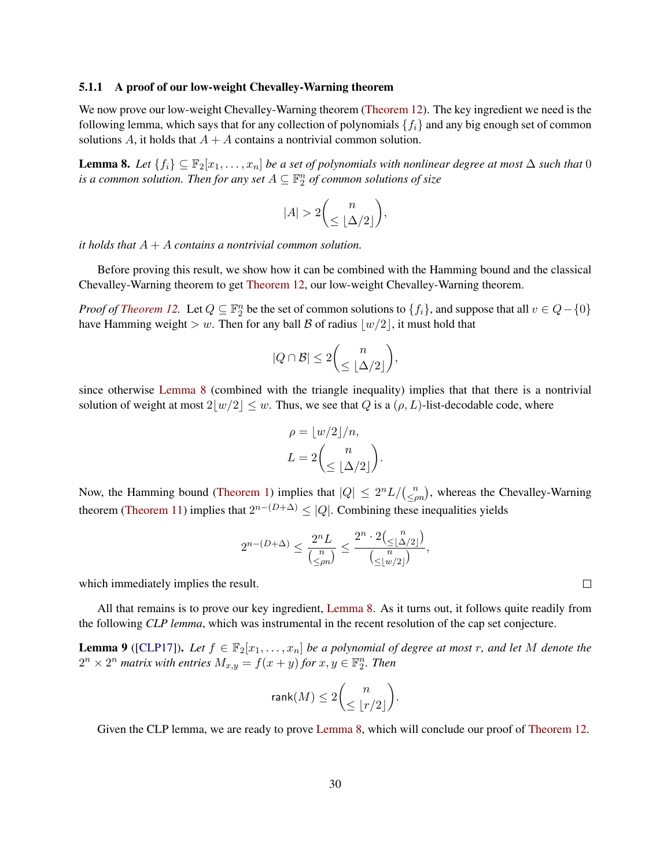## <span id="page-30-0"></span>5.1.1 A proof of our low-weight Chevalley-Warning theorem

We now prove our low-weight Chevalley-Warning theorem [\(Theorem 12\)](#page-29-5). The key ingredient we need is the following lemma, which says that for any collection of polynomials  $\{f_i\}$  and any big enough set of common solutions A, it holds that  $A + A$  contains a nontrivial common solution.

<span id="page-30-1"></span>**Lemma 8.** *Let*  $\{f_i\} \subseteq \mathbb{F}_2[x_1,\ldots,x_n]$  *be a set of polynomials with nonlinear degree at most*  $\Delta$  *such that* 0 *is a common solution. Then for any set*  $A \subseteq \mathbb{F}_2^n$  *of common solutions of size* 

$$
|A| > 2\binom{n}{\leq \lfloor \Delta/2 \rfloor},
$$

*it holds that* A + A *contains a nontrivial common solution.*

Before proving this result, we show how it can be combined with the Hamming bound and the classical Chevalley-Warning theorem to get [Theorem 12,](#page-29-5) our low-weight Chevalley-Warning theorem.

*Proof of [Theorem 12.](#page-29-5)* Let  $Q \subseteq \mathbb{F}_2^n$  be the set of common solutions to  $\{f_i\}$ , and suppose that all  $v \in Q - \{0\}$ have Hamming weight > w. Then for any ball B of radius  $\lfloor w/2 \rfloor$ , it must hold that

$$
|Q\cap \mathcal{B}|\leq 2\binom{n}{\leq\lfloor\Delta/2\rfloor},
$$

since otherwise [Lemma 8](#page-30-1) (combined with the triangle inequality) implies that that there is a nontrivial solution of weight at most  $2|w/2| \leq w$ . Thus, we see that Q is a  $(\rho, L)$ -list-decodable code, where

$$
\rho = \lfloor w/2 \rfloor/n,
$$
  

$$
L = 2\binom{n}{\leq \lfloor \Delta/2 \rfloor}.
$$

Now, the Hamming bound [\(Theorem 1\)](#page-15-0) implies that  $|Q| \leq 2^n L / {n \choose \leq pn}$ , whereas the Chevalley-Warning theorem [\(Theorem 11\)](#page-28-0) implies that  $2^{n-(D+\Delta)} \leq |Q|$ . Combining these inequalities yields

$$
2^{n-(D+\Delta)}\leq \frac{2^nL}{\binom{n}{\leq \rho n}}\leq \frac{2^n\cdot 2\binom{n}{\leq \lfloor \Delta/2\rfloor}}{\binom{n}{\leq \lfloor w/2\rfloor}},
$$

which immediately implies the result.

All that remains is to prove our key ingredient, [Lemma 8.](#page-30-1) As it turns out, it follows quite readily from the following *CLP lemma*, which was instrumental in the recent resolution of the cap set conjecture.

<span id="page-30-2"></span>**Lemma 9** ([\[CLP17\]](#page-42-8)). Let  $f \in \mathbb{F}_2[x_1,\ldots,x_n]$  be a polynomial of degree at most r, and let M denote the  $2^n \times 2^n$  matrix with entries  $M_{x,y} = f(x+y)$  for  $x,y \in \mathbb{F}_2^n$ . Then

$$
\mathop{\sf rank}(M) \leq 2\binom{n}{\leq \lfloor r/2 \rfloor}.
$$

Given the CLP lemma, we are ready to prove [Lemma 8,](#page-30-1) which will conclude our proof of [Theorem 12.](#page-29-5)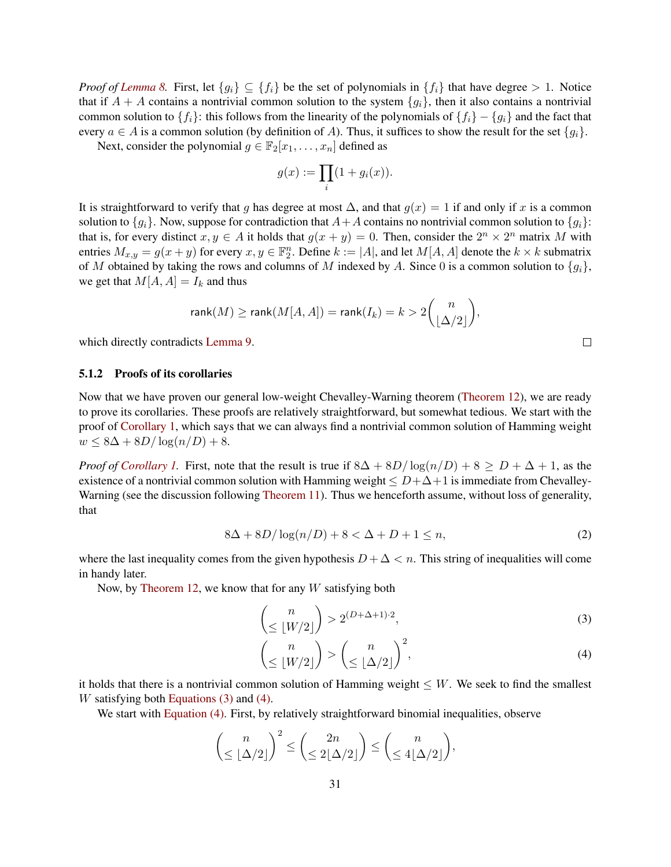*Proof of [Lemma 8.](#page-30-1)* First, let  $\{g_i\} \subseteq \{f_i\}$  be the set of polynomials in  $\{f_i\}$  that have degree > 1. Notice that if  $A + A$  contains a nontrivial common solution to the system  $\{g_i\}$ , then it also contains a nontrivial common solution to  $\{f_i\}$ : this follows from the linearity of the polynomials of  $\{f_i\} - \{g_i\}$  and the fact that every  $a \in A$  is a common solution (by definition of A). Thus, it suffices to show the result for the set  $\{g_i\}$ .

Next, consider the polynomial  $g \in \mathbb{F}_2[x_1, \ldots, x_n]$  defined as

$$
g(x) := \prod_i (1 + g_i(x)).
$$

It is straightforward to verify that g has degree at most  $\Delta$ , and that  $g(x) = 1$  if and only if x is a common solution to  $\{g_i\}$ . Now, suppose for contradiction that  $A+A$  contains no nontrivial common solution to  $\{g_i\}$ : that is, for every distinct  $x, y \in A$  it holds that  $g(x + y) = 0$ . Then, consider the  $2^n \times 2^n$  matrix M with entries  $M_{x,y} = g(x+y)$  for every  $x, y \in \mathbb{F}_2^n$ . Define  $k := |A|$ , and let  $M[A, A]$  denote the  $k \times k$  submatrix of M obtained by taking the rows and columns of M indexed by A. Since 0 is a common solution to  $\{g_i\}$ , we get that  $M[A, A] = I_k$  and thus

$$
\mathop{\sf rank}(M) \geq \mathop{\sf rank}(M[A,A]) = \mathop{\sf rank}(I_k) = k > 2\binom{n}{\lfloor \Delta/2 \rfloor},
$$

which directly contradicts [Lemma 9.](#page-30-2)

## <span id="page-31-0"></span>5.1.2 Proofs of its corollaries

Now that we have proven our general low-weight Chevalley-Warning theorem [\(Theorem 12\)](#page-29-5), we are ready to prove its corollaries. These proofs are relatively straightforward, but somewhat tedious. We start with the proof of [Corollary 1,](#page-29-4) which says that we can always find a nontrivial common solution of Hamming weight  $w \le 8\Delta + 8D/\log(n/D) + 8.$ 

*Proof of [Corollary 1.](#page-29-4)* First, note that the result is true if  $8\Delta + 8D/\log(n/D) + 8 \ge D + \Delta + 1$ , as the existence of a nontrivial common solution with Hamming weight  $\leq D + \Delta + 1$  is immediate from Chevalley-Warning (see the discussion following [Theorem 11\)](#page-28-0). Thus we henceforth assume, without loss of generality, that

$$
8\Delta + 8D/\log(n/D) + 8 < \Delta + D + 1 \le n,\tag{2}
$$

where the last inequality comes from the given hypothesis  $D + \Delta < n$ . This string of inequalities will come in handy later.

Now, by [Theorem 12,](#page-29-5) we know that for any  $W$  satisfying both

<span id="page-31-3"></span><span id="page-31-1"></span>
$$
\binom{n}{\leq \lfloor W/2 \rfloor} > 2^{(D+\Delta+1)\cdot 2},\tag{3}
$$

<span id="page-31-2"></span>
$$
\binom{n}{\leq \lfloor W/2 \rfloor} > \binom{n}{\leq \lfloor \Delta/2 \rfloor}^2,\tag{4}
$$

it holds that there is a nontrivial common solution of Hamming weight  $\leq W$ . We seek to find the smallest W satisfying both [Equations \(3\)](#page-31-1) and [\(4\).](#page-31-2)

We start with [Equation \(4\).](#page-31-2) First, by relatively straightforward binomial inequalities, observe

$$
\binom{n}{\leq \lfloor \Delta/2 \rfloor}^2 \leq \binom{2n}{\leq 2\lfloor \Delta/2 \rfloor} \leq \binom{n}{\leq 4\lfloor \Delta/2 \rfloor},
$$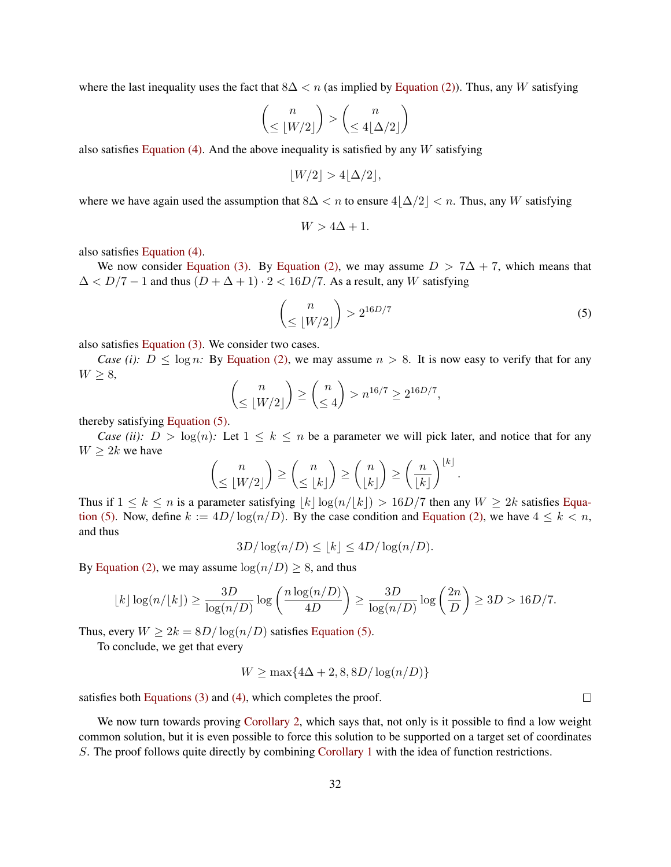where the last inequality uses the fact that  $8\Delta < n$  (as implied by [Equation \(2\)\)](#page-31-3). Thus, any W satisfying

$$
\binom{n}{\leq \lfloor W/2 \rfloor} > \binom{n}{\leq 4\lfloor \Delta/2 \rfloor}
$$

also satisfies [Equation \(4\).](#page-31-2) And the above inequality is satisfied by any  $W$  satisfying

$$
\lfloor W/2 \rfloor > 4 \lfloor \Delta/2 \rfloor,
$$

where we have again used the assumption that  $8\Delta < n$  to ensure  $4|\Delta/2| < n$ . Thus, any W satisfying

$$
W > 4\Delta + 1.
$$

also satisfies [Equation \(4\).](#page-31-2)

We now consider [Equation \(3\).](#page-31-1) By [Equation \(2\),](#page-31-3) we may assume  $D > 7\Delta + 7$ , which means that  $\Delta < D/7 - 1$  and thus  $(D + \Delta + 1) \cdot 2 < 16D/7$ . As a result, any W satisfying

$$
\binom{n}{\leq \lfloor W/2 \rfloor} > 2^{16D/7} \tag{5}
$$

<span id="page-32-0"></span>.

also satisfies [Equation \(3\).](#page-31-1) We consider two cases.

*Case (i):*  $D \leq \log n$ : By [Equation \(2\),](#page-31-3) we may assume  $n > 8$ . It is now easy to verify that for any  $W \geq 8$ ,

$$
\binom{n}{\leq \lfloor W/2 \rfloor} \geq \binom{n}{\leq 4} > n^{16/7} \geq 2^{16D/7},
$$

thereby satisfying [Equation \(5\).](#page-32-0)

*Case (ii):*  $D > log(n)$ : Let  $1 \le k \le n$  be a parameter we will pick later, and notice that for any  $W \geq 2k$  we have

$$
\binom{n}{\leq \lfloor W/2 \rfloor} \geq \binom{n}{\leq \lfloor k \rfloor} \geq \binom{n}{\lfloor k \rfloor} \geq \binom{n}{\lfloor k \rfloor}^{\lfloor k \rfloor}
$$

Thus if  $1 \leq k \leq n$  is a parameter satisfying  $|k| \log(n/|k|) > 16D/7$  then any  $W \geq 2k$  satisfies [Equa](#page-32-0)[tion \(5\).](#page-32-0) Now, define  $k := 4D/\log(n/D)$ . By the case condition and [Equation \(2\),](#page-31-3) we have  $4 \leq k < n$ , and thus

$$
3D/\log(n/D) \le \lfloor k \rfloor \le 4D/\log(n/D).
$$

By [Equation \(2\),](#page-31-3) we may assume  $log(n/D) \geq 8$ , and thus

$$
\lfloor k \rfloor \log(n/\lfloor k \rfloor) \ge \frac{3D}{\log(n/D)} \log\left(\frac{n \log(n/D)}{4D}\right) \ge \frac{3D}{\log(n/D)} \log\left(\frac{2n}{D}\right) \ge 3D > 16D/7.
$$

Thus, every  $W \ge 2k = 8D/\log(n/D)$  satisfies [Equation \(5\).](#page-32-0)

To conclude, we get that every

$$
W \ge \max\{4\Delta + 2, 8, 8D/\log(n/D)\}\
$$

satisfies both [Equations \(3\)](#page-31-1) and [\(4\),](#page-31-2) which completes the proof.

We now turn towards proving [Corollary 2,](#page-29-6) which says that, not only is it possible to find a low weight common solution, but it is even possible to force this solution to be supported on a target set of coordinates S. The proof follows quite directly by combining [Corollary 1](#page-29-4) with the idea of function restrictions.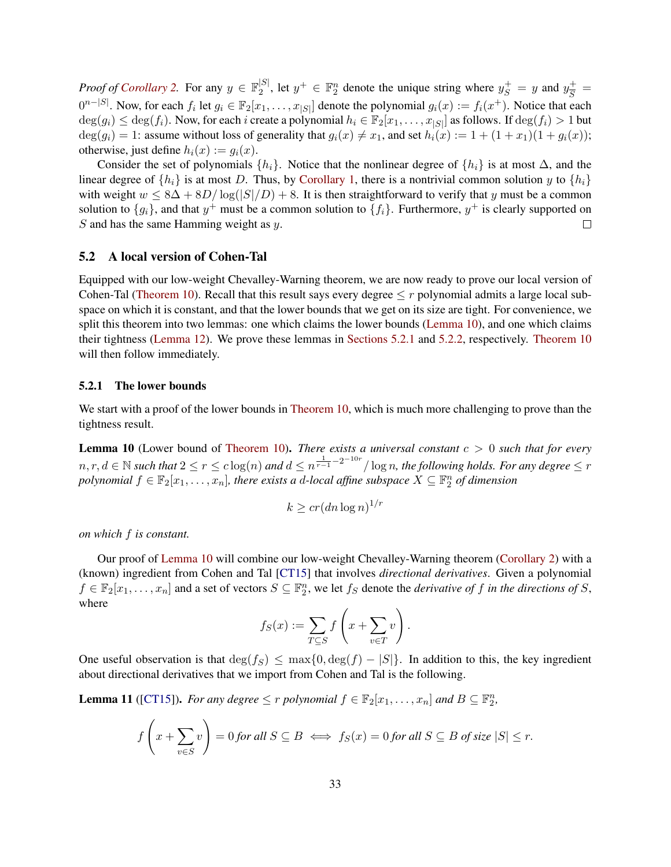*Proof of [Corollary 2.](#page-29-6)* For any  $y \in \mathbb{F}_2^{|S|}$  $y_2^{[S]}$ , let  $y^+ \in \mathbb{F}_2^n$  denote the unique string where  $y_S^+ = y$  and  $y_{\overline{S}}^+$  $\frac{+}{S}$  =  $0^{n-|S|}$ . Now, for each  $f_i$  let  $g_i \in \mathbb{F}_2[x_1,\ldots,x_{|S|}]$  denote the polynomial  $g_i(x) := f_i(x^+)$ . Notice that each  $deg(g_i) \leq deg(f_i)$ . Now, for each i create a polynomial  $h_i \in \mathbb{F}_2[x_1, \ldots, x_{|S|}]$  as follows. If  $deg(f_i) > 1$  but  $deg(g_i) = 1$ : assume without loss of generality that  $g_i(x) \neq x_1$ , and set  $h_i(x) := 1 + (1 + x_1)(1 + g_i(x));$ otherwise, just define  $h_i(x) := g_i(x)$ .

Consider the set of polynomials  $\{h_i\}$ . Notice that the nonlinear degree of  $\{h_i\}$  is at most  $\Delta$ , and the linear degree of  $\{h_i\}$  is at most D. Thus, by [Corollary 1,](#page-29-4) there is a nontrivial common solution y to  $\{h_i\}$ with weight  $w \leq 8\Delta + 8D/\log(|S|/D) + 8$ . It is then straightforward to verify that y must be a common solution to  $\{g_i\}$ , and that  $y^+$  must be a common solution to  $\{f_i\}$ . Furthermore,  $y^+$  is clearly supported on  $S$  and has the same Hamming weight as  $y$ .  $\Box$ 

#### <span id="page-33-0"></span>5.2 A local version of Cohen-Tal

Equipped with our low-weight Chevalley-Warning theorem, we are now ready to prove our local version of Cohen-Tal [\(Theorem 10\)](#page-28-2). Recall that this result says every degree  $\leq r$  polynomial admits a large local subspace on which it is constant, and that the lower bounds that we get on its size are tight. For convenience, we split this theorem into two lemmas: one which claims the lower bounds [\(Lemma 10\)](#page-33-1), and one which claims their tightness [\(Lemma 12\)](#page-38-0). We prove these lemmas in [Sections 5.2.1](#page-33-2) and [5.2.2,](#page-38-1) respectively. [Theorem 10](#page-28-2) will then follow immediately.

#### <span id="page-33-2"></span>5.2.1 The lower bounds

We start with a proof of the lower bounds in [Theorem 10,](#page-28-2) which is much more challenging to prove than the tightness result.

<span id="page-33-1"></span>Lemma 10 (Lower bound of [Theorem 10\)](#page-28-2). *There exists a universal constant* c > 0 *such that for every*  $n,r,d\in\mathbb{N}$  such that  $2\leq r\leq c\log(n)$  and  $d\leq n^{\frac{1}{r-1}-2^{-10r}}/\log n,$  the following holds. For any degree  $\leq r$  $polynomial$   $f \in \mathbb{F}_2[x_1, \ldots, x_n]$ , there exists a d-local affine subspace  $X \subseteq \mathbb{F}_2^n$  of dimension

$$
k \ge cr(dn \log n)^{1/r}
$$

*on which* f *is constant.*

Our proof of [Lemma 10](#page-33-1) will combine our low-weight Chevalley-Warning theorem [\(Corollary 2\)](#page-29-6) with a (known) ingredient from Cohen and Tal [\[CT15\]](#page-42-5) that involves *directional derivatives*. Given a polynomial  $f \in \mathbb{F}_2[x_1,\ldots,x_n]$  and a set of vectors  $S \subseteq \mathbb{F}_2^n$ , we let  $f_S$  denote the *derivative of* f *in the directions of* S, where

$$
f_S(x) := \sum_{T \subseteq S} f\left(x + \sum_{v \in T} v\right).
$$

One useful observation is that  $\deg(f_S) \leq \max\{0, \deg(f) - |S|\}\$ . In addition to this, the key ingredient about directional derivatives that we import from Cohen and Tal is the following.

<span id="page-33-3"></span>**Lemma 11** ([\[CT15\]](#page-42-5)). For any degree  $\leq r$  polynomial  $f \in \mathbb{F}_2[x_1,\ldots,x_n]$  and  $B \subseteq \mathbb{F}_2^n$ ,

$$
f\left(x+\sum_{v\in S} v\right)=0 \text{ for all } S\subseteq B \iff f_S(x)=0 \text{ for all } S\subseteq B \text{ of size } |S|\leq r.
$$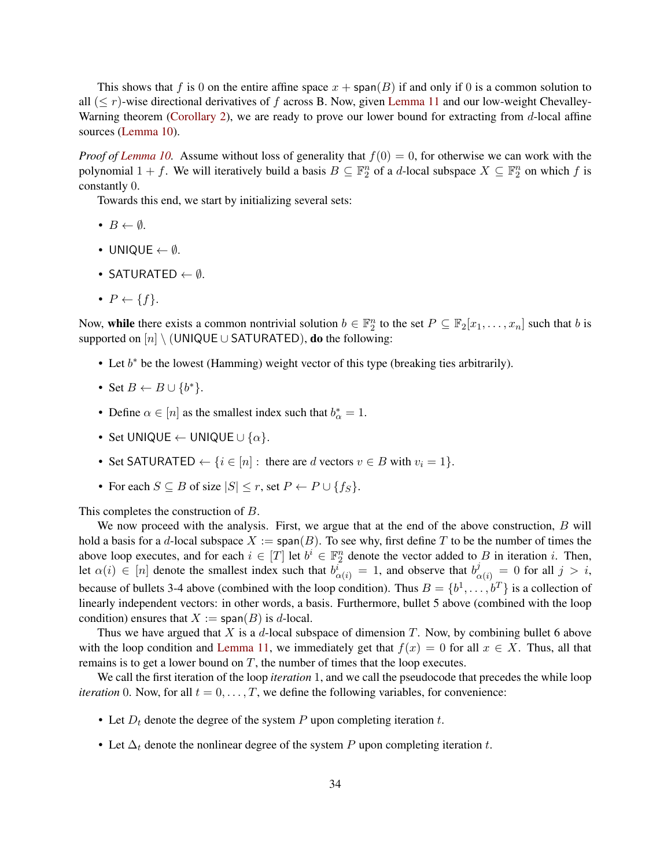This shows that f is 0 on the entire affine space  $x + span(B)$  if and only if 0 is a common solution to all  $(\leq r)$ -wise directional derivatives of f across B. Now, given [Lemma 11](#page-33-3) and our low-weight Chevalley-Warning theorem [\(Corollary 2\)](#page-29-6), we are ready to prove our lower bound for extracting from d-local affine sources [\(Lemma 10\)](#page-33-1).

*Proof of [Lemma 10.](#page-33-1)* Assume without loss of generality that  $f(0) = 0$ , for otherwise we can work with the polynomial  $1 + f$ . We will iteratively build a basis  $B \subseteq \mathbb{F}_2^n$  of a d-local subspace  $X \subseteq \mathbb{F}_2^n$  on which f is constantly 0.

Towards this end, we start by initializing several sets:

- $B \leftarrow \emptyset$ .
- UNIQUE  $\leftarrow \emptyset$ .
- SATURATED  $\leftarrow \emptyset$ .
- $P \leftarrow \{f\}.$

Now, while there exists a common nontrivial solution  $b \in \mathbb{F}_2^n$  to the set  $P \subseteq \mathbb{F}_2[x_1,\ldots,x_n]$  such that b is supported on  $[n] \setminus (UNIQUE \cup SATURATED),$  do the following:

- Let  $b^*$  be the lowest (Hamming) weight vector of this type (breaking ties arbitrarily).
- Set  $B \leftarrow B \cup \{b^*\}.$
- Define  $\alpha \in [n]$  as the smallest index such that  $b^*_{\alpha} = 1$ .
- Set UNIQUE ← UNIQUE  $\cup \{\alpha\}$ .
- Set SATURATED  $\leftarrow \{i \in [n]: \text{ there are } d \text{ vectors } v \in B \text{ with } v_i = 1\}.$
- For each  $S \subseteq B$  of size  $|S| \le r$ , set  $P \leftarrow P \cup \{fs\}.$

This completes the construction of B.

We now proceed with the analysis. First, we argue that at the end of the above construction, B will hold a basis for a d-local subspace  $X := \text{span}(B)$ . To see why, first define T to be the number of times the above loop executes, and for each  $i \in [T]$  let  $b^i \in \mathbb{F}_2^n$  denote the vector added to B in iteration i. Then, let  $\alpha(i) \in [n]$  denote the smallest index such that  $b_{\alpha(i)}^i = 1$ , and observe that  $b_{\alpha(i)}^j = 0$  for all  $j > i$ , because of bullets 3-4 above (combined with the loop condition). Thus  $B = \{b^1, \ldots, b^T\}$  is a collection of linearly independent vectors: in other words, a basis. Furthermore, bullet 5 above (combined with the loop condition) ensures that  $X := \text{span}(B)$  is d-local.

Thus we have argued that X is a d-local subspace of dimension T. Now, by combining bullet 6 above with the loop condition and [Lemma 11,](#page-33-3) we immediately get that  $f(x) = 0$  for all  $x \in X$ . Thus, all that remains is to get a lower bound on  $T$ , the number of times that the loop executes.

We call the first iteration of the loop *iteration* 1, and we call the pseudocode that precedes the while loop *iteration* 0. Now, for all  $t = 0, \ldots, T$ , we define the following variables, for convenience:

- Let  $D_t$  denote the degree of the system P upon completing iteration t.
- Let  $\Delta_t$  denote the nonlinear degree of the system P upon completing iteration t.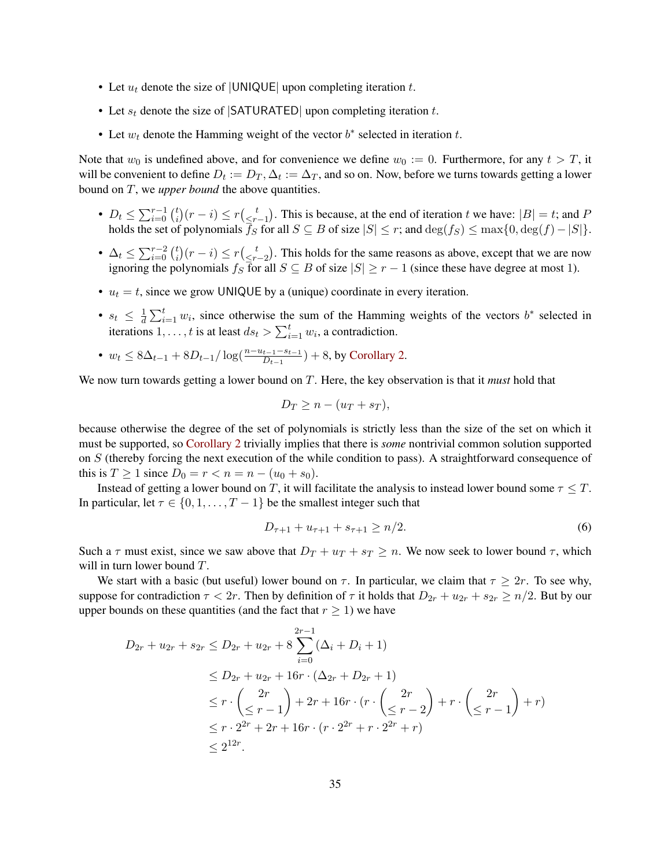- Let  $u_t$  denote the size of |UNIQUE| upon completing iteration t.
- Let  $s_t$  denote the size of  $|\text{SATURATED}|$  upon completing iteration t.
- Let  $w_t$  denote the Hamming weight of the vector  $b^*$  selected in iteration  $t$ .

Note that  $w_0$  is undefined above, and for convenience we define  $w_0 := 0$ . Furthermore, for any  $t > T$ , it will be convenient to define  $D_t := D_T, \Delta_t := \Delta_T$ , and so on. Now, before we turns towards getting a lower bound on T, we *upper bound* the above quantities.

- $D_t \leq \sum_{i=0}^{r-1} {t \choose i}$  $\binom{t}{i}(r-i) \leq r \binom{t}{\leq r}$  $\left\lfloor \frac{t}{2r-1} \right\rfloor$ . This is because, at the end of iteration t we have:  $|B| = t$ ; and F holds the set of polynomials  $\overline{f}_S$  for all  $S \subseteq B$  of size  $|S| \leq r$ ; and  $\deg(f_S) \leq \max\{0,\deg(f) - |S|\}.$
- $\Delta_t \leq \sum_{i=0}^{r-2} {t_i \choose i}$  $\binom{t}{i}(r-i) \leq r \binom{t}{\leq r}$  $\frac{t}{\leq r-2}$ ). This holds for the same reasons as above, except that we are now ignoring the polynomials  $f_S$  for all  $S \subseteq B$  of size  $|S| \ge r - 1$  (since these have degree at most 1).
- $u_t = t$ , since we grow UNIQUE by a (unique) coordinate in every iteration.
- $s_t \leq \frac{1}{d}$  $\frac{1}{d} \sum_{i=1}^{t} w_i$ , since otherwise the sum of the Hamming weights of the vectors  $b^*$  selected in iterations  $1, \ldots, t$  is at least  $ds_t > \sum_{i=1}^t w_i$ , a contradiction.
- $w_t \leq 8\Delta_{t-1} + 8D_{t-1}/\log(\frac{n-u_{t-1}-s_{t-1}}{D_{t-1}}) + 8$ , by [Corollary 2.](#page-29-6)

We now turn towards getting a lower bound on T. Here, the key observation is that it *must* hold that

$$
D_T \ge n - (u_T + s_T),
$$

because otherwise the degree of the set of polynomials is strictly less than the size of the set on which it must be supported, so [Corollary 2](#page-29-6) trivially implies that there is *some* nontrivial common solution supported on S (thereby forcing the next execution of the while condition to pass). A straightforward consequence of this is  $T \ge 1$  since  $D_0 = r < n = n - (u_0 + s_0)$ .

Instead of getting a lower bound on T, it will facilitate the analysis to instead lower bound some  $\tau \leq T$ . In particular, let  $\tau \in \{0, 1, \ldots, T-1\}$  be the smallest integer such that

<span id="page-35-0"></span>
$$
D_{\tau+1} + u_{\tau+1} + s_{\tau+1} \ge n/2. \tag{6}
$$

Such a  $\tau$  must exist, since we saw above that  $D_T + u_T + s_T \geq n$ . We now seek to lower bound  $\tau$ , which will in turn lower bound T.

We start with a basic (but useful) lower bound on  $\tau$ . In particular, we claim that  $\tau \geq 2r$ . To see why, suppose for contradiction  $\tau < 2r$ . Then by definition of  $\tau$  it holds that  $D_{2r} + u_{2r} + s_{2r} \geq n/2$ . But by our upper bounds on these quantities (and the fact that  $r \geq 1$ ) we have

$$
D_{2r} + u_{2r} + s_{2r} \le D_{2r} + u_{2r} + 8 \sum_{i=0}^{2r-1} (\Delta_i + D_i + 1)
$$
  
\n
$$
\le D_{2r} + u_{2r} + 16r \cdot (\Delta_{2r} + D_{2r} + 1)
$$
  
\n
$$
\le r \cdot {2r \choose \le r-1} + 2r + 16r \cdot (r \cdot {2r \choose \le r-2} + r \cdot {2r \choose \le r-1} + r)
$$
  
\n
$$
\le r \cdot 2^{2r} + 2r + 16r \cdot (r \cdot 2^{2r} + r \cdot 2^{2r} + r)
$$
  
\n
$$
\le 2^{12r}.
$$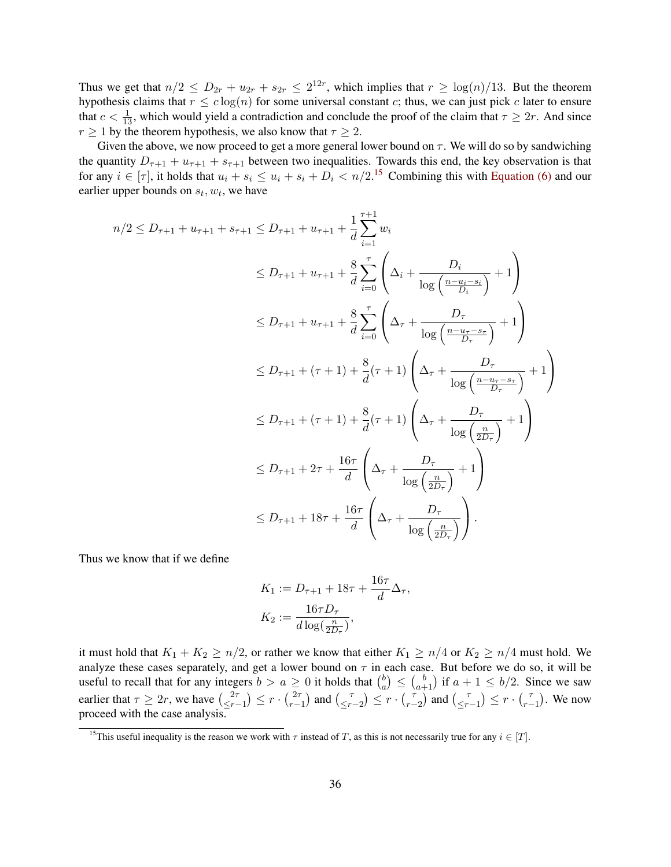Thus we get that  $n/2 \le D_{2r} + u_{2r} + s_{2r} \le 2^{12r}$ , which implies that  $r \ge \log(n)/13$ . But the theorem hypothesis claims that  $r \leq c \log(n)$  for some universal constant c; thus, we can just pick c later to ensure that  $c < \frac{1}{13}$ , which would yield a contradiction and conclude the proof of the claim that  $\tau \ge 2r$ . And since  $r \geq 1$  by the theorem hypothesis, we also know that  $\tau \geq 2$ .

Given the above, we now proceed to get a more general lower bound on  $\tau$ . We will do so by sandwiching the quantity  $D_{\tau+1} + u_{\tau+1} + s_{\tau+1}$  between two inequalities. Towards this end, the key observation is that for any  $i \in [\tau]$ , it holds that  $u_i + s_i \leq u_i + s_i + D_i < n/2$ .<sup>[15](#page-36-0)</sup> Combining this with [Equation \(6\)](#page-35-0) and our earlier upper bounds on  $s_t$ ,  $w_t$ , we have

$$
n/2 \leq D_{\tau+1} + u_{\tau+1} + s_{\tau+1} \leq D_{\tau+1} + u_{\tau+1} + \frac{1}{d} \sum_{i=1}^{\tau+1} w_i
$$
  
\n
$$
\leq D_{\tau+1} + u_{\tau+1} + \frac{8}{d} \sum_{i=0}^{\tau} \left( \Delta_i + \frac{D_i}{\log\left(\frac{n-u_i - s_i}{D_i}\right)} + 1 \right)
$$
  
\n
$$
\leq D_{\tau+1} + u_{\tau+1} + \frac{8}{d} \sum_{i=0}^{\tau} \left( \Delta_{\tau} + \frac{D_{\tau}}{\log\left(\frac{n-u_{\tau} - s_{\tau}}{D_{\tau}}\right)} + 1 \right)
$$
  
\n
$$
\leq D_{\tau+1} + (\tau+1) + \frac{8}{d} (\tau+1) \left( \Delta_{\tau} + \frac{D_{\tau}}{\log\left(\frac{n-u_{\tau} - s_{\tau}}{D_{\tau}}\right)} + 1 \right)
$$
  
\n
$$
\leq D_{\tau+1} + (\tau+1) + \frac{8}{d} (\tau+1) \left( \Delta_{\tau} + \frac{D_{\tau}}{\log\left(\frac{n}{2D_{\tau}}\right)} + 1 \right)
$$
  
\n
$$
\leq D_{\tau+1} + 2\tau + \frac{16\tau}{d} \left( \Delta_{\tau} + \frac{D_{\tau}}{\log\left(\frac{n}{2D_{\tau}}\right)} + 1 \right)
$$
  
\n
$$
\leq D_{\tau+1} + 18\tau + \frac{16\tau}{d} \left( \Delta_{\tau} + \frac{D_{\tau}}{\log\left(\frac{n}{2D_{\tau}}\right)} \right).
$$

Thus we know that if we define

$$
K_1 := D_{\tau+1} + 18\tau + \frac{16\tau}{d} \Delta_{\tau},
$$
  

$$
K_2 := \frac{16\tau D_{\tau}}{d \log(\frac{n}{2D_{\tau}})},
$$

it must hold that  $K_1 + K_2 \ge n/2$ , or rather we know that either  $K_1 \ge n/4$  or  $K_2 \ge n/4$  must hold. We analyze these cases separately, and get a lower bound on  $\tau$  in each case. But before we do so, it will be useful to recall that for any integers  $b > a \geq 0$  it holds that  $\binom{b}{a}$  $\binom{b}{a} \leq \binom{b}{a+1}$  if  $a+1 \leq b/2$ . Since we saw earlier that  $\tau \geq 2r$ , we have  $\binom{2\tau}{r}$  $\frac{2\tau}{\leq r-1}\leq r \cdot \left(\frac{2\tau}{r-1}\right)$  $\binom{2\tau}{r-1}$  and  $\binom{\tau}{\leq r}$  $\binom{\tau}{r-2} \leq r \cdot \binom{\tau}{r-1}$  $\binom{\tau}{r-2}$  and  $\binom{\tau}{\leq r}$ .  $\binom{\tau}{r-1} \leq r \cdot \binom{\tau}{r-1}$  $(\begin{matrix} \tau \\ r-1 \end{matrix})$ . We now proceed with the case analysis.

<span id="page-36-0"></span><sup>&</sup>lt;sup>15</sup>This useful inequality is the reason we work with  $\tau$  instead of T, as this is not necessarily true for any  $i \in [T]$ .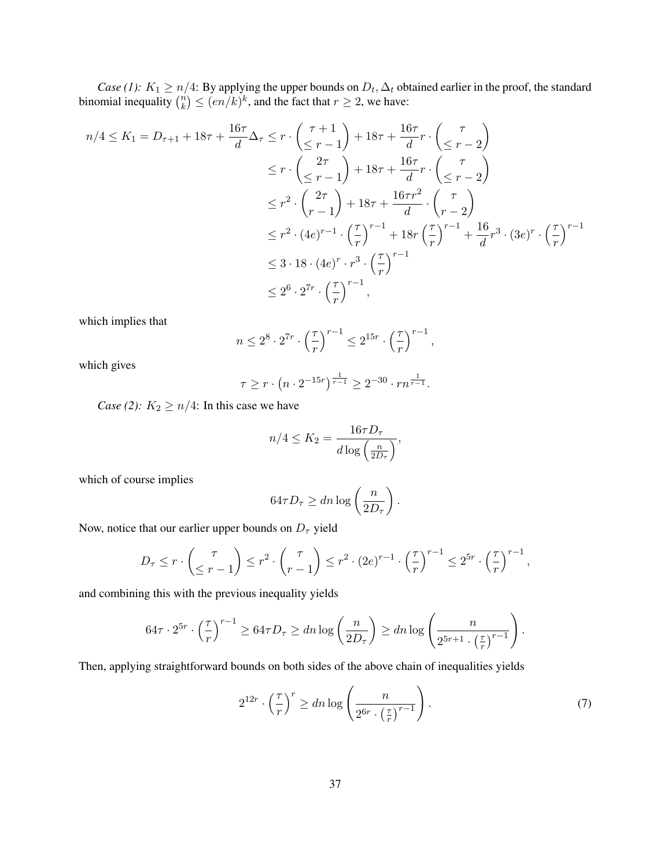*Case (1):*  $K_1 \ge n/4$ : By applying the upper bounds on  $D_t$ ,  $\Delta_t$  obtained earlier in the proof, the standard binomial inequality  $\binom{n}{k}$  ${k \choose k} \leq (en/k)^k$ , and the fact that  $r \geq 2$ , we have:

$$
n/4 \le K_1 = D_{\tau+1} + 18\tau + \frac{16\tau}{d} \Delta_{\tau} \le r \cdot \left(\frac{\tau+1}{\le r-1}\right) + 18\tau + \frac{16\tau}{d} r \cdot \left(\frac{\tau}{\le r-2}\right)
$$
  
\n
$$
\le r \cdot \left(\frac{2\tau}{\le r-1}\right) + 18\tau + \frac{16\tau}{d} r \cdot \left(\frac{\tau}{\le r-2}\right)
$$
  
\n
$$
\le r^2 \cdot \left(\frac{2\tau}{r-1}\right) + 18\tau + \frac{16\tau r^2}{d} \cdot \left(\frac{\tau}{r-2}\right)
$$
  
\n
$$
\le r^2 \cdot (4e)^{r-1} \cdot \left(\frac{\tau}{r}\right)^{r-1} + 18r \left(\frac{\tau}{r}\right)^{r-1} + \frac{16}{d}r^3 \cdot (3e)^r \cdot \left(\frac{\tau}{r}\right)^{r-1}
$$
  
\n
$$
\le 3 \cdot 18 \cdot (4e)^r \cdot r^3 \cdot \left(\frac{\tau}{r}\right)^{r-1}
$$
  
\n
$$
\le 2^6 \cdot 2^{7r} \cdot \left(\frac{\tau}{r}\right)^{r-1},
$$

which implies that

$$
n \le 2^8 \cdot 2^{7r} \cdot \left(\frac{\tau}{r}\right)^{r-1} \le 2^{15r} \cdot \left(\frac{\tau}{r}\right)^{r-1},
$$

which gives

$$
\tau \ge r \cdot \left( n \cdot 2^{-15r} \right)^{\frac{1}{r-1}} \ge 2^{-30} \cdot r n^{\frac{1}{r-1}}.
$$

*Case (2):*  $K_2 \ge n/4$ : In this case we have

$$
n/4 \le K_2 = \frac{16\tau D_\tau}{d \log\left(\frac{n}{2D_\tau}\right)},
$$

which of course implies

$$
64\tau D_{\tau} \geq dn \log\left(\frac{n}{2D_{\tau}}\right).
$$

Now, notice that our earlier upper bounds on  $D_{\tau}$  yield

$$
D_{\tau} \le r \cdot \binom{\tau}{\le r-1} \le r^2 \cdot \binom{\tau}{r-1} \le r^2 \cdot (2e)^{r-1} \cdot \left(\frac{\tau}{r}\right)^{r-1} \le 2^{5r} \cdot \left(\frac{\tau}{r}\right)^{r-1},
$$

and combining this with the previous inequality yields

$$
64\tau \cdot 2^{5r} \cdot \left(\frac{\tau}{r}\right)^{r-1} \ge 64\tau D_{\tau} \ge dn \log\left(\frac{n}{2D_{\tau}}\right) \ge dn \log\left(\frac{n}{2^{5r+1} \cdot \left(\frac{\tau}{r}\right)^{r-1}}\right).
$$

Then, applying straightforward bounds on both sides of the above chain of inequalities yields

<span id="page-37-0"></span>
$$
2^{12r} \cdot \left(\frac{\tau}{r}\right)^r \ge dn \log \left(\frac{n}{2^{6r} \cdot \left(\frac{\tau}{r}\right)^{r-1}}\right). \tag{7}
$$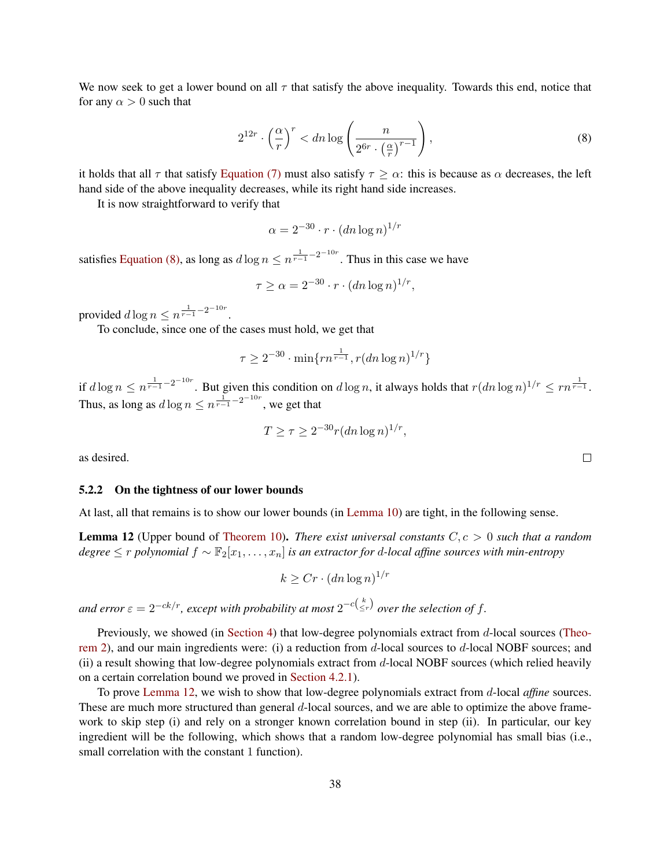We now seek to get a lower bound on all  $\tau$  that satisfy the above inequality. Towards this end, notice that for any  $\alpha > 0$  such that

$$
2^{12r} \cdot \left(\frac{\alpha}{r}\right)^r < dn \log\left(\frac{n}{2^{6r} \cdot \left(\frac{\alpha}{r}\right)^{r-1}}\right),\tag{8}
$$

it holds that all  $\tau$  that satisfy [Equation \(7\)](#page-37-0) must also satisfy  $\tau \geq \alpha$ : this is because as  $\alpha$  decreases, the left hand side of the above inequality decreases, while its right hand side increases.

It is now straightforward to verify that

<span id="page-38-2"></span>
$$
\alpha = 2^{-30} \cdot r \cdot (dn \log n)^{1/r}
$$

satisfies [Equation \(8\),](#page-38-2) as long as  $d \log n \leq n^{\frac{1}{r-1}-2^{-10r}}$ . Thus in this case we have

$$
\tau \ge \alpha = 2^{-30} \cdot r \cdot (dn \log n)^{1/r},
$$

provided  $d \log n \leq n^{\frac{1}{r-1}-2^{-10r}}$ .

To conclude, since one of the cases must hold, we get that

$$
\tau \ge 2^{-30} \cdot \min\{r n^{\frac{1}{r-1}}, r(d n \log n)^{1/r}\}
$$

if  $d \log n \leq n^{\frac{1}{r-1}-2^{-10r}}$ . But given this condition on  $d \log n$ , it always holds that  $r(dn \log n)^{1/r} \leq rn^{\frac{1}{r-1}}$ . Thus, as long as  $d \log n \leq n^{\frac{1}{r-1}-2^{-10r}}$ , we get that

$$
T \ge \tau \ge 2^{-30} r (dn \log n)^{1/r},
$$

as desired.

#### <span id="page-38-1"></span>5.2.2 On the tightness of our lower bounds

<span id="page-38-0"></span>At last, all that remains is to show our lower bounds (in [Lemma 10\)](#page-33-1) are tight, in the following sense.

Lemma 12 (Upper bound of [Theorem 10\)](#page-28-2). *There exist universal constants* C, c > 0 *such that a random degree* ≤ r *polynomial* f ∼ F2[x1, . . . , xn] *is an extractor for* d*-local affine sources with min-entropy*

$$
k \ge Cr \cdot (dn \log n)^{1/r}
$$

and error  $\varepsilon = 2^{-ck/r}$ , except with probability at most  $2^{-c\left(\frac{k}{\leq r}\right)}$  over the selection of f.

Previously, we showed (in [Section 4\)](#page-16-3) that low-degree polynomials extract from d-local sources [\(Theo](#page-16-0)[rem 2\)](#page-16-0), and our main ingredients were: (i) a reduction from  $d$ -local sources to  $d$ -local NOBF sources; and (ii) a result showing that low-degree polynomials extract from  $d$ -local NOBF sources (which relied heavily on a certain correlation bound we proved in [Section 4.2.1\)](#page-22-0).

<span id="page-38-3"></span>To prove [Lemma 12,](#page-38-0) we wish to show that low-degree polynomials extract from d-local *affine* sources. These are much more structured than general  $d$ -local sources, and we are able to optimize the above framework to skip step (i) and rely on a stronger known correlation bound in step (ii). In particular, our key ingredient will be the following, which shows that a random low-degree polynomial has small bias (i.e., small correlation with the constant 1 function).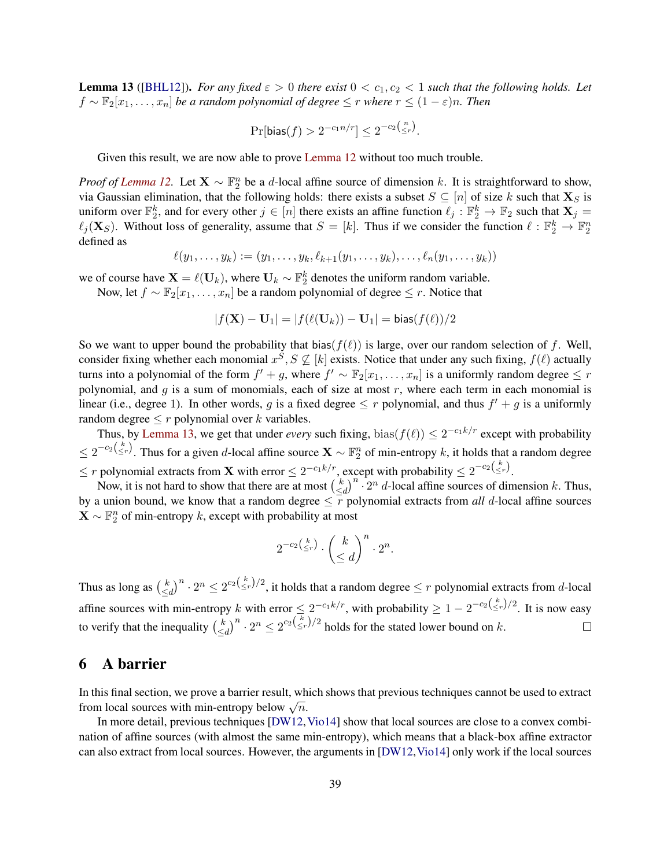**Lemma 13** ([\[BHL12\]](#page-42-7)). *For any fixed*  $\varepsilon > 0$  *there exist*  $0 < c_1, c_2 < 1$  *such that the following holds. Let*  $f \sim \mathbb{F}_2[x_1,\ldots,x_n]$  *be a random polynomial of degree*  $\leq r$  *where*  $r \leq (1-\varepsilon)n$ *. Then* 

$$
\Pr[\text{bias}(f) > 2^{-c_1 n/r}] \le 2^{-c_2 \binom{n}{\le r}}.
$$

Given this result, we are now able to prove [Lemma 12](#page-38-0) without too much trouble.

*Proof of [Lemma 12.](#page-38-0)* Let  $X \sim \mathbb{F}_2^n$  be a *d*-local affine source of dimension k. It is straightforward to show, via Gaussian elimination, that the following holds: there exists a subset  $S \subseteq [n]$  of size k such that  $\mathbf{X}_S$  is uniform over  $\mathbb{F}_2^k$ , and for every other  $j \in [n]$  there exists an affine function  $\ell_j : \mathbb{F}_2^k \to \mathbb{F}_2$  such that  $\mathbf{X}_j =$  $\ell_j(\mathbf{X}_S)$ . Without loss of generality, assume that  $S = [k]$ . Thus if we consider the function  $\ell : \mathbb{F}_2^k \to \mathbb{F}_2^n$ defined as

$$
\ell(y_1, \ldots, y_k) := (y_1, \ldots, y_k, \ell_{k+1}(y_1, \ldots, y_k), \ldots, \ell_n(y_1, \ldots, y_k))
$$

we of course have  $\mathbf{X} = \ell(\mathbf{U}_k)$ , where  $\mathbf{U}_k \sim \mathbb{F}_2^k$  denotes the uniform random variable.

Now, let  $f \sim \mathbb{F}_2[x_1, \ldots, x_n]$  be a random polynomial of degree  $\leq r$ . Notice that

$$
|f(\mathbf{X}) - \mathbf{U}_1| = |f(\ell(\mathbf{U}_k)) - \mathbf{U}_1| = \textsf{bias}(f(\ell))/2
$$

So we want to upper bound the probability that bias( $f(\ell)$ ) is large, over our random selection of f. Well, consider fixing whether each monomial  $x^S$ ,  $S \nsubseteq [k]$  exists. Notice that under any such fixing,  $f(\ell)$  actually turns into a polynomial of the form  $f' + g$ , where  $f' \sim \mathbb{F}_2[x_1, \ldots, x_n]$  is a uniformly random degree  $\leq r$ polynomial, and g is a sum of monomials, each of size at most  $r$ , where each term in each monomial is linear (i.e., degree 1). In other words, g is a fixed degree  $\leq r$  polynomial, and thus  $f' + g$  is a uniformly random degree  $\leq r$  polynomial over k variables.

Thus, by [Lemma 13,](#page-38-3) we get that under *every* such fixing,  $bias(f(\ell)) \leq 2^{-c_1k/r}$  except with probability  $\leq 2^{-c_2\binom{k}{\leq r}}$ . Thus for a given d-local affine source  $\mathbf{X} \sim \mathbb{F}_2^n$  of min-entropy k, it holds that a random degree  $\leq r$  polynomial extracts from **X** with error  $\leq 2^{-c_1k/r}$ , except with probability  $\leq 2^{-c_2\left(\frac{k}{\leq r}\right)}$ .

Now, it is not hard to show that there are at most  $\binom{k}{\leq k}$  $\left(\frac{k}{\leq d}\right)^n \cdot 2^n$  d-local affine sources of dimension k. Thus, by a union bound, we know that a random degree  $\leq \overline{r}$  polynomial extracts from *all* d-local affine sources  $\mathbf{X} \sim \mathbb{F}_2^n$  of min-entropy k, except with probability at most

$$
2^{-c_2\left(\frac{k}{\leq r}\right)} \cdot \left(\frac{k}{\leq d}\right)^n \cdot 2^n.
$$

Thus as long as  $\binom{k}{\leq k}$  $\left(\frac{k}{\leq d}\right)^n \cdot 2^n \leq 2^{c_2\left(\frac{k}{\leq r}\right)/2}$ , it holds that a random degree  $\leq r$  polynomial extracts from *d*-local affine sources with min-entropy k with error  $\leq 2^{-c_1k/r}$ , with probability  $\geq 1-2^{-c_2(\frac{k}{\leq r})/2}$ . It is now easy to verify that the inequality  $\binom{k}{n}$  $\left(\frac{k}{\leq d}\right)^n \cdot 2^n \leq 2^{c_2\left(\frac{k}{\leq r}\right)/2}$  holds for the stated lower bound on k.

# 6 A barrier

In this final section, we prove a barrier result, which shows that previous techniques cannot be used to extract In this mial section, we prove a barrier result, when  $\ln \frac{1}{n}$ .

In more detail, previous techniques [\[DW12,](#page-42-1) [Vio14\]](#page--1-1) show that local sources are close to a convex combination of affine sources (with almost the same min-entropy), which means that a black-box affine extractor can also extract from local sources. However, the arguments in [\[DW12,](#page-42-1)[Vio14\]](#page--1-1) only work if the local sources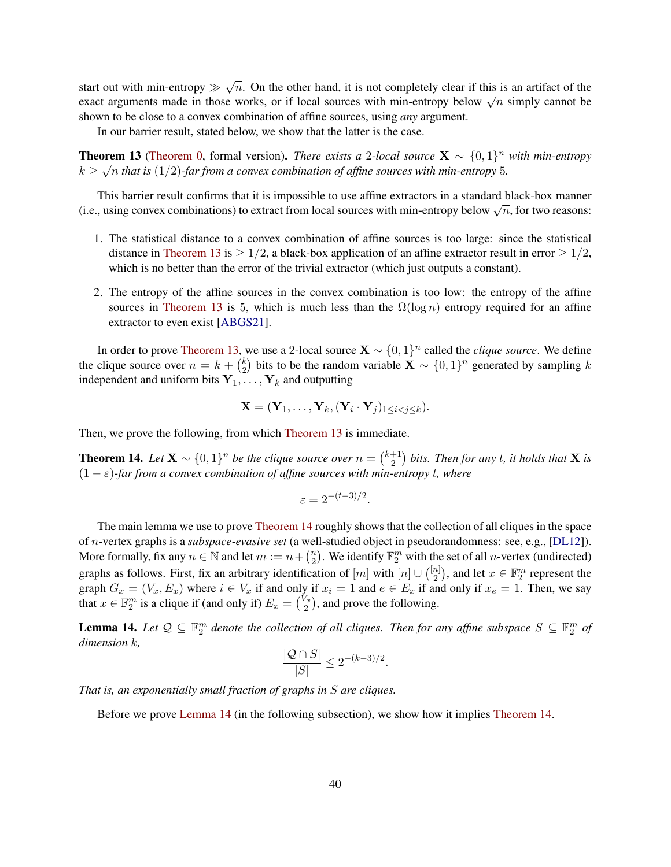start out with min-entropy  $\gg \sqrt{n}$ . On the other hand, it is not completely clear if this is an artifact of the exact arguments made in those works, or if local sources with min-entropy below  $\sqrt{n}$  simply cannot be exact arguments made in those works, or if local sources with min-entropy below  $\sqrt{n}$  simply cannot be shown to be close to a convex combination of affine sources, using *any* argument.

In our barrier result, stated below, we show that the latter is the case.

<span id="page-40-0"></span>**Theorem 13** [\(Theorem 0,](#page-2-1) formal version). *There exists a* 2*-local source*  $X \sim \{0, 1\}^n$  *with min-entropy*  $k \geq \sqrt{n}$  that is (1/2)-far from a convex combination of affine sources with min-entropy 5.

This barrier result confirms that it is impossible to use affine extractors in a standard black-box manner This barrier result commits that it is impossible to use almie extractors in a standard black-box manner (i.e., using convex combinations) to extract from local sources with min-entropy below  $\sqrt{n}$ , for two reasons:

- 1. The statistical distance to a convex combination of affine sources is too large: since the statistical distance in [Theorem 13](#page-40-0) is  $\geq 1/2$ , a black-box application of an affine extractor result in error  $\geq 1/2$ , which is no better than the error of the trivial extractor (which just outputs a constant).
- 2. The entropy of the affine sources in the convex combination is too low: the entropy of the affine sources in [Theorem 13](#page-40-0) is 5, which is much less than the  $\Omega(\log n)$  entropy required for an affine extractor to even exist [\[ABGS21\]](#page-42-9).

In order to prove [Theorem 13,](#page-40-0) we use a 2-local source  $X \sim \{0, 1\}^n$  called the *clique source*. We define the clique source over  $n = k + \binom{k}{2}$  $\binom{k}{2}$  bits to be the random variable **X** ∼ {0, 1}<sup>n</sup> generated by sampling k independent and uniform bits  $Y_1, \ldots, Y_k$  and outputting

$$
\mathbf{X} = (\mathbf{Y}_1, \dots, \mathbf{Y}_k, (\mathbf{Y}_i \cdot \mathbf{Y}_j)_{1 \leq i < j \leq k}).
$$

Then, we prove the following, from which [Theorem 13](#page-40-0) is immediate.

<span id="page-40-1"></span>**Theorem 14.** Let  $\mathbf{X} \sim \{0,1\}^n$  be the clique source over  $n = \binom{k+1}{2}$  $\binom{+1}{2}$  bits. Then for any t, it holds that **X** is  $(1 - \varepsilon)$ -far from a convex combination of affine sources with min-entropy t, where

$$
\varepsilon = 2^{-(t-3)/2}.
$$

The main lemma we use to prove [Theorem 14](#page-40-1) roughly shows that the collection of all cliques in the space of n-vertex graphs is a *subspace-evasive set* (a well-studied object in pseudorandomness: see, e.g., [\[DL12\]](#page-42-10)). More formally, fix any  $n \in \mathbb{N}$  and let  $m := n + \binom{n}{2}$  $n_2$ ). We identify  $\mathbb{F}_2^m$  with the set of all *n*-vertex (undirected) graphs as follows. First, fix an arbitrary identification of  $[m]$  with  $[n] \cup {[n] \choose 2}$  $\binom{n}{2}$ , and let  $x \in \mathbb{F}_2^m$  represent the graph  $G_x = (V_x, E_x)$  where  $i \in V_x$  if and only if  $x_i = 1$  and  $e \in E_x$  if and only if  $x_e = 1$ . Then, we say that  $x \in \mathbb{F}_2^m$  is a clique if (and only if)  $E_x = \binom{V_x}{2}$  $\binom{x}{2}$ , and prove the following.

<span id="page-40-2"></span>**Lemma 14.** Let  $\mathcal{Q} \subseteq \mathbb{F}_2^m$  denote the collection of all cliques. Then for any affine subspace  $S \subseteq \mathbb{F}_2^m$  of *dimension* k*,*

$$
\frac{|Q \cap S|}{|S|} \le 2^{-(k-3)/2}.
$$

*That is, an exponentially small fraction of graphs in* S *are cliques.*

Before we prove [Lemma 14](#page-40-2) (in the following subsection), we show how it implies [Theorem 14.](#page-40-1)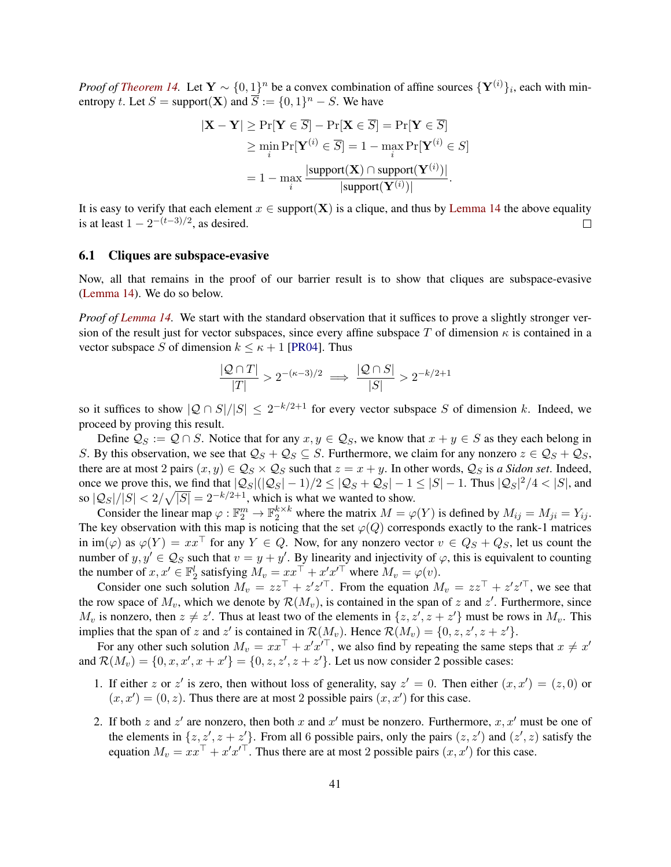*Proof of [Theorem 14.](#page-40-1)* Let  $Y \sim \{0,1\}^n$  be a convex combination of affine sources  $\{Y^{(i)}\}_i$ , each with minentropy t. Let  $S = \text{support}(\mathbf{X})$  and  $\overline{S} := \{0, 1\}^n - S$ . We have

$$
|\mathbf{X} - \mathbf{Y}| \ge \Pr[\mathbf{Y} \in \overline{S}] - \Pr[\mathbf{X} \in \overline{S}] = \Pr[\mathbf{Y} \in \overline{S}]
$$
  
\n
$$
\ge \min_{i} \Pr[\mathbf{Y}^{(i)} \in \overline{S}] = 1 - \max_{i} \Pr[\mathbf{Y}^{(i)} \in S]
$$
  
\n
$$
= 1 - \max_{i} \frac{|\text{support}(\mathbf{X}) \cap \text{support}(\mathbf{Y}^{(i)})|}{|\text{support}(\mathbf{Y}^{(i)})|}.
$$

It is easy to verify that each element  $x \in support(X)$  is a clique, and thus by [Lemma 14](#page-40-2) the above equality is at least  $1 - 2^{-(t-3)/2}$ , as desired.  $\Box$ 

## 6.1 Cliques are subspace-evasive

Now, all that remains in the proof of our barrier result is to show that cliques are subspace-evasive [\(Lemma 14\)](#page-40-2). We do so below.

*Proof of [Lemma 14.](#page-40-2)* We start with the standard observation that it suffices to prove a slightly stronger version of the result just for vector subspaces, since every affine subspace T of dimension  $\kappa$  is contained in a vector subspace S of dimension  $k \leq \kappa + 1$  [\[PR04\]](#page--1-15). Thus

$$
\frac{|\mathcal{Q}\cap T|}{|T|} > 2^{-(\kappa-3)/2} \implies \frac{|\mathcal{Q}\cap S|}{|S|} > 2^{-k/2+1}
$$

so it suffices to show  $|Q \cap S|/|S| \leq 2^{-k/2+1}$  for every vector subspace S of dimension k. Indeed, we proceed by proving this result.

Define  $\mathcal{Q}_S := \mathcal{Q} \cap S$ . Notice that for any  $x, y \in \mathcal{Q}_S$ , we know that  $x + y \in S$  as they each belong in S. By this observation, we see that  $Q_S + Q_S \subseteq S$ . Furthermore, we claim for any nonzero  $z \in Q_S + Q_S$ , there are at most 2 pairs  $(x, y) \in \mathcal{Q}_S \times \mathcal{Q}_S$  such that  $z = x + y$ . In other words,  $\mathcal{Q}_S$  is *a Sidon set*. Indeed, once we prove this, we find that  $|Q_S|(|Q_S| - 1)/2 \leq |Q_S + Q_S| - 1 \leq |S| - 1$ . Thus  $|Q_S|^2/4 < |S|$ , and so  $|Q_S|/|S| < 2/\sqrt{|S|} = 2^{-k/2+1}$ , which is what we wanted to show.

Consider the linear map  $\varphi : \mathbb{F}_2^m \to \mathbb{F}_2^{k \times k}$  where the matrix  $M = \varphi(Y)$  is defined by  $M_{ij} = M_{ji} = Y_{ij}$ . The key observation with this map is noticing that the set  $\varphi(Q)$  corresponds exactly to the rank-1 matrices in im( $\varphi$ ) as  $\varphi(Y) = xx^\top$  for any  $Y \in Q$ . Now, for any nonzero vector  $v \in Q_S + Q_S$ , let us count the number of  $y, y' \in \mathcal{Q}_S$  such that  $v = y + y'$ . By linearity and injectivity of  $\varphi$ , this is equivalent to counting the number of  $x, x' \in \mathbb{F}_2^l$  satisfying  $M_v = xx^\top + x'x'^\top$  where  $M_v = \varphi(v)$ .

Consider one such solution  $M_v = zz^\top + z'z'^\top$ . From the equation  $M_v = zz^\top + z'z'^\top$ , we see that the row space of  $M_v$ , which we denote by  $\mathcal{R}(M_v)$ , is contained in the span of z and  $z'$ . Furthermore, since  $M_v$  is nonzero, then  $z \neq z'$ . Thus at least two of the elements in  $\{z, z', z + z'\}$  must be rows in  $M_v$ . This implies that the span of z and z' is contained in  $\mathcal{R}(M_v)$ . Hence  $\mathcal{R}(M_v) = \{0, z, z', z + z'\}.$ 

For any other such solution  $M_v = xx^\top + x'x'^\top$ , we also find by repeating the same steps that  $x \neq x'$ and  $\mathcal{R}(M_v) = \{0, x, x', x + x'\} = \{0, z, z', z + z'\}.$  Let us now consider 2 possible cases:

- 1. If either z or z' is zero, then without loss of generality, say  $z' = 0$ . Then either  $(x, x') = (z, 0)$  or  $(x, x') = (0, z)$ . Thus there are at most 2 possible pairs  $(x, x')$  for this case.
- 2. If both z and z' are nonzero, then both x and x' must be nonzero. Furthermore,  $x, x'$  must be one of the elements in  $\{z, z', z + z'\}$ . From all 6 possible pairs, only the pairs  $(z, z')$  and  $(z', z)$  satisfy the equation  $M_v = xx^\top + x'x'^\top$ . Thus there are at most 2 possible pairs  $(x, x')$  for this case.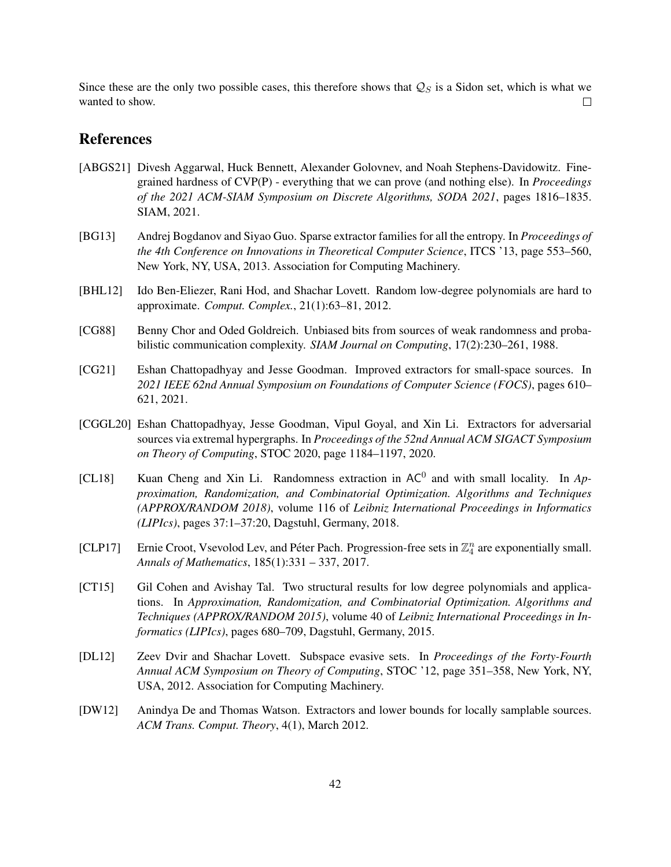Since these are the only two possible cases, this therefore shows that  $\mathcal{Q}_S$  is a Sidon set, which is what we wanted to show.  $\Box$ 

# References

- <span id="page-42-9"></span>[ABGS21] Divesh Aggarwal, Huck Bennett, Alexander Golovnev, and Noah Stephens-Davidowitz. Finegrained hardness of CVP(P) - everything that we can prove (and nothing else). In *Proceedings of the 2021 ACM-SIAM Symposium on Discrete Algorithms, SODA 2021*, pages 1816–1835. SIAM, 2021.
- <span id="page-42-4"></span>[BG13] Andrej Bogdanov and Siyao Guo. Sparse extractor families for all the entropy. In *Proceedings of the 4th Conference on Innovations in Theoretical Computer Science*, ITCS '13, page 553–560, New York, NY, USA, 2013. Association for Computing Machinery.
- <span id="page-42-7"></span>[BHL12] Ido Ben-Eliezer, Rani Hod, and Shachar Lovett. Random low-degree polynomials are hard to approximate. *Comput. Complex.*, 21(1):63–81, 2012.
- <span id="page-42-0"></span>[CG88] Benny Chor and Oded Goldreich. Unbiased bits from sources of weak randomness and probabilistic communication complexity. *SIAM Journal on Computing*, 17(2):230–261, 1988.
- <span id="page-42-2"></span>[CG21] Eshan Chattopadhyay and Jesse Goodman. Improved extractors for small-space sources. In *2021 IEEE 62nd Annual Symposium on Foundations of Computer Science (FOCS)*, pages 610– 621, 2021.
- <span id="page-42-6"></span>[CGGL20] Eshan Chattopadhyay, Jesse Goodman, Vipul Goyal, and Xin Li. Extractors for adversarial sources via extremal hypergraphs. In *Proceedings of the 52nd Annual ACM SIGACT Symposium on Theory of Computing*, STOC 2020, page 1184–1197, 2020.
- <span id="page-42-3"></span>[CL18] Kuan Cheng and Xin Li. Randomness extraction in AC<sup>0</sup> and with small locality. In Ap*proximation, Randomization, and Combinatorial Optimization. Algorithms and Techniques (APPROX/RANDOM 2018)*, volume 116 of *Leibniz International Proceedings in Informatics (LIPIcs)*, pages 37:1–37:20, Dagstuhl, Germany, 2018.
- <span id="page-42-8"></span>[CLP17] Ernie Croot, Vsevolod Lev, and Péter Pach. Progression-free sets in  $\mathbb{Z}_4^n$  are exponentially small. *Annals of Mathematics*, 185(1):331 – 337, 2017.
- <span id="page-42-5"></span>[CT15] Gil Cohen and Avishay Tal. Two structural results for low degree polynomials and applications. In *Approximation, Randomization, and Combinatorial Optimization. Algorithms and Techniques (APPROX/RANDOM 2015)*, volume 40 of *Leibniz International Proceedings in Informatics (LIPIcs)*, pages 680–709, Dagstuhl, Germany, 2015.
- <span id="page-42-10"></span>[DL12] Zeev Dvir and Shachar Lovett. Subspace evasive sets. In *Proceedings of the Forty-Fourth Annual ACM Symposium on Theory of Computing*, STOC '12, page 351–358, New York, NY, USA, 2012. Association for Computing Machinery.
- <span id="page-42-1"></span>[DW12] Anindya De and Thomas Watson. Extractors and lower bounds for locally samplable sources. *ACM Trans. Comput. Theory*, 4(1), March 2012.